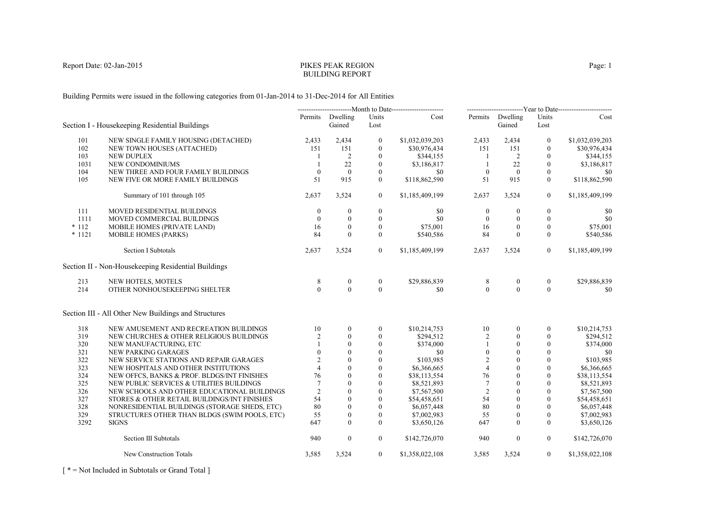# PIKES PEAK REGIONBUILDING REPORT

Building Permits were issued in the following categories from 01-Jan-2014 to 31-Dec-2014 for All Entities

|          |                                                      |                 |                            |                  | ----------------------------Month to Date------------------------ |                  |                            |                  | -------------------------Year to Date------------------------ |
|----------|------------------------------------------------------|-----------------|----------------------------|------------------|-------------------------------------------------------------------|------------------|----------------------------|------------------|---------------------------------------------------------------|
|          | Section I - Housekeeping Residential Buildings       |                 | Permits Dwelling<br>Gained | Units<br>Lost    | Cost                                                              |                  | Permits Dwelling<br>Gained | Units<br>Lost    | Cost                                                          |
| 101      | NEW SINGLE FAMILY HOUSING (DETACHED)                 | 2,433           | 2,434                      | $\boldsymbol{0}$ | \$1,032,039,203                                                   | 2,433            | 2,434                      | $\boldsymbol{0}$ | \$1,032,039,203                                               |
| 102      | NEW TOWN HOUSES (ATTACHED)                           | 151             | 151                        | $\mathbf{0}$     | \$30,976,434                                                      | 151              | 151                        | $\theta$         | \$30,976,434                                                  |
| 103      | <b>NEW DUPLEX</b>                                    |                 | 2                          | $\mathbf{0}$     | \$344,155                                                         | - 1              | 2                          | $\mathbf{0}$     | \$344,155                                                     |
| 1031     | NEW CONDOMINIUMS                                     |                 | 22                         | $\mathbf{0}$     | \$3,186,817                                                       | -1               | 22                         | $\mathbf{0}$     | \$3,186,817                                                   |
| 104      | NEW THREE AND FOUR FAMILY BUILDINGS                  | $\theta$        | $\mathbf{0}$               | $\mathbf{0}$     | \$0                                                               | $\overline{0}$   | $\mathbf{0}$               | $\mathbf{0}$     | \$0                                                           |
| 105      | NEW FIVE OR MORE FAMILY BUILDINGS                    | 51              | 915                        | $\theta$         | \$118,862,590                                                     | 51               | 915                        | $\theta$         | \$118,862,590                                                 |
|          | Summary of 101 through 105                           | 2,637           | 3,524                      | $\mathbf{0}$     | \$1,185,409,199                                                   | 2,637            | 3,524                      | $\mathbf{0}$     | \$1,185,409,199                                               |
| 111      | MOVED RESIDENTIAL BUILDINGS                          | $\theta$        | $\overline{0}$             | $\boldsymbol{0}$ | \$0                                                               | $\boldsymbol{0}$ | $\mathbf{0}$               | $\mathbf{0}$     | \$0                                                           |
| 1111     | MOVED COMMERCIAL BUILDINGS                           | $\mathbf{0}$    | $\boldsymbol{0}$           | $\boldsymbol{0}$ | \$0                                                               | $\mathbf{0}$     | $\overline{0}$             | $\boldsymbol{0}$ | \$0                                                           |
| $*112$   | MOBILE HOMES (PRIVATE LAND)                          | 16              | $\mathbf{0}$               | $\overline{0}$   | \$75,001                                                          | 16               | $\mathbf{0}$               | $\overline{0}$   | \$75,001                                                      |
| $* 1121$ | <b>MOBILE HOMES (PARKS)</b>                          | 84              | $\theta$                   | $\mathbf{0}$     | \$540,586                                                         | 84               | $\mathbf{0}$               | $\mathbf{0}$     | \$540,586                                                     |
|          | Section I Subtotals                                  | 2,637           | 3,524                      | $\overline{0}$   | \$1,185,409,199                                                   | 2,637            | 3,524                      | $\overline{0}$   | \$1,185,409,199                                               |
|          | Section II - Non-Housekeeping Residential Buildings  |                 |                            |                  |                                                                   |                  |                            |                  |                                                               |
| 213      | NEW HOTELS, MOTELS                                   | 8               | $\bf{0}$                   | $\boldsymbol{0}$ | \$29,886,839                                                      | 8                | $\boldsymbol{0}$           | $\boldsymbol{0}$ | \$29,886,839                                                  |
| 214      | OTHER NONHOUSEKEEPING SHELTER                        | $\Omega$        | $\Omega$                   | $\Omega$         | \$0                                                               | $\theta$         | $\theta$                   | $\Omega$         | \$0                                                           |
|          | Section III - All Other New Buildings and Structures |                 |                            |                  |                                                                   |                  |                            |                  |                                                               |
| 318      | NEW AMUSEMENT AND RECREATION BUILDINGS               | 10              | $\overline{0}$             | $\overline{0}$   | \$10,214,753                                                      | 10               | $\mathbf{0}$               | $\mathbf{0}$     | \$10,214,753                                                  |
| 319      | NEW CHURCHES & OTHER RELIGIOUS BUILDINGS             | $\overline{2}$  | $\theta$                   | $\mathbf{0}$     | \$294,512                                                         | $\overline{2}$   | $\theta$                   | $\Omega$         | \$294,512                                                     |
| 320      | NEW MANUFACTURING, ETC                               |                 | $\mathbf{0}$               | $\boldsymbol{0}$ | \$374,000                                                         |                  | $\boldsymbol{0}$           | $\boldsymbol{0}$ | \$374,000                                                     |
| 321      | NEW PARKING GARAGES                                  | $\Omega$        | $\theta$                   | $\mathbf{0}$     | \$0                                                               | $\mathbf{0}$     | $\Omega$                   | $\mathbf{0}$     | \$0                                                           |
| 322      | NEW SERVICE STATIONS AND REPAIR GARAGES              | 2               | $\theta$                   | $\mathbf{0}$     | \$103,985                                                         | $\overline{2}$   | $\theta$                   | $\mathbf{0}$     | \$103,985                                                     |
| 323      | NEW HOSPITALS AND OTHER INSTITUTIONS                 | $\overline{4}$  | $\Omega$                   | $\theta$         | \$6,366,665                                                       | $\overline{4}$   | $\theta$                   | $\Omega$         | \$6,366,665                                                   |
| 324      | NEW OFFCS, BANKS & PROF. BLDGS/INT FINISHES          | 76              | $\theta$                   | $\mathbf{0}$     | \$38,113,554                                                      | 76               | $\mathbf{0}$               | $\mathbf{0}$     | \$38,113,554                                                  |
| 325      | NEW PUBLIC SERVICES & UTILITIES BUILDINGS            | $7\phantom{.0}$ | $\theta$                   | $\mathbf{0}$     | \$8,521,893                                                       | $\overline{7}$   | $\Omega$                   | $\mathbf{0}$     | \$8,521,893                                                   |
| 326      | NEW SCHOOLS AND OTHER EDUCATIONAL BUILDINGS          | 2               | $\theta$                   | $\overline{0}$   | \$7,567,500                                                       | $\overline{2}$   | $\theta$                   | $\theta$         | \$7,567,500                                                   |
| 327      | STORES & OTHER RETAIL BUILDINGS/INT FINISHES         | 54              | $\theta$                   | $\Omega$         | \$54,458,651                                                      | 54               | $\Omega$                   | $\Omega$         | \$54,458,651                                                  |
| 328      | NONRESIDENTIAL BUILDINGS (STORAGE SHEDS, ETC)        | 80              | $\mathbf{0}$               | $\boldsymbol{0}$ | \$6,057,448                                                       | 80               | $\mathbf{0}$               | $\mathbf{0}$     | \$6,057,448                                                   |
| 329      | STRUCTURES OTHER THAN BLDGS (SWIM POOLS, ETC)        | 55              | $\mathbf{0}$               | $\mathbf{0}$     | \$7,002,983                                                       | 55               | $\mathbf{0}$               | $\boldsymbol{0}$ | \$7,002,983                                                   |
| 3292     | <b>SIGNS</b>                                         | 647             | $\Omega$                   | $\theta$         | \$3,650,126                                                       | 647              | $\Omega$                   | $\Omega$         | \$3,650,126                                                   |
|          | Section III Subtotals                                | 940             | $\boldsymbol{0}$           | $\mathbf{0}$     | \$142,726,070                                                     | 940              | $\boldsymbol{0}$           | $\mathbf{0}$     | \$142,726,070                                                 |
|          | New Construction Totals                              | 3,585           | 3,524                      | $\overline{0}$   | \$1,358,022,108                                                   | 3,585            | 3,524                      | $\overline{0}$   | \$1,358,022,108                                               |
|          |                                                      |                 |                            |                  |                                                                   |                  |                            |                  |                                                               |

[ \* = Not Included in Subtotals or Grand Total ]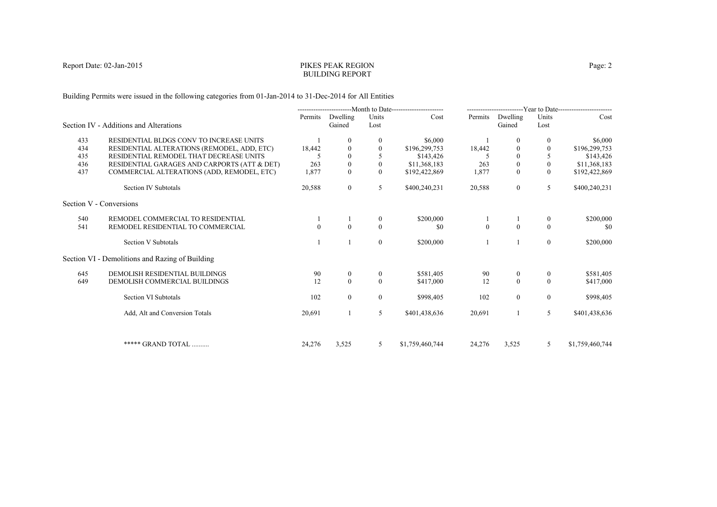# PIKES PEAK REGIONBUILDING REPORT

Building Permits were issued in the following categories from 01-Jan-2014 to 31-Dec-2014 for All Entities

|     |                                                 | ----------------------------Month to Date------------------------ |                    | -------------------------Year to Date------------------------ |                 |                |                    |                  |                 |
|-----|-------------------------------------------------|-------------------------------------------------------------------|--------------------|---------------------------------------------------------------|-----------------|----------------|--------------------|------------------|-----------------|
|     | Section IV - Additions and Alterations          | Permits                                                           | Dwelling<br>Gained | Units<br>Lost                                                 | Cost            | Permits        | Dwelling<br>Gained | Units<br>Lost    | Cost            |
| 433 | RESIDENTIAL BLDGS CONV TO INCREASE UNITS        |                                                                   | $\theta$           | $\mathbf{0}$                                                  | \$6,000         |                | $\left($           | $\bf{0}$         | \$6,000         |
| 434 | RESIDENTIAL ALTERATIONS (REMODEL, ADD, ETC)     | 18,442                                                            | 0                  | $\theta$                                                      | \$196,299,753   | 18,442         |                    |                  | \$196,299,753   |
| 435 | RESIDENTIAL REMODEL THAT DECREASE UNITS         |                                                                   | $\Omega$           |                                                               | \$143,426       |                | $\Omega$           |                  | \$143,426       |
| 436 | RESIDENTIAL GARAGES AND CARPORTS (ATT & DET)    | 263                                                               | $\overline{0}$     | $\mathbf{0}$                                                  | \$11,368,183    | 263            | $\mathbf{0}$       | $\mathbf{0}$     | \$11,368,183    |
| 437 | COMMERCIAL ALTERATIONS (ADD, REMODEL, ETC)      | 1,877                                                             | $\mathbf{0}$       | $\mathbf{0}$                                                  | \$192,422,869   | 1,877          | $\overline{0}$     | $\mathbf{0}$     | \$192,422,869   |
|     | Section IV Subtotals                            | 20,588                                                            | $\overline{0}$     | 5                                                             | \$400,240,231   | 20,588         | $\overline{0}$     | 5                | \$400,240,231   |
|     | Section V - Conversions                         |                                                                   |                    |                                                               |                 |                |                    |                  |                 |
| 540 | REMODEL COMMERCIAL TO RESIDENTIAL               |                                                                   |                    | $\mathbf{0}$                                                  | \$200,000       |                |                    | $\bf{0}$         | \$200,000       |
| 541 | REMODEL RESIDENTIAL TO COMMERCIAL               |                                                                   | $\Omega$           | $\theta$                                                      | \$0             | $\overline{0}$ | $\theta$           | $\Omega$         | \$0             |
|     | Section V Subtotals                             |                                                                   |                    | $\overline{0}$                                                | \$200,000       |                |                    | $\boldsymbol{0}$ | \$200,000       |
|     | Section VI - Demolitions and Razing of Building |                                                                   |                    |                                                               |                 |                |                    |                  |                 |
| 645 | DEMOLISH RESIDENTIAL BUILDINGS                  | 90                                                                | $\overline{0}$     | $\mathbf{0}$                                                  | \$581,405       | 90             | $\overline{0}$     | $\overline{0}$   | \$581,405       |
| 649 | DEMOLISH COMMERCIAL BUILDINGS                   | 12                                                                | $\theta$           | $\Omega$                                                      | \$417,000       | 12             | $\theta$           | $\theta$         | \$417,000       |
|     | Section VI Subtotals                            | 102                                                               | $\theta$           | $\overline{0}$                                                | \$998,405       | 102            | $\overline{0}$     | $\overline{0}$   | \$998,405       |
|     | Add, Alt and Conversion Totals                  | 20,691                                                            |                    | 5                                                             | \$401,438,636   | 20,691         |                    | 5                | \$401,438,636   |
|     | ***** GRAND TOTAL                               | 24,276                                                            | 3,525              | 5                                                             | \$1,759,460,744 | 24,276         | 3,525              | 5                | \$1,759,460,744 |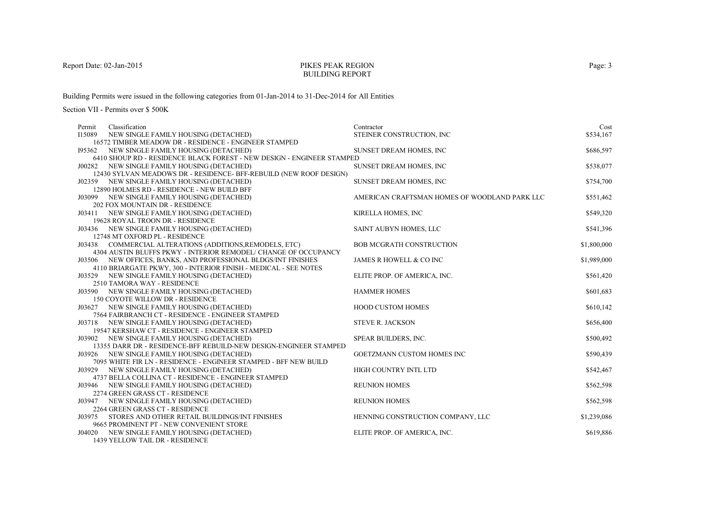### PIKES PEAK REGIONBUILDING REPORT

Building Permits were issued in the following categories from 01-Jan-2014 to 31-Dec-2014 for All Entities

| Classification<br>Permit |                                                                                 | Contractor                                    | Cost        |
|--------------------------|---------------------------------------------------------------------------------|-----------------------------------------------|-------------|
| I15089                   | NEW SINGLE FAMILY HOUSING (DETACHED)                                            | STEINER CONSTRUCTION, INC                     | \$534,167   |
|                          | 16572 TIMBER MEADOW DR - RESIDENCE - ENGINEER STAMPED                           |                                               |             |
| 195362                   | NEW SINGLE FAMILY HOUSING (DETACHED)                                            | <b>SUNSET DREAM HOMES, INC.</b>               | \$686,597   |
|                          | 6410 SHOUP RD - RESIDENCE BLACK FOREST - NEW DESIGN - ENGINEER STAMPED          |                                               |             |
|                          | J00282 NEW SINGLE FAMILY HOUSING (DETACHED)                                     | <b>SUNSET DREAM HOMES, INC.</b>               | \$538,077   |
|                          | 12430 SYLVAN MEADOWS DR - RESIDENCE- BFF-REBUILD (NEW ROOF DESIGN)              |                                               |             |
|                          | J02359 NEW SINGLE FAMILY HOUSING (DETACHED)                                     | SUNSET DREAM HOMES, INC                       | \$754,700   |
|                          | 12890 HOLMES RD - RESIDENCE - NEW BUILD BFF                                     |                                               |             |
|                          | J03099 NEW SINGLE FAMILY HOUSING (DETACHED)                                     | AMERICAN CRAFTSMAN HOMES OF WOODLAND PARK LLC | \$551,462   |
|                          | <b>202 FOX MOUNTAIN DR - RESIDENCE</b>                                          |                                               | \$549,320   |
|                          | J03411 NEW SINGLE FAMILY HOUSING (DETACHED)                                     | KIRELLA HOMES, INC                            |             |
|                          | 19628 ROYAL TROON DR - RESIDENCE<br>J03436 NEW SINGLE FAMILY HOUSING (DETACHED) | SAINT AUBYN HOMES, LLC                        | \$541,396   |
|                          | 12748 MT OXFORD PL - RESIDENCE                                                  |                                               |             |
|                          | J03438 COMMERCIAL ALTERATIONS (ADDITIONS, REMODELS, ETC)                        | <b>BOB MCGRATH CONSTRUCTION</b>               | \$1,800,000 |
|                          | 4304 AUSTIN BLUFFS PKWY - INTERIOR REMODEL/ CHANGE OF OCCUPANCY                 |                                               |             |
|                          | J03506 NEW OFFICES, BANKS, AND PROFESSIONAL BLDGS/INT FINISHES                  | JAMES R HOWELL & CO INC                       | \$1,989,000 |
|                          | 4110 BRIARGATE PKWY, 300 - INTERIOR FINISH - MEDICAL - SEE NOTES                |                                               |             |
|                          | J03529 NEW SINGLE FAMILY HOUSING (DETACHED)                                     | ELITE PROP. OF AMERICA, INC.                  | \$561,420   |
|                          | 2510 TAMORA WAY - RESIDENCE                                                     |                                               |             |
|                          | J03590 NEW SINGLE FAMILY HOUSING (DETACHED)                                     | <b>HAMMER HOMES</b>                           | \$601,683   |
|                          | 150 COYOTE WILLOW DR - RESIDENCE                                                |                                               |             |
|                          | J03627 NEW SINGLE FAMILY HOUSING (DETACHED)                                     | <b>HOOD CUSTOM HOMES</b>                      | \$610,142   |
|                          | 7564 FAIRBRANCH CT - RESIDENCE - ENGINEER STAMPED                               |                                               |             |
|                          | J03718 NEW SINGLE FAMILY HOUSING (DETACHED)                                     | <b>STEVE R. JACKSON</b>                       | \$656,400   |
|                          | 19547 KERSHAW CT - RESIDENCE - ENGINEER STAMPED                                 |                                               |             |
|                          | J03902 NEW SINGLE FAMILY HOUSING (DETACHED)                                     | SPEAR BUILDERS, INC.                          | \$500,492   |
|                          | 13355 DARR DR - RESIDENCE-BFF REBUILD-NEW DESIGN-ENGINEER STAMPED               |                                               |             |
|                          | J03926 NEW SINGLE FAMILY HOUSING (DETACHED)                                     | GOETZMANN CUSTOM HOMES INC                    | \$590,439   |
|                          | 7095 WHITE FIR LN - RESIDENCE - ENGINEER STAMPED - BFF NEW BUILD                |                                               |             |
|                          | J03929 NEW SINGLE FAMILY HOUSING (DETACHED)                                     | HIGH COUNTRY INTL LTD                         | \$542,467   |
|                          | 4737 BELLA COLLINA CT - RESIDENCE - ENGINEER STAMPED                            |                                               |             |
|                          | J03946 NEW SINGLE FAMILY HOUSING (DETACHED)                                     | <b>REUNION HOMES</b>                          | \$562,598   |
|                          | 2274 GREEN GRASS CT - RESIDENCE                                                 |                                               |             |
|                          | J03947 NEW SINGLE FAMILY HOUSING (DETACHED)                                     | <b>REUNION HOMES</b>                          | \$562,598   |
|                          | 2264 GREEN GRASS CT - RESIDENCE                                                 |                                               |             |
| J03975                   | STORES AND OTHER RETAIL BUILDINGS/INT FINISHES                                  | HENNING CONSTRUCTION COMPANY, LLC             | \$1,239,086 |
|                          | 9665 PROMINENT PT - NEW CONVENIENT STORE                                        | ELITE PROP. OF AMERICA, INC.                  | \$619,886   |
|                          | J04020 NEW SINGLE FAMILY HOUSING (DETACHED)<br>1439 YELLOW TAIL DR - RESIDENCE  |                                               |             |
|                          |                                                                                 |                                               |             |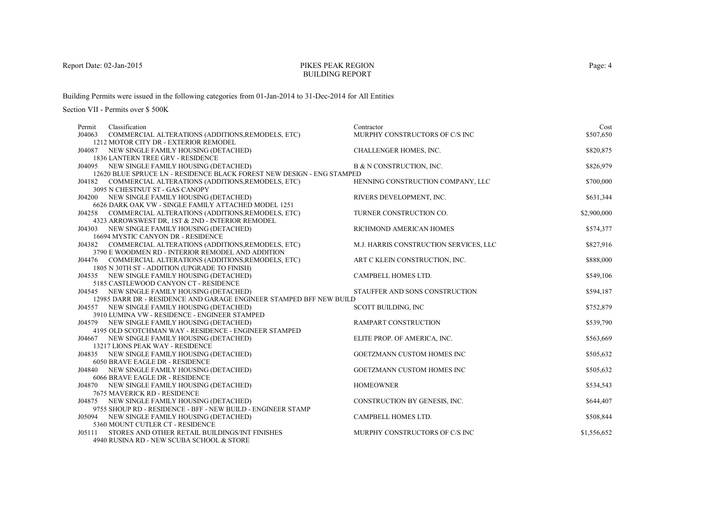# PIKES PEAK REGIONBUILDING REPORT

Building Permits were issued in the following categories from 01-Jan-2014 to 31-Dec-2014 for All Entities

| COMMERCIAL ALTERATIONS (ADDITIONS, REMODELS, ETC)<br>MURPHY CONSTRUCTORS OF C/S INC<br>\$507,650<br>J04063<br>1212 MOTOR CITY DR - EXTERIOR REMODEL<br>\$820,875<br>CHALLENGER HOMES, INC.<br>J04087 NEW SINGLE FAMILY HOUSING (DETACHED)<br>1836 LANTERN TREE GRV - RESIDENCE<br>\$826,979<br>B & N CONSTRUCTION, INC.<br>J04095 NEW SINGLE FAMILY HOUSING (DETACHED)<br>12620 BLUE SPRUCE LN - RESIDENCE BLACK FOREST NEW DESIGN - ENG STAMPED<br>\$700,000<br>J04182 COMMERCIAL ALTERATIONS (ADDITIONS, REMODELS, ETC)<br>HENNING CONSTRUCTION COMPANY, LLC<br>3095 N CHESTNUT ST - GAS CANOPY<br>J04200 NEW SINGLE FAMILY HOUSING (DETACHED)<br>RIVERS DEVELOPMENT, INC.<br>\$631,344<br>6626 DARK OAK VW - SINGLE FAMILY ATTACHED MODEL 1251<br>TURNER CONSTRUCTION CO.<br>\$2,900,000<br>J04258 COMMERCIAL ALTERATIONS (ADDITIONS, REMODELS, ETC)<br>4323 ARROWSWEST DR, 1ST & 2ND - INTERIOR REMODEL<br>\$574,377<br>J04303 NEW SINGLE FAMILY HOUSING (DETACHED)<br>RICHMOND AMERICAN HOMES<br>16694 MYSTIC CANYON DR - RESIDENCE<br>M.J. HARRIS CONSTRUCTION SERVICES, LLC<br>\$827,916<br>J04382 COMMERCIAL ALTERATIONS (ADDITIONS, REMODELS, ETC)<br>3790 E WOODMEN RD - INTERIOR REMODEL AND ADDITION<br>\$888,000<br>J04476 COMMERCIAL ALTERATIONS (ADDITIONS, REMODELS, ETC)<br>ART C KLEIN CONSTRUCTION, INC.<br>1805 N 30TH ST - ADDITION (UPGRADE TO FINISH)<br>J04535 NEW SINGLE FAMILY HOUSING (DETACHED)<br>CAMPBELL HOMES LTD.<br>\$549,106<br>5185 CASTLEWOOD CANYON CT - RESIDENCE<br>STAUFFER AND SONS CONSTRUCTION<br>\$594,187<br>J04545 NEW SINGLE FAMILY HOUSING (DETACHED)<br>12985 DARR DR - RESIDENCE AND GARAGE ENGINEER STAMPED BFF NEW BUILD<br>\$752,879<br>J04557 NEW SINGLE FAMILY HOUSING (DETACHED)<br>SCOTT BUILDING, INC<br>3910 LUMINA VW - RESIDENCE - ENGINEER STAMPED<br>\$539,790<br>J04579 NEW SINGLE FAMILY HOUSING (DETACHED)<br><b>RAMPART CONSTRUCTION</b><br>4195 OLD SCOTCHMAN WAY - RESIDENCE - ENGINEER STAMPED<br>ELITE PROP. OF AMERICA, INC.<br>\$563,669<br>J04667 NEW SINGLE FAMILY HOUSING (DETACHED)<br>13217 LIONS PEAK WAY - RESIDENCE<br>\$505,632<br>GOETZMANN CUSTOM HOMES INC<br>J04835 NEW SINGLE FAMILY HOUSING (DETACHED)<br>6050 BRAVE EAGLE DR - RESIDENCE<br>J04840 NEW SINGLE FAMILY HOUSING (DETACHED)<br>GOETZMANN CUSTOM HOMES INC<br>\$505,632 |
|------------------------------------------------------------------------------------------------------------------------------------------------------------------------------------------------------------------------------------------------------------------------------------------------------------------------------------------------------------------------------------------------------------------------------------------------------------------------------------------------------------------------------------------------------------------------------------------------------------------------------------------------------------------------------------------------------------------------------------------------------------------------------------------------------------------------------------------------------------------------------------------------------------------------------------------------------------------------------------------------------------------------------------------------------------------------------------------------------------------------------------------------------------------------------------------------------------------------------------------------------------------------------------------------------------------------------------------------------------------------------------------------------------------------------------------------------------------------------------------------------------------------------------------------------------------------------------------------------------------------------------------------------------------------------------------------------------------------------------------------------------------------------------------------------------------------------------------------------------------------------------------------------------------------------------------------------------------------------------------------------------------------------------------------------------------------------------------------------------------------------------------------------------------------------------------------------------------------------------------------------------------------------------------------------------------------------|
|                                                                                                                                                                                                                                                                                                                                                                                                                                                                                                                                                                                                                                                                                                                                                                                                                                                                                                                                                                                                                                                                                                                                                                                                                                                                                                                                                                                                                                                                                                                                                                                                                                                                                                                                                                                                                                                                                                                                                                                                                                                                                                                                                                                                                                                                                                                              |
|                                                                                                                                                                                                                                                                                                                                                                                                                                                                                                                                                                                                                                                                                                                                                                                                                                                                                                                                                                                                                                                                                                                                                                                                                                                                                                                                                                                                                                                                                                                                                                                                                                                                                                                                                                                                                                                                                                                                                                                                                                                                                                                                                                                                                                                                                                                              |
|                                                                                                                                                                                                                                                                                                                                                                                                                                                                                                                                                                                                                                                                                                                                                                                                                                                                                                                                                                                                                                                                                                                                                                                                                                                                                                                                                                                                                                                                                                                                                                                                                                                                                                                                                                                                                                                                                                                                                                                                                                                                                                                                                                                                                                                                                                                              |
|                                                                                                                                                                                                                                                                                                                                                                                                                                                                                                                                                                                                                                                                                                                                                                                                                                                                                                                                                                                                                                                                                                                                                                                                                                                                                                                                                                                                                                                                                                                                                                                                                                                                                                                                                                                                                                                                                                                                                                                                                                                                                                                                                                                                                                                                                                                              |
|                                                                                                                                                                                                                                                                                                                                                                                                                                                                                                                                                                                                                                                                                                                                                                                                                                                                                                                                                                                                                                                                                                                                                                                                                                                                                                                                                                                                                                                                                                                                                                                                                                                                                                                                                                                                                                                                                                                                                                                                                                                                                                                                                                                                                                                                                                                              |
|                                                                                                                                                                                                                                                                                                                                                                                                                                                                                                                                                                                                                                                                                                                                                                                                                                                                                                                                                                                                                                                                                                                                                                                                                                                                                                                                                                                                                                                                                                                                                                                                                                                                                                                                                                                                                                                                                                                                                                                                                                                                                                                                                                                                                                                                                                                              |
|                                                                                                                                                                                                                                                                                                                                                                                                                                                                                                                                                                                                                                                                                                                                                                                                                                                                                                                                                                                                                                                                                                                                                                                                                                                                                                                                                                                                                                                                                                                                                                                                                                                                                                                                                                                                                                                                                                                                                                                                                                                                                                                                                                                                                                                                                                                              |
|                                                                                                                                                                                                                                                                                                                                                                                                                                                                                                                                                                                                                                                                                                                                                                                                                                                                                                                                                                                                                                                                                                                                                                                                                                                                                                                                                                                                                                                                                                                                                                                                                                                                                                                                                                                                                                                                                                                                                                                                                                                                                                                                                                                                                                                                                                                              |
|                                                                                                                                                                                                                                                                                                                                                                                                                                                                                                                                                                                                                                                                                                                                                                                                                                                                                                                                                                                                                                                                                                                                                                                                                                                                                                                                                                                                                                                                                                                                                                                                                                                                                                                                                                                                                                                                                                                                                                                                                                                                                                                                                                                                                                                                                                                              |
|                                                                                                                                                                                                                                                                                                                                                                                                                                                                                                                                                                                                                                                                                                                                                                                                                                                                                                                                                                                                                                                                                                                                                                                                                                                                                                                                                                                                                                                                                                                                                                                                                                                                                                                                                                                                                                                                                                                                                                                                                                                                                                                                                                                                                                                                                                                              |
|                                                                                                                                                                                                                                                                                                                                                                                                                                                                                                                                                                                                                                                                                                                                                                                                                                                                                                                                                                                                                                                                                                                                                                                                                                                                                                                                                                                                                                                                                                                                                                                                                                                                                                                                                                                                                                                                                                                                                                                                                                                                                                                                                                                                                                                                                                                              |
|                                                                                                                                                                                                                                                                                                                                                                                                                                                                                                                                                                                                                                                                                                                                                                                                                                                                                                                                                                                                                                                                                                                                                                                                                                                                                                                                                                                                                                                                                                                                                                                                                                                                                                                                                                                                                                                                                                                                                                                                                                                                                                                                                                                                                                                                                                                              |
|                                                                                                                                                                                                                                                                                                                                                                                                                                                                                                                                                                                                                                                                                                                                                                                                                                                                                                                                                                                                                                                                                                                                                                                                                                                                                                                                                                                                                                                                                                                                                                                                                                                                                                                                                                                                                                                                                                                                                                                                                                                                                                                                                                                                                                                                                                                              |
|                                                                                                                                                                                                                                                                                                                                                                                                                                                                                                                                                                                                                                                                                                                                                                                                                                                                                                                                                                                                                                                                                                                                                                                                                                                                                                                                                                                                                                                                                                                                                                                                                                                                                                                                                                                                                                                                                                                                                                                                                                                                                                                                                                                                                                                                                                                              |
|                                                                                                                                                                                                                                                                                                                                                                                                                                                                                                                                                                                                                                                                                                                                                                                                                                                                                                                                                                                                                                                                                                                                                                                                                                                                                                                                                                                                                                                                                                                                                                                                                                                                                                                                                                                                                                                                                                                                                                                                                                                                                                                                                                                                                                                                                                                              |
|                                                                                                                                                                                                                                                                                                                                                                                                                                                                                                                                                                                                                                                                                                                                                                                                                                                                                                                                                                                                                                                                                                                                                                                                                                                                                                                                                                                                                                                                                                                                                                                                                                                                                                                                                                                                                                                                                                                                                                                                                                                                                                                                                                                                                                                                                                                              |
|                                                                                                                                                                                                                                                                                                                                                                                                                                                                                                                                                                                                                                                                                                                                                                                                                                                                                                                                                                                                                                                                                                                                                                                                                                                                                                                                                                                                                                                                                                                                                                                                                                                                                                                                                                                                                                                                                                                                                                                                                                                                                                                                                                                                                                                                                                                              |
|                                                                                                                                                                                                                                                                                                                                                                                                                                                                                                                                                                                                                                                                                                                                                                                                                                                                                                                                                                                                                                                                                                                                                                                                                                                                                                                                                                                                                                                                                                                                                                                                                                                                                                                                                                                                                                                                                                                                                                                                                                                                                                                                                                                                                                                                                                                              |
|                                                                                                                                                                                                                                                                                                                                                                                                                                                                                                                                                                                                                                                                                                                                                                                                                                                                                                                                                                                                                                                                                                                                                                                                                                                                                                                                                                                                                                                                                                                                                                                                                                                                                                                                                                                                                                                                                                                                                                                                                                                                                                                                                                                                                                                                                                                              |
|                                                                                                                                                                                                                                                                                                                                                                                                                                                                                                                                                                                                                                                                                                                                                                                                                                                                                                                                                                                                                                                                                                                                                                                                                                                                                                                                                                                                                                                                                                                                                                                                                                                                                                                                                                                                                                                                                                                                                                                                                                                                                                                                                                                                                                                                                                                              |
|                                                                                                                                                                                                                                                                                                                                                                                                                                                                                                                                                                                                                                                                                                                                                                                                                                                                                                                                                                                                                                                                                                                                                                                                                                                                                                                                                                                                                                                                                                                                                                                                                                                                                                                                                                                                                                                                                                                                                                                                                                                                                                                                                                                                                                                                                                                              |
|                                                                                                                                                                                                                                                                                                                                                                                                                                                                                                                                                                                                                                                                                                                                                                                                                                                                                                                                                                                                                                                                                                                                                                                                                                                                                                                                                                                                                                                                                                                                                                                                                                                                                                                                                                                                                                                                                                                                                                                                                                                                                                                                                                                                                                                                                                                              |
|                                                                                                                                                                                                                                                                                                                                                                                                                                                                                                                                                                                                                                                                                                                                                                                                                                                                                                                                                                                                                                                                                                                                                                                                                                                                                                                                                                                                                                                                                                                                                                                                                                                                                                                                                                                                                                                                                                                                                                                                                                                                                                                                                                                                                                                                                                                              |
|                                                                                                                                                                                                                                                                                                                                                                                                                                                                                                                                                                                                                                                                                                                                                                                                                                                                                                                                                                                                                                                                                                                                                                                                                                                                                                                                                                                                                                                                                                                                                                                                                                                                                                                                                                                                                                                                                                                                                                                                                                                                                                                                                                                                                                                                                                                              |
|                                                                                                                                                                                                                                                                                                                                                                                                                                                                                                                                                                                                                                                                                                                                                                                                                                                                                                                                                                                                                                                                                                                                                                                                                                                                                                                                                                                                                                                                                                                                                                                                                                                                                                                                                                                                                                                                                                                                                                                                                                                                                                                                                                                                                                                                                                                              |
|                                                                                                                                                                                                                                                                                                                                                                                                                                                                                                                                                                                                                                                                                                                                                                                                                                                                                                                                                                                                                                                                                                                                                                                                                                                                                                                                                                                                                                                                                                                                                                                                                                                                                                                                                                                                                                                                                                                                                                                                                                                                                                                                                                                                                                                                                                                              |
|                                                                                                                                                                                                                                                                                                                                                                                                                                                                                                                                                                                                                                                                                                                                                                                                                                                                                                                                                                                                                                                                                                                                                                                                                                                                                                                                                                                                                                                                                                                                                                                                                                                                                                                                                                                                                                                                                                                                                                                                                                                                                                                                                                                                                                                                                                                              |
|                                                                                                                                                                                                                                                                                                                                                                                                                                                                                                                                                                                                                                                                                                                                                                                                                                                                                                                                                                                                                                                                                                                                                                                                                                                                                                                                                                                                                                                                                                                                                                                                                                                                                                                                                                                                                                                                                                                                                                                                                                                                                                                                                                                                                                                                                                                              |
|                                                                                                                                                                                                                                                                                                                                                                                                                                                                                                                                                                                                                                                                                                                                                                                                                                                                                                                                                                                                                                                                                                                                                                                                                                                                                                                                                                                                                                                                                                                                                                                                                                                                                                                                                                                                                                                                                                                                                                                                                                                                                                                                                                                                                                                                                                                              |
|                                                                                                                                                                                                                                                                                                                                                                                                                                                                                                                                                                                                                                                                                                                                                                                                                                                                                                                                                                                                                                                                                                                                                                                                                                                                                                                                                                                                                                                                                                                                                                                                                                                                                                                                                                                                                                                                                                                                                                                                                                                                                                                                                                                                                                                                                                                              |
|                                                                                                                                                                                                                                                                                                                                                                                                                                                                                                                                                                                                                                                                                                                                                                                                                                                                                                                                                                                                                                                                                                                                                                                                                                                                                                                                                                                                                                                                                                                                                                                                                                                                                                                                                                                                                                                                                                                                                                                                                                                                                                                                                                                                                                                                                                                              |
| 6066 BRAVE EAGLE DR - RESIDENCE<br><b>HOMEOWNER</b><br>\$534,543<br>J04870 NEW SINGLE FAMILY HOUSING (DETACHED)                                                                                                                                                                                                                                                                                                                                                                                                                                                                                                                                                                                                                                                                                                                                                                                                                                                                                                                                                                                                                                                                                                                                                                                                                                                                                                                                                                                                                                                                                                                                                                                                                                                                                                                                                                                                                                                                                                                                                                                                                                                                                                                                                                                                              |
| 7675 MAVERICK RD - RESIDENCE                                                                                                                                                                                                                                                                                                                                                                                                                                                                                                                                                                                                                                                                                                                                                                                                                                                                                                                                                                                                                                                                                                                                                                                                                                                                                                                                                                                                                                                                                                                                                                                                                                                                                                                                                                                                                                                                                                                                                                                                                                                                                                                                                                                                                                                                                                 |
| \$644,407<br>J04875 NEW SINGLE FAMILY HOUSING (DETACHED)<br>CONSTRUCTION BY GENESIS, INC.                                                                                                                                                                                                                                                                                                                                                                                                                                                                                                                                                                                                                                                                                                                                                                                                                                                                                                                                                                                                                                                                                                                                                                                                                                                                                                                                                                                                                                                                                                                                                                                                                                                                                                                                                                                                                                                                                                                                                                                                                                                                                                                                                                                                                                    |
| 9755 SHOUP RD - RESIDENCE - BFF - NEW BUILD - ENGINEER STAMP                                                                                                                                                                                                                                                                                                                                                                                                                                                                                                                                                                                                                                                                                                                                                                                                                                                                                                                                                                                                                                                                                                                                                                                                                                                                                                                                                                                                                                                                                                                                                                                                                                                                                                                                                                                                                                                                                                                                                                                                                                                                                                                                                                                                                                                                 |
| J05094 NEW SINGLE FAMILY HOUSING (DETACHED)<br>CAMPBELL HOMES LTD.<br>\$508,844                                                                                                                                                                                                                                                                                                                                                                                                                                                                                                                                                                                                                                                                                                                                                                                                                                                                                                                                                                                                                                                                                                                                                                                                                                                                                                                                                                                                                                                                                                                                                                                                                                                                                                                                                                                                                                                                                                                                                                                                                                                                                                                                                                                                                                              |
| 5360 MOUNT CUTLER CT - RESIDENCE                                                                                                                                                                                                                                                                                                                                                                                                                                                                                                                                                                                                                                                                                                                                                                                                                                                                                                                                                                                                                                                                                                                                                                                                                                                                                                                                                                                                                                                                                                                                                                                                                                                                                                                                                                                                                                                                                                                                                                                                                                                                                                                                                                                                                                                                                             |
| MURPHY CONSTRUCTORS OF C/S INC<br>STORES AND OTHER RETAIL BUILDINGS/INT FINISHES<br>\$1,556,652<br>J05111                                                                                                                                                                                                                                                                                                                                                                                                                                                                                                                                                                                                                                                                                                                                                                                                                                                                                                                                                                                                                                                                                                                                                                                                                                                                                                                                                                                                                                                                                                                                                                                                                                                                                                                                                                                                                                                                                                                                                                                                                                                                                                                                                                                                                    |
| 4940 RUSINA RD - NEW SCUBA SCHOOL & STORE                                                                                                                                                                                                                                                                                                                                                                                                                                                                                                                                                                                                                                                                                                                                                                                                                                                                                                                                                                                                                                                                                                                                                                                                                                                                                                                                                                                                                                                                                                                                                                                                                                                                                                                                                                                                                                                                                                                                                                                                                                                                                                                                                                                                                                                                                    |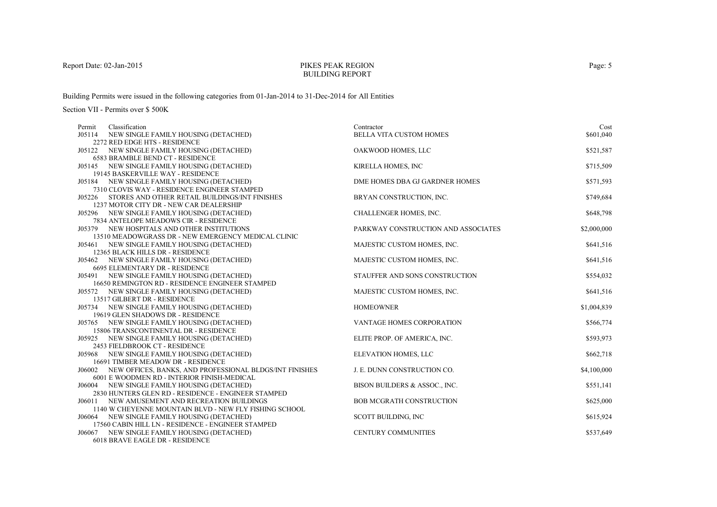# PIKES PEAK REGIONBUILDING REPORT

Building Permits were issued in the following categories from 01-Jan-2014 to 31-Dec-2014 for All Entities

| Permit | Classification                                                                       | Contractor                          | Cost        |
|--------|--------------------------------------------------------------------------------------|-------------------------------------|-------------|
|        | J05114 NEW SINGLE FAMILY HOUSING (DETACHED)                                          | <b>BELLA VITA CUSTOM HOMES</b>      | \$601,040   |
|        | 2272 RED EDGE HTS - RESIDENCE                                                        |                                     |             |
|        | J05122 NEW SINGLE FAMILY HOUSING (DETACHED)                                          | OAKWOOD HOMES, LLC                  | \$521,587   |
|        | <b>6583 BRAMBLE BEND CT - RESIDENCE</b>                                              |                                     |             |
|        | J05145 NEW SINGLE FAMILY HOUSING (DETACHED)                                          | KIRELLA HOMES, INC                  | \$715,509   |
|        | 19145 BASKERVILLE WAY - RESIDENCE                                                    |                                     |             |
|        | J05184 NEW SINGLE FAMILY HOUSING (DETACHED)                                          | DME HOMES DBA GJ GARDNER HOMES      | \$571,593   |
|        | 7310 CLOVIS WAY - RESIDENCE ENGINEER STAMPED                                         |                                     |             |
|        | J05226 STORES AND OTHER RETAIL BUILDINGS/INT FINISHES                                | BRYAN CONSTRUCTION, INC.            | \$749,684   |
|        | 1237 MOTOR CITY DR - NEW CAR DEALERSHIP                                              |                                     |             |
|        | J05296 NEW SINGLE FAMILY HOUSING (DETACHED)                                          | CHALLENGER HOMES, INC.              | \$648,798   |
|        | 7834 ANTELOPE MEADOWS CIR - RESIDENCE                                                |                                     |             |
|        | J05379 NEW HOSPITALS AND OTHER INSTITUTIONS                                          | PARKWAY CONSTRUCTION AND ASSOCIATES | \$2,000,000 |
|        | 13510 MEADOWGRASS DR - NEW EMERGENCY MEDICAL CLINIC                                  |                                     |             |
|        | J05461 NEW SINGLE FAMILY HOUSING (DETACHED)                                          | MAJESTIC CUSTOM HOMES, INC.         | \$641,516   |
|        | 12365 BLACK HILLS DR - RESIDENCE                                                     |                                     |             |
|        | J05462 NEW SINGLE FAMILY HOUSING (DETACHED)<br><b>6695 ELEMENTARY DR - RESIDENCE</b> | MAJESTIC CUSTOM HOMES, INC.         | \$641,516   |
|        | J05491 NEW SINGLE FAMILY HOUSING (DETACHED)                                          | STAUFFER AND SONS CONSTRUCTION      | \$554,032   |
|        | 16650 REMINGTON RD - RESIDENCE ENGINEER STAMPED                                      |                                     |             |
|        | J05572 NEW SINGLE FAMILY HOUSING (DETACHED)                                          | MAJESTIC CUSTOM HOMES, INC.         | \$641,516   |
|        | 13517 GILBERT DR - RESIDENCE                                                         |                                     |             |
|        | J05734 NEW SINGLE FAMILY HOUSING (DETACHED)                                          | <b>HOMEOWNER</b>                    | \$1,004,839 |
|        | 19619 GLEN SHADOWS DR - RESIDENCE                                                    |                                     |             |
|        | J05765 NEW SINGLE FAMILY HOUSING (DETACHED)                                          | VANTAGE HOMES CORPORATION           | \$566,774   |
|        | 15806 TRANSCONTINENTAL DR - RESIDENCE                                                |                                     |             |
|        | J05925 NEW SINGLE FAMILY HOUSING (DETACHED)                                          | ELITE PROP. OF AMERICA, INC.        | \$593,973   |
|        | 2453 FIELDBROOK CT - RESIDENCE                                                       |                                     |             |
|        | J05968 NEW SINGLE FAMILY HOUSING (DETACHED)                                          | ELEVATION HOMES, LLC                | \$662,718   |
|        | 16691 TIMBER MEADOW DR - RESIDENCE                                                   |                                     |             |
|        | J06002 NEW OFFICES, BANKS, AND PROFESSIONAL BLDGS/INT FINISHES                       | J. E. DUNN CONSTRUCTION CO.         | \$4,100,000 |
|        | 6001 E WOODMEN RD - INTERIOR FINISH-MEDICAL                                          |                                     |             |
| J06004 | NEW SINGLE FAMILY HOUSING (DETACHED)                                                 | BISON BUILDERS & ASSOC., INC.       | \$551,141   |
|        | 2830 HUNTERS GLEN RD - RESIDENCE - ENGINEER STAMPED                                  |                                     |             |
|        | J06011 NEW AMUSEMENT AND RECREATION BUILDINGS                                        | <b>BOB MCGRATH CONSTRUCTION</b>     | \$625,000   |
|        | 1140 W CHEYENNE MOUNTAIN BLVD - NEW FLY FISHING SCHOOL                               |                                     |             |
|        | J06064 NEW SINGLE FAMILY HOUSING (DETACHED)                                          | SCOTT BUILDING, INC                 | \$615,924   |
|        | 17560 CABIN HILL LN - RESIDENCE - ENGINEER STAMPED                                   |                                     |             |
|        | J06067 NEW SINGLE FAMILY HOUSING (DETACHED)                                          | <b>CENTURY COMMUNITIES</b>          | \$537,649   |
|        | 6018 BRAVE EAGLE DR - RESIDENCE                                                      |                                     |             |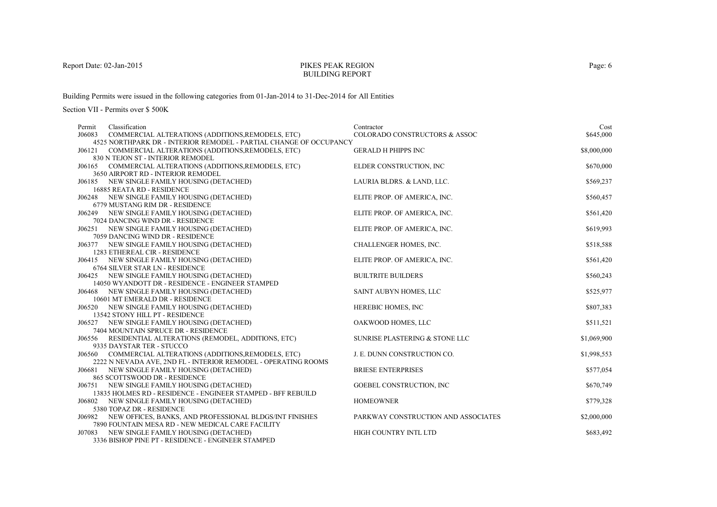### PIKES PEAK REGIONBUILDING REPORT

Building Permits were issued in the following categories from 01-Jan-2014 to 31-Dec-2014 for All Entities

| Permit | Classification                                                                        | Contractor                          | Cost        |
|--------|---------------------------------------------------------------------------------------|-------------------------------------|-------------|
| J06083 | COMMERCIAL ALTERATIONS (ADDITIONS, REMODELS, ETC)                                     | COLORADO CONSTRUCTORS & ASSOC       | \$645,000   |
|        | 4525 NORTHPARK DR - INTERIOR REMODEL - PARTIAL CHANGE OF OCCUPANCY                    |                                     |             |
| J06121 | COMMERCIAL ALTERATIONS (ADDITIONS, REMODELS, ETC)                                     | <b>GERALD H PHIPPS INC</b>          | \$8,000,000 |
|        | 830 N TEJON ST - INTERIOR REMODEL                                                     |                                     |             |
|        | J06165 COMMERCIAL ALTERATIONS (ADDITIONS, REMODELS, ETC)                              | ELDER CONSTRUCTION, INC.            | \$670,000   |
|        | 3650 AIRPORT RD - INTERIOR REMODEL                                                    |                                     |             |
|        | J06185 NEW SINGLE FAMILY HOUSING (DETACHED)                                           | LAURIA BLDRS. & LAND, LLC.          | \$569,237   |
|        | 16885 REATA RD - RESIDENCE                                                            |                                     |             |
|        | J06248 NEW SINGLE FAMILY HOUSING (DETACHED)<br>6779 MUSTANG RIM DR - RESIDENCE        | ELITE PROP. OF AMERICA, INC.        | \$560,457   |
|        | J06249 NEW SINGLE FAMILY HOUSING (DETACHED)                                           | ELITE PROP. OF AMERICA, INC.        | \$561,420   |
|        | 7024 DANCING WIND DR - RESIDENCE                                                      |                                     |             |
|        | J06251 NEW SINGLE FAMILY HOUSING (DETACHED)                                           | ELITE PROP. OF AMERICA, INC.        | \$619,993   |
|        | 7059 DANCING WIND DR - RESIDENCE                                                      |                                     |             |
|        | J06377 NEW SINGLE FAMILY HOUSING (DETACHED)                                           | CHALLENGER HOMES, INC.              | \$518,588   |
|        | 1283 ETHEREAL CIR - RESIDENCE                                                         |                                     |             |
|        | J06415 NEW SINGLE FAMILY HOUSING (DETACHED)                                           | ELITE PROP. OF AMERICA, INC.        | \$561,420   |
|        | 6764 SILVER STAR LN - RESIDENCE                                                       |                                     |             |
|        | J06425 NEW SINGLE FAMILY HOUSING (DETACHED)                                           | <b>BUILTRITE BUILDERS</b>           | \$560,243   |
|        | 14050 WYANDOTT DR - RESIDENCE - ENGINEER STAMPED                                      |                                     |             |
| J06468 | NEW SINGLE FAMILY HOUSING (DETACHED)                                                  | SAINT AUBYN HOMES, LLC              | \$525,977   |
|        | 10601 MT EMERALD DR - RESIDENCE                                                       |                                     |             |
|        | J06520 NEW SINGLE FAMILY HOUSING (DETACHED)                                           | HEREBIC HOMES, INC                  | \$807,383   |
|        | 13542 STONY HILL PT - RESIDENCE                                                       |                                     |             |
|        | J06527 NEW SINGLE FAMILY HOUSING (DETACHED)                                           | OAKWOOD HOMES, LLC                  | \$511,521   |
|        | 7404 MOUNTAIN SPRUCE DR - RESIDENCE                                                   |                                     |             |
|        | J06556 RESIDENTIAL ALTERATIONS (REMODEL, ADDITIONS, ETC)<br>9335 DAYSTAR TER - STUCCO | SUNRISE PLASTERING & STONE LLC      | \$1,069,900 |
|        | J06560 COMMERCIAL ALTERATIONS (ADDITIONS, REMODELS, ETC)                              | J. E. DUNN CONSTRUCTION CO.         | \$1,998,553 |
|        | 2222 N NEVADA AVE, 2ND FL - INTERIOR REMODEL - OPERATING ROOMS                        |                                     |             |
|        | J06681 NEW SINGLE FAMILY HOUSING (DETACHED)                                           | <b>BRIESE ENTERPRISES</b>           | \$577,054   |
|        | 865 SCOTTSWOOD DR - RESIDENCE                                                         |                                     |             |
|        | J06751 NEW SINGLE FAMILY HOUSING (DETACHED)                                           | <b>GOEBEL CONSTRUCTION, INC.</b>    | \$670,749   |
|        | 13835 HOLMES RD - RESIDENCE - ENGINEER STAMPED - BFF REBUILD                          |                                     |             |
|        | J06802 NEW SINGLE FAMILY HOUSING (DETACHED)                                           | <b>HOMEOWNER</b>                    | \$779,328   |
|        | 5380 TOPAZ DR - RESIDENCE                                                             |                                     |             |
|        | J06982 NEW OFFICES, BANKS, AND PROFESSIONAL BLDGS/INT FINISHES                        | PARKWAY CONSTRUCTION AND ASSOCIATES | \$2,000,000 |
|        | 7890 FOUNTAIN MESA RD - NEW MEDICAL CARE FACILITY                                     |                                     |             |
|        | J07083 NEW SINGLE FAMILY HOUSING (DETACHED)                                           | HIGH COUNTRY INTL LTD               | \$683,492   |
|        | 3336 BISHOP PINE PT - RESIDENCE - ENGINEER STAMPED                                    |                                     |             |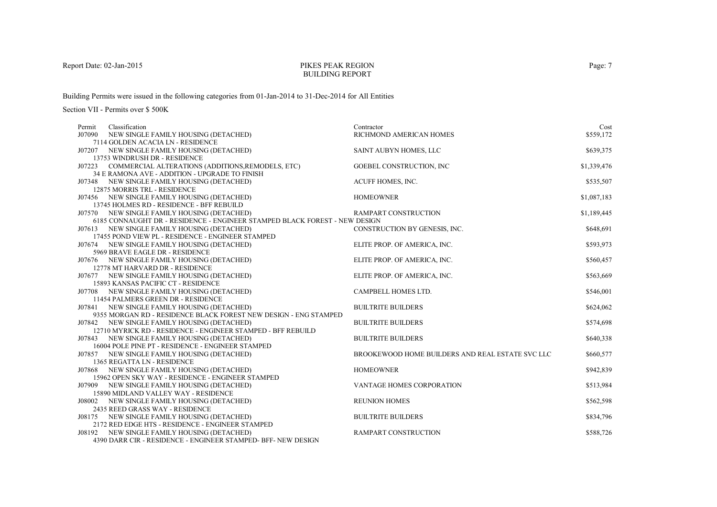# PIKES PEAK REGIONBUILDING REPORT

Building Permits were issued in the following categories from 01-Jan-2014 to 31-Dec-2014 for All Entities

| Permit | Classification                                                                                               | Contractor                                       | Cost        |
|--------|--------------------------------------------------------------------------------------------------------------|--------------------------------------------------|-------------|
| J07090 | NEW SINGLE FAMILY HOUSING (DETACHED)                                                                         | RICHMOND AMERICAN HOMES                          | \$559,172   |
|        | 7114 GOLDEN ACACIA LN - RESIDENCE                                                                            |                                                  |             |
|        | J07207 NEW SINGLE FAMILY HOUSING (DETACHED)                                                                  | SAINT AUBYN HOMES, LLC                           | \$639,375   |
|        | 13753 WINDRUSH DR - RESIDENCE                                                                                |                                                  |             |
|        | J07223 COMMERCIAL ALTERATIONS (ADDITIONS, REMODELS, ETC)                                                     | GOEBEL CONSTRUCTION, INC                         | \$1,339,476 |
|        | 34 E RAMONA AVE - ADDITION - UPGRADE TO FINISH                                                               |                                                  |             |
| J07348 | NEW SINGLE FAMILY HOUSING (DETACHED)                                                                         | ACUFF HOMES, INC.                                | \$535,507   |
|        | 12875 MORRIS TRL - RESIDENCE                                                                                 |                                                  |             |
|        | J07456 NEW SINGLE FAMILY HOUSING (DETACHED)                                                                  | <b>HOMEOWNER</b>                                 | \$1,087,183 |
|        | 13745 HOLMES RD - RESIDENCE - BFF REBUILD                                                                    |                                                  |             |
|        | J07570 NEW SINGLE FAMILY HOUSING (DETACHED)                                                                  | RAMPART CONSTRUCTION                             | \$1,189,445 |
|        | 6185 CONNAUGHT DR - RESIDENCE - ENGINEER STAMPED BLACK FOREST - NEW DESIGN                                   |                                                  |             |
|        | J07613 NEW SINGLE FAMILY HOUSING (DETACHED)                                                                  | CONSTRUCTION BY GENESIS, INC.                    | \$648,691   |
|        | 17455 POND VIEW PL - RESIDENCE - ENGINEER STAMPED                                                            |                                                  |             |
|        | J07674 NEW SINGLE FAMILY HOUSING (DETACHED)                                                                  | ELITE PROP. OF AMERICA, INC.                     | \$593,973   |
|        | 5969 BRAVE EAGLE DR - RESIDENCE                                                                              |                                                  |             |
|        | J07676 NEW SINGLE FAMILY HOUSING (DETACHED)                                                                  | ELITE PROP. OF AMERICA, INC.                     | \$560,457   |
|        | 12778 MT HARVARD DR - RESIDENCE                                                                              |                                                  |             |
|        | J07677 NEW SINGLE FAMILY HOUSING (DETACHED)                                                                  | ELITE PROP. OF AMERICA, INC.                     | \$563,669   |
|        | 15893 KANSAS PACIFIC CT - RESIDENCE                                                                          |                                                  |             |
|        | J07708 NEW SINGLE FAMILY HOUSING (DETACHED)                                                                  | CAMPBELL HOMES LTD.                              | \$546,001   |
|        | 11454 PALMERS GREEN DR - RESIDENCE                                                                           |                                                  |             |
|        | J07841 NEW SINGLE FAMILY HOUSING (DETACHED)                                                                  | <b>BUILTRITE BUILDERS</b>                        | \$624,062   |
|        | 9355 MORGAN RD - RESIDENCE BLACK FOREST NEW DESIGN - ENG STAMPED                                             |                                                  |             |
|        | J07842 NEW SINGLE FAMILY HOUSING (DETACHED)                                                                  | <b>BUILTRITE BUILDERS</b>                        | \$574,698   |
|        | 12710 MYRICK RD - RESIDENCE - ENGINEER STAMPED - BFF REBUILD                                                 |                                                  |             |
|        | J07843 NEW SINGLE FAMILY HOUSING (DETACHED)                                                                  | <b>BUILTRITE BUILDERS</b>                        | \$640,338   |
|        | 16004 POLE PINE PT - RESIDENCE - ENGINEER STAMPED                                                            |                                                  |             |
|        | J07857 NEW SINGLE FAMILY HOUSING (DETACHED)                                                                  | BROOKEWOOD HOME BUILDERS AND REAL ESTATE SVC LLC | \$660,577   |
|        | 1365 REGATTA LN - RESIDENCE                                                                                  |                                                  |             |
|        | J07868 NEW SINGLE FAMILY HOUSING (DETACHED)                                                                  | <b>HOMEOWNER</b>                                 | \$942,839   |
|        | 15962 OPEN SKY WAY - RESIDENCE - ENGINEER STAMPED                                                            |                                                  |             |
|        | J07909 NEW SINGLE FAMILY HOUSING (DETACHED)                                                                  | VANTAGE HOMES CORPORATION                        | \$513,984   |
|        | 15890 MIDLAND VALLEY WAY - RESIDENCE                                                                         |                                                  |             |
|        | J08002 NEW SINGLE FAMILY HOUSING (DETACHED)                                                                  | <b>REUNION HOMES</b>                             | \$562,598   |
|        | 2435 REED GRASS WAY - RESIDENCE                                                                              |                                                  |             |
| J08175 | NEW SINGLE FAMILY HOUSING (DETACHED)                                                                         | <b>BUILTRITE BUILDERS</b>                        | \$834,796   |
|        | 2172 RED EDGE HTS - RESIDENCE - ENGINEER STAMPED                                                             | <b>RAMPART CONSTRUCTION</b>                      |             |
|        | J08192 NEW SINGLE FAMILY HOUSING (DETACHED)<br>4390 DARR CIR - RESIDENCE - ENGINEER STAMPED- BFF- NEW DESIGN |                                                  | \$588,726   |
|        |                                                                                                              |                                                  |             |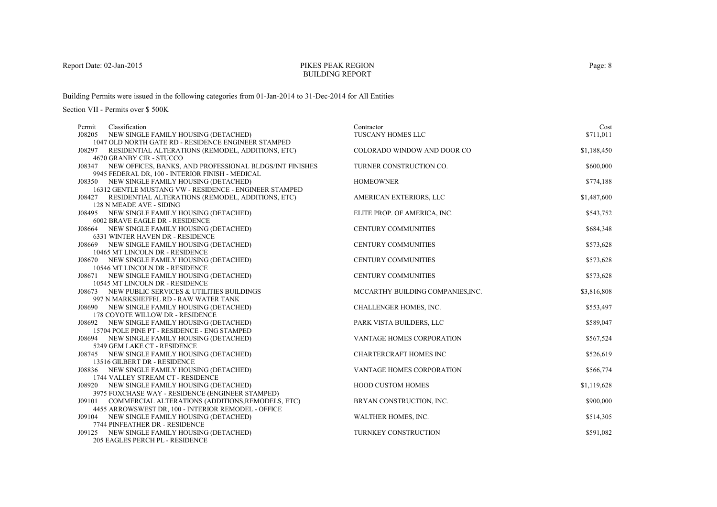# PIKES PEAK REGIONBUILDING REPORT

Building Permits were issued in the following categories from 01-Jan-2014 to 31-Dec-2014 for All Entities

| Classification<br>Permit                                                            | Contractor                        | Cost        |
|-------------------------------------------------------------------------------------|-----------------------------------|-------------|
| J08205<br>NEW SINGLE FAMILY HOUSING (DETACHED)                                      | TUSCANY HOMES LLC                 | \$711,011   |
| 1047 OLD NORTH GATE RD - RESIDENCE ENGINEER STAMPED                                 |                                   |             |
| RESIDENTIAL ALTERATIONS (REMODEL, ADDITIONS, ETC)<br>J08297                         | COLORADO WINDOW AND DOOR CO       | \$1,188,450 |
| 4670 GRANBY CIR - STUCCO                                                            |                                   |             |
| J08347 NEW OFFICES, BANKS, AND PROFESSIONAL BLDGS/INT FINISHES                      | TURNER CONSTRUCTION CO.           | \$600,000   |
| 9945 FEDERAL DR, 100 - INTERIOR FINISH - MEDICAL                                    |                                   |             |
| J08350 NEW SINGLE FAMILY HOUSING (DETACHED)                                         | <b>HOMEOWNER</b>                  | \$774,188   |
| 16312 GENTLE MUSTANG VW - RESIDENCE - ENGINEER STAMPED                              |                                   |             |
| J08427 RESIDENTIAL ALTERATIONS (REMODEL, ADDITIONS, ETC)                            | AMERICAN EXTERIORS, LLC           | \$1,487,600 |
| 128 N MEADE AVE - SIDING                                                            |                                   |             |
| J08495 NEW SINGLE FAMILY HOUSING (DETACHED)                                         | ELITE PROP. OF AMERICA, INC.      | \$543,752   |
| 6002 BRAVE EAGLE DR - RESIDENCE                                                     |                                   |             |
| J08664 NEW SINGLE FAMILY HOUSING (DETACHED)                                         | <b>CENTURY COMMUNITIES</b>        | \$684,348   |
| 6331 WINTER HAVEN DR - RESIDENCE                                                    |                                   |             |
| J08669 NEW SINGLE FAMILY HOUSING (DETACHED)                                         | <b>CENTURY COMMUNITIES</b>        | \$573,628   |
| 10465 MT LINCOLN DR - RESIDENCE                                                     |                                   |             |
| J08670 NEW SINGLE FAMILY HOUSING (DETACHED)                                         | <b>CENTURY COMMUNITIES</b>        | \$573,628   |
| 10546 MT LINCOLN DR - RESIDENCE                                                     |                                   |             |
| J08671 NEW SINGLE FAMILY HOUSING (DETACHED)                                         | <b>CENTURY COMMUNITIES</b>        | \$573,628   |
| 10545 MT LINCOLN DR - RESIDENCE<br>J08673 NEW PUBLIC SERVICES & UTILITIES BUILDINGS | MCCARTHY BUILDING COMPANIES, INC. | \$3,816,808 |
| 997 N MARKSHEFFEL RD - RAW WATER TANK                                               |                                   |             |
| J08690 NEW SINGLE FAMILY HOUSING (DETACHED)                                         | CHALLENGER HOMES, INC.            | \$553,497   |
| 178 COYOTE WILLOW DR - RESIDENCE                                                    |                                   |             |
| J08692 NEW SINGLE FAMILY HOUSING (DETACHED)                                         | PARK VISTA BUILDERS, LLC          | \$589,047   |
| 15704 POLE PINE PT - RESIDENCE - ENG STAMPED                                        |                                   |             |
| J08694 NEW SINGLE FAMILY HOUSING (DETACHED)                                         | <b>VANTAGE HOMES CORPORATION</b>  | \$567,524   |
| 5249 GEM LAKE CT - RESIDENCE                                                        |                                   |             |
| J08745 NEW SINGLE FAMILY HOUSING (DETACHED)                                         | <b>CHARTERCRAFT HOMES INC</b>     | \$526,619   |
| 13516 GILBERT DR - RESIDENCE                                                        |                                   |             |
| J08836 NEW SINGLE FAMILY HOUSING (DETACHED)                                         | VANTAGE HOMES CORPORATION         | \$566,774   |
| 1744 VALLEY STREAM CT - RESIDENCE                                                   |                                   |             |
| J08920 NEW SINGLE FAMILY HOUSING (DETACHED)                                         | <b>HOOD CUSTOM HOMES</b>          | \$1,119,628 |
| 3975 FOXCHASE WAY - RESIDENCE (ENGINEER STAMPED)                                    |                                   |             |
| J09101 COMMERCIAL ALTERATIONS (ADDITIONS, REMODELS, ETC)                            | BRYAN CONSTRUCTION, INC.          | \$900,000   |
| 4455 ARROWSWEST DR, 100 - INTERIOR REMODEL - OFFICE                                 |                                   |             |
| J09104 NEW SINGLE FAMILY HOUSING (DETACHED)                                         | WALTHER HOMES, INC.               | \$514,305   |
| 7744 PINFEATHER DR - RESIDENCE                                                      |                                   |             |
| J09125 NEW SINGLE FAMILY HOUSING (DETACHED)                                         | TURNKEY CONSTRUCTION              | \$591,082   |
| <b>205 EAGLES PERCH PL - RESIDENCE</b>                                              |                                   |             |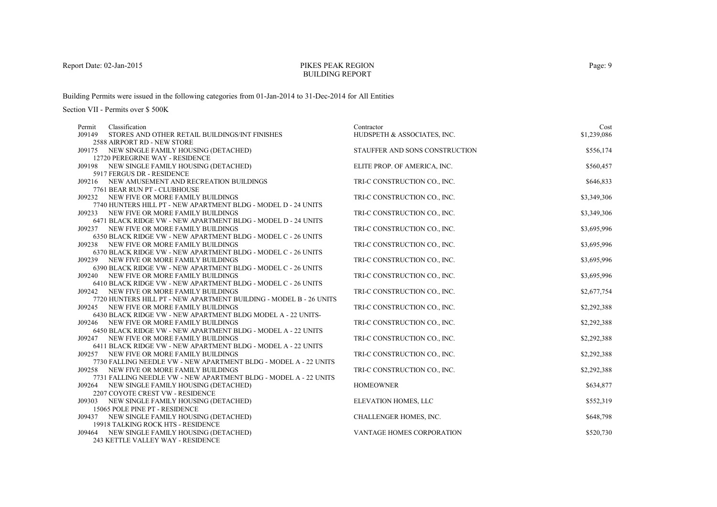# PIKES PEAK REGIONBUILDING REPORT

Building Permits were issued in the following categories from 01-Jan-2014 to 31-Dec-2014 for All Entities

| Permit | Classification                                                                                            | Contractor                     | Cost        |
|--------|-----------------------------------------------------------------------------------------------------------|--------------------------------|-------------|
| J09149 | STORES AND OTHER RETAIL BUILDINGS/INT FINISHES                                                            | HUDSPETH & ASSOCIATES, INC.    | \$1,239,086 |
|        | 2588 AIRPORT RD - NEW STORE                                                                               |                                |             |
|        | J09175 NEW SINGLE FAMILY HOUSING (DETACHED)                                                               | STAUFFER AND SONS CONSTRUCTION | \$556,174   |
|        | 12720 PEREGRINE WAY - RESIDENCE                                                                           |                                |             |
|        | J09198 NEW SINGLE FAMILY HOUSING (DETACHED)                                                               | ELITE PROP. OF AMERICA, INC.   | \$560,457   |
|        | 5917 FERGUS DR - RESIDENCE                                                                                |                                |             |
|        | J09216 NEW AMUSEMENT AND RECREATION BUILDINGS                                                             | TRI-C CONSTRUCTION CO., INC.   | \$646,833   |
|        | 7761 BEAR RUN PT - CLUBHOUSE                                                                              |                                |             |
| J09232 | NEW FIVE OR MORE FAMILY BUILDINGS                                                                         | TRI-C CONSTRUCTION CO., INC.   | \$3,349,306 |
|        | 7740 HUNTERS HILL PT - NEW APARTMENT BLDG - MODEL D - 24 UNITS                                            |                                |             |
|        | J09233 NEW FIVE OR MORE FAMILY BUILDINGS                                                                  | TRI-C CONSTRUCTION CO., INC.   | \$3,349,306 |
|        | 6471 BLACK RIDGE VW - NEW APARTMENT BLDG - MODEL D - 24 UNITS                                             |                                |             |
|        | J09237 NEW FIVE OR MORE FAMILY BUILDINGS                                                                  | TRI-C CONSTRUCTION CO., INC.   | \$3,695,996 |
|        | 6350 BLACK RIDGE VW - NEW APARTMENT BLDG - MODEL C - 26 UNITS                                             |                                |             |
| J09238 | NEW FIVE OR MORE FAMILY BUILDINGS                                                                         | TRI-C CONSTRUCTION CO., INC.   | \$3,695,996 |
|        | 6370 BLACK RIDGE VW - NEW APARTMENT BLDG - MODEL C - 26 UNITS                                             |                                |             |
|        | J09239 NEW FIVE OR MORE FAMILY BUILDINGS                                                                  | TRI-C CONSTRUCTION CO., INC.   | \$3,695,996 |
|        | 6390 BLACK RIDGE VW - NEW APARTMENT BLDG - MODEL C - 26 UNITS                                             |                                |             |
|        | J09240 NEW FIVE OR MORE FAMILY BUILDINGS                                                                  | TRI-C CONSTRUCTION CO., INC.   | \$3,695,996 |
|        | 6410 BLACK RIDGE VW - NEW APARTMENT BLDG - MODEL C - 26 UNITS                                             |                                |             |
| J09242 | NEW FIVE OR MORE FAMILY BUILDINGS                                                                         | TRI-C CONSTRUCTION CO., INC.   | \$2,677,754 |
|        | 7720 HUNTERS HILL PT - NEW APARTMENT BUILDING - MODEL B - 26 UNITS                                        |                                |             |
| J09245 | NEW FIVE OR MORE FAMILY BUILDINGS                                                                         | TRI-C CONSTRUCTION CO., INC.   | \$2,292,388 |
|        | 6430 BLACK RIDGE VW - NEW APARTMENT BLDG MODEL A - 22 UNITS-                                              |                                |             |
|        | J09246 NEW FIVE OR MORE FAMILY BUILDINGS                                                                  | TRI-C CONSTRUCTION CO., INC.   | \$2,292,388 |
|        | 6450 BLACK RIDGE VW - NEW APARTMENT BLDG - MODEL A - 22 UNITS                                             |                                |             |
| J09247 | NEW FIVE OR MORE FAMILY BUILDINGS                                                                         | TRI-C CONSTRUCTION CO., INC.   | \$2,292,388 |
|        | 6411 BLACK RIDGE VW - NEW APARTMENT BLDG - MODEL A - 22 UNITS<br>J09257 NEW FIVE OR MORE FAMILY BUILDINGS | TRI-C CONSTRUCTION CO., INC.   |             |
|        | 7730 FALLING NEEDLE VW - NEW APARTMENT BLDG - MODEL A - 22 UNITS                                          |                                | \$2,292,388 |
|        | J09258 NEW FIVE OR MORE FAMILY BUILDINGS                                                                  | TRI-C CONSTRUCTION CO., INC.   | \$2,292,388 |
|        | 7731 FALLING NEEDLE VW - NEW APARTMENT BLDG - MODEL A - 22 UNITS                                          |                                |             |
|        | J09264 NEW SINGLE FAMILY HOUSING (DETACHED)                                                               | <b>HOMEOWNER</b>               | \$634,877   |
|        | 2207 COYOTE CREST VW - RESIDENCE                                                                          |                                |             |
| J09303 | NEW SINGLE FAMILY HOUSING (DETACHED)                                                                      | ELEVATION HOMES, LLC           | \$552,319   |
|        | 15065 POLE PINE PT - RESIDENCE                                                                            |                                |             |
|        | J09437 NEW SINGLE FAMILY HOUSING (DETACHED)                                                               | CHALLENGER HOMES, INC.         | \$648,798   |
|        | 19918 TALKING ROCK HTS - RESIDENCE                                                                        |                                |             |
|        | J09464 NEW SINGLE FAMILY HOUSING (DETACHED)                                                               | VANTAGE HOMES CORPORATION      | \$520,730   |
|        | 243 KETTLE VALLEY WAY - RESIDENCE                                                                         |                                |             |
|        |                                                                                                           |                                |             |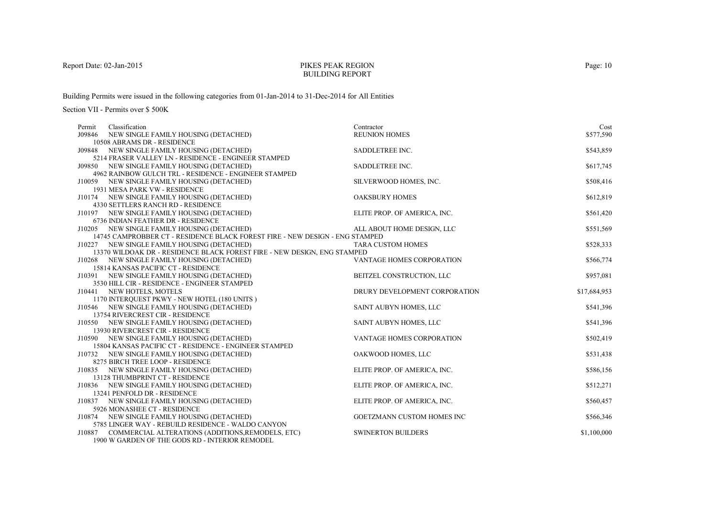#### PIKES PEAK REGIONBUILDING REPORT

Building Permits were issued in the following categories from 01-Jan-2014 to 31-Dec-2014 for All Entities

| Permit | Classification                                                                              | Contractor                    | Cost         |
|--------|---------------------------------------------------------------------------------------------|-------------------------------|--------------|
|        | J09846 NEW SINGLE FAMILY HOUSING (DETACHED)                                                 | <b>REUNION HOMES</b>          | \$577,590    |
|        | 10508 ABRAMS DR - RESIDENCE                                                                 |                               |              |
|        | J09848 NEW SINGLE FAMILY HOUSING (DETACHED)                                                 | SADDLETREE INC.               | \$543,859    |
|        | 5214 FRASER VALLEY LN - RESIDENCE - ENGINEER STAMPED                                        |                               |              |
|        | J09850 NEW SINGLE FAMILY HOUSING (DETACHED)                                                 | SADDLETREE INC.               | \$617,745    |
|        | 4962 RAINBOW GULCH TRL - RESIDENCE - ENGINEER STAMPED                                       |                               |              |
|        | J10059 NEW SINGLE FAMILY HOUSING (DETACHED)                                                 | SILVERWOOD HOMES, INC.        | \$508,416    |
|        | 1931 MESA PARK VW - RESIDENCE                                                               |                               |              |
|        | J10174 NEW SINGLE FAMILY HOUSING (DETACHED)                                                 | <b>OAKSBURY HOMES</b>         | \$612,819    |
|        | 4330 SETTLERS RANCH RD - RESIDENCE                                                          |                               |              |
|        | J10197 NEW SINGLE FAMILY HOUSING (DETACHED)                                                 | ELITE PROP. OF AMERICA, INC.  | \$561,420    |
|        | 6736 INDIAN FEATHER DR - RESIDENCE                                                          |                               |              |
|        | J10205 NEW SINGLE FAMILY HOUSING (DETACHED)                                                 | ALL ABOUT HOME DESIGN, LLC    | \$551,569    |
|        | 14745 CAMPROBBER CT - RESIDENCE BLACK FOREST FIRE - NEW DESIGN - ENG STAMPED                |                               |              |
|        | J10227 NEW SINGLE FAMILY HOUSING (DETACHED)                                                 | <b>TARA CUSTOM HOMES</b>      | \$528,333    |
|        | 13370 WILDOAK DR - RESIDENCE BLACK FOREST FIRE - NEW DESIGN, ENG STAMPED                    |                               |              |
|        | J10268 NEW SINGLE FAMILY HOUSING (DETACHED)                                                 | VANTAGE HOMES CORPORATION     | \$566,774    |
|        | 15814 KANSAS PACIFIC CT - RESIDENCE                                                         |                               |              |
|        | J10391 NEW SINGLE FAMILY HOUSING (DETACHED)<br>3530 HILL CIR - RESIDENCE - ENGINEER STAMPED | BEITZEL CONSTRUCTION, LLC     | \$957,081    |
|        | J10441 NEW HOTELS, MOTELS                                                                   | DRURY DEVELOPMENT CORPORATION |              |
|        | 1170 INTERQUEST PKWY - NEW HOTEL (180 UNITS)                                                |                               | \$17,684,953 |
|        | J10546 NEW SINGLE FAMILY HOUSING (DETACHED)                                                 | SAINT AUBYN HOMES, LLC        | \$541,396    |
|        | 13754 RIVERCREST CIR - RESIDENCE                                                            |                               |              |
|        | J10550 NEW SINGLE FAMILY HOUSING (DETACHED)                                                 | SAINT AUBYN HOMES, LLC        | \$541,396    |
|        | 13930 RIVERCREST CIR - RESIDENCE                                                            |                               |              |
|        | J10590 NEW SINGLE FAMILY HOUSING (DETACHED)                                                 | VANTAGE HOMES CORPORATION     | \$502,419    |
|        | 15804 KANSAS PACIFIC CT - RESIDENCE - ENGINEER STAMPED                                      |                               |              |
|        | J10732 NEW SINGLE FAMILY HOUSING (DETACHED)                                                 | OAKWOOD HOMES, LLC            | \$531,438    |
|        | 8275 BIRCH TREE LOOP - RESIDENCE                                                            |                               |              |
|        | J10835 NEW SINGLE FAMILY HOUSING (DETACHED)                                                 | ELITE PROP. OF AMERICA, INC.  | \$586,156    |
|        | 13128 THUMBPRINT CT - RESIDENCE                                                             |                               |              |
|        | J10836 NEW SINGLE FAMILY HOUSING (DETACHED)                                                 | ELITE PROP. OF AMERICA, INC.  | \$512,271    |
|        | 13241 PENFOLD DR - RESIDENCE                                                                |                               |              |
|        | J10837 NEW SINGLE FAMILY HOUSING (DETACHED)                                                 | ELITE PROP. OF AMERICA, INC.  | \$560,457    |
|        | 5926 MONASHEE CT - RESIDENCE                                                                |                               |              |
|        | J10874 NEW SINGLE FAMILY HOUSING (DETACHED)                                                 | GOETZMANN CUSTOM HOMES INC    | \$566,346    |
|        |                                                                                             |                               |              |
|        | 5785 LINGER WAY - REBUILD RESIDENCE - WALDO CANYON                                          |                               |              |
| J10887 | COMMERCIAL ALTERATIONS (ADDITIONS, REMODELS, ETC)                                           | <b>SWINERTON BUILDERS</b>     | \$1,100,000  |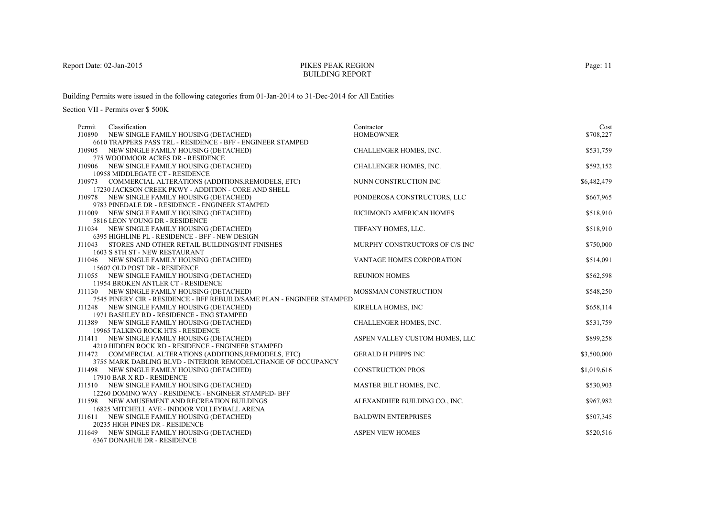### PIKES PEAK REGIONBUILDING REPORT

Building Permits were issued in the following categories from 01-Jan-2014 to 31-Dec-2014 for All Entities

| Classification<br>Permit                                                                                              | Contractor                     | Cost        |
|-----------------------------------------------------------------------------------------------------------------------|--------------------------------|-------------|
| J10890 NEW SINGLE FAMILY HOUSING (DETACHED)                                                                           | <b>HOMEOWNER</b>               | \$708,227   |
| 6610 TRAPPERS PASS TRL - RESIDENCE - BFF - ENGINEER STAMPED                                                           |                                |             |
| J10905 NEW SINGLE FAMILY HOUSING (DETACHED)                                                                           | CHALLENGER HOMES, INC.         | \$531,759   |
| 775 WOODMOOR ACRES DR - RESIDENCE                                                                                     |                                |             |
| J10906 NEW SINGLE FAMILY HOUSING (DETACHED)                                                                           | CHALLENGER HOMES, INC.         | \$592,152   |
| 10958 MIDDLEGATE CT - RESIDENCE                                                                                       |                                |             |
| J10973 COMMERCIAL ALTERATIONS (ADDITIONS, REMODELS, ETC)                                                              | NUNN CONSTRUCTION INC          | \$6,482,479 |
| 17230 JACKSON CREEK PKWY - ADDITION - CORE AND SHELL                                                                  |                                |             |
| J10978 NEW SINGLE FAMILY HOUSING (DETACHED)                                                                           | PONDEROSA CONSTRUCTORS, LLC    | \$667,965   |
| 9783 PINEDALE DR - RESIDENCE - ENGINEER STAMPED                                                                       |                                |             |
| J11009 NEW SINGLE FAMILY HOUSING (DETACHED)                                                                           | RICHMOND AMERICAN HOMES        | \$518,910   |
| 5816 LEON YOUNG DR - RESIDENCE                                                                                        |                                |             |
| J11034 NEW SINGLE FAMILY HOUSING (DETACHED)                                                                           | TIFFANY HOMES, LLC.            | \$518,910   |
| 6395 HIGHLINE PL - RESIDENCE - BFF - NEW DESIGN                                                                       |                                |             |
| STORES AND OTHER RETAIL BUILDINGS/INT FINISHES<br>J11043                                                              | MURPHY CONSTRUCTORS OF C/S INC | \$750,000   |
| 1603 S 8TH ST - NEW RESTAURANT                                                                                        |                                |             |
| J11046 NEW SINGLE FAMILY HOUSING (DETACHED)                                                                           | VANTAGE HOMES CORPORATION      | \$514,091   |
| 15607 OLD POST DR - RESIDENCE                                                                                         |                                |             |
| J11055 NEW SINGLE FAMILY HOUSING (DETACHED)                                                                           | <b>REUNION HOMES</b>           | \$562,598   |
| 11954 BROKEN ANTLER CT - RESIDENCE                                                                                    |                                |             |
| J11130 NEW SINGLE FAMILY HOUSING (DETACHED)<br>7545 PINERY CIR - RESIDENCE - BFF REBUILD/SAME PLAN - ENGINEER STAMPED | MOSSMAN CONSTRUCTION           | \$548,250   |
|                                                                                                                       |                                | \$658,114   |
| J11248 NEW SINGLE FAMILY HOUSING (DETACHED)<br>1971 BASHLEY RD - RESIDENCE - ENG STAMPED                              | KIRELLA HOMES, INC             |             |
| J11389 NEW SINGLE FAMILY HOUSING (DETACHED)                                                                           | CHALLENGER HOMES, INC.         | \$531,759   |
| 19965 TALKING ROCK HTS - RESIDENCE                                                                                    |                                |             |
| NEW SINGLE FAMILY HOUSING (DETACHED)<br>J11411                                                                        | ASPEN VALLEY CUSTOM HOMES, LLC | \$899,258   |
| 4210 HIDDEN ROCK RD - RESIDENCE - ENGINEER STAMPED                                                                    |                                |             |
| J11472 COMMERCIAL ALTERATIONS (ADDITIONS, REMODELS, ETC)                                                              | <b>GERALD H PHIPPS INC</b>     | \$3,500,000 |
| 3755 MARK DABLING BLVD - INTERIOR REMODEL/CHANGE OF OCCUPANCY                                                         |                                |             |
| J11498 NEW SINGLE FAMILY HOUSING (DETACHED)                                                                           | <b>CONSTRUCTION PROS</b>       | \$1,019,616 |
| 17910 BAR X RD - RESIDENCE                                                                                            |                                |             |
| J11510 NEW SINGLE FAMILY HOUSING (DETACHED)                                                                           | MASTER BILT HOMES, INC.        | \$530,903   |
| 12260 DOMINO WAY - RESIDENCE - ENGINEER STAMPED- BFF                                                                  |                                |             |
| J11598 NEW AMUSEMENT AND RECREATION BUILDINGS                                                                         | ALEXANDHER BUILDING CO., INC.  | \$967,982   |
| 16825 MITCHELL AVE - INDOOR VOLLEYBALL ARENA                                                                          |                                |             |
| J11611 NEW SINGLE FAMILY HOUSING (DETACHED)                                                                           | <b>BALDWIN ENTERPRISES</b>     | \$507,345   |
| 20235 HIGH PINES DR - RESIDENCE                                                                                       |                                |             |
| J11649 NEW SINGLE FAMILY HOUSING (DETACHED)                                                                           | <b>ASPEN VIEW HOMES</b>        | \$520,516   |
| 6367 DONAHUE DR - RESIDENCE                                                                                           |                                |             |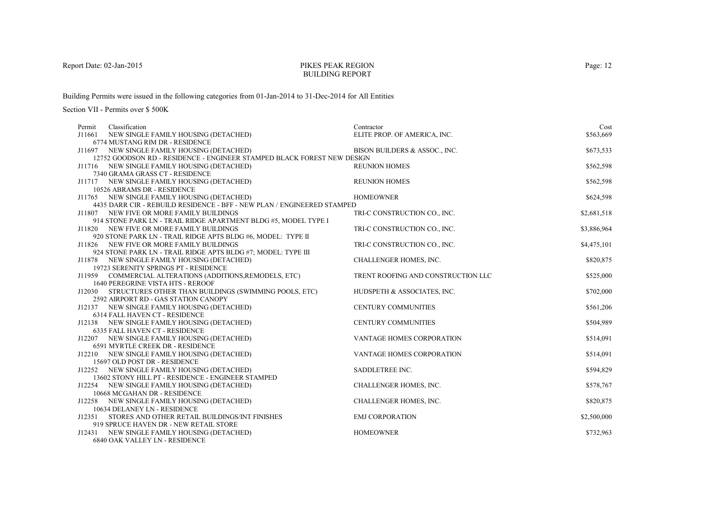#### PIKES PEAK REGIONBUILDING REPORT

Building Permits were issued in the following categories from 01-Jan-2014 to 31-Dec-2014 for All Entities

| Classification<br>Permit                                                     | Contractor                         | Cost        |
|------------------------------------------------------------------------------|------------------------------------|-------------|
| NEW SINGLE FAMILY HOUSING (DETACHED)<br>J11661                               | ELITE PROP. OF AMERICA, INC.       | \$563,669   |
| 6774 MUSTANG RIM DR - RESIDENCE                                              |                                    |             |
| J11697 NEW SINGLE FAMILY HOUSING (DETACHED)                                  | BISON BUILDERS & ASSOC., INC.      | \$673,533   |
| 12752 GOODSON RD - RESIDENCE - ENGINEER STAMPED BLACK FOREST NEW DESIGN      |                                    |             |
| J11716 NEW SINGLE FAMILY HOUSING (DETACHED)                                  | <b>REUNION HOMES</b>               | \$562,598   |
| 7340 GRAMA GRASS CT - RESIDENCE                                              |                                    |             |
| J11717 NEW SINGLE FAMILY HOUSING (DETACHED)                                  | <b>REUNION HOMES</b>               | \$562,598   |
| 10526 ABRAMS DR - RESIDENCE<br>J11765 NEW SINGLE FAMILY HOUSING (DETACHED)   | <b>HOMEOWNER</b>                   | \$624,598   |
| 4435 DARR CIR - REBUILD RESIDENCE - BFF - NEW PLAN / ENGINEERED STAMPED      |                                    |             |
| J11807 NEW FIVE OR MORE FAMILY BUILDINGS                                     | TRI-C CONSTRUCTION CO., INC.       | \$2,681,518 |
| 914 STONE PARK LN - TRAIL RIDGE APARTMENT BLDG #5, MODEL TYPE I              |                                    |             |
| J11820 NEW FIVE OR MORE FAMILY BUILDINGS                                     | TRI-C CONSTRUCTION CO., INC.       | \$3,886,964 |
| 920 STONE PARK LN - TRAIL RIDGE APTS BLDG #6, MODEL: TYPE II                 |                                    |             |
| J11826 NEW FIVE OR MORE FAMILY BUILDINGS                                     | TRI-C CONSTRUCTION CO., INC.       | \$4,475,101 |
| 924 STONE PARK LN - TRAIL RIDGE APTS BLDG #7; MODEL: TYPE III                |                                    |             |
| J11878 NEW SINGLE FAMILY HOUSING (DETACHED)                                  | CHALLENGER HOMES, INC.             | \$820,875   |
| 19723 SERENITY SPRINGS PT - RESIDENCE                                        |                                    |             |
| J11959 COMMERCIAL ALTERATIONS (ADDITIONS, REMODELS, ETC)                     | TRENT ROOFING AND CONSTRUCTION LLC | \$525,000   |
| 1640 PEREGRINE VISTA HTS - REROOF                                            |                                    |             |
| J12030 STRUCTURES OTHER THAN BUILDINGS (SWIMMING POOLS, ETC)                 | HUDSPETH & ASSOCIATES, INC.        | \$702,000   |
| 2592 AIRPORT RD - GAS STATION CANOPY                                         |                                    |             |
| J12137 NEW SINGLE FAMILY HOUSING (DETACHED)                                  | <b>CENTURY COMMUNITIES</b>         | \$561,206   |
| 6314 FALL HAVEN CT - RESIDENCE                                               |                                    |             |
| J12138 NEW SINGLE FAMILY HOUSING (DETACHED)                                  | <b>CENTURY COMMUNITIES</b>         | \$504,989   |
| 6335 FALL HAVEN CT - RESIDENCE                                               |                                    |             |
| J12207 NEW SINGLE FAMILY HOUSING (DETACHED)                                  | VANTAGE HOMES CORPORATION          | \$514,091   |
| 6591 MYRTLE CREEK DR - RESIDENCE                                             |                                    |             |
| J12210 NEW SINGLE FAMILY HOUSING (DETACHED)                                  | VANTAGE HOMES CORPORATION          | \$514,091   |
| 15697 OLD POST DR - RESIDENCE<br>J12252 NEW SINGLE FAMILY HOUSING (DETACHED) | SADDLETREE INC.                    | \$594,829   |
| 13602 STONY HILL PT - RESIDENCE - ENGINEER STAMPED                           |                                    |             |
| J12254 NEW SINGLE FAMILY HOUSING (DETACHED)                                  | CHALLENGER HOMES, INC.             | \$578,767   |
| 10668 MCGAHAN DR - RESIDENCE                                                 |                                    |             |
| J12258 NEW SINGLE FAMILY HOUSING (DETACHED)                                  | CHALLENGER HOMES, INC.             | \$820,875   |
| 10634 DELANEY LN - RESIDENCE                                                 |                                    |             |
| J12351 STORES AND OTHER RETAIL BUILDINGS/INT FINISHES                        | <b>EMJ CORPORATION</b>             | \$2,500,000 |
| 919 SPRUCE HAVEN DR - NEW RETAIL STORE                                       |                                    |             |
| J12431 NEW SINGLE FAMILY HOUSING (DETACHED)                                  | <b>HOMEOWNER</b>                   | \$732,963   |
| 6840 OAK VALLEY LN - RESIDENCE                                               |                                    |             |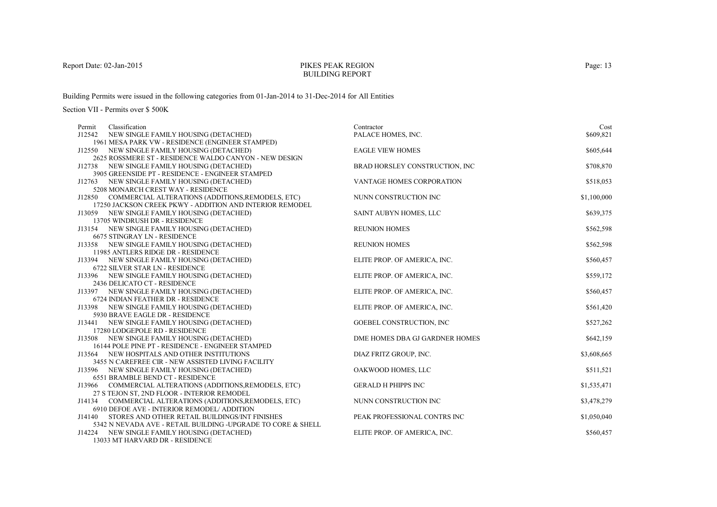# PIKES PEAK REGIONBUILDING REPORT

Building Permits were issued in the following categories from 01-Jan-2014 to 31-Dec-2014 for All Entities

| Permit | Classification                                                                               | Contractor                     | Cost        |
|--------|----------------------------------------------------------------------------------------------|--------------------------------|-------------|
| J12542 | NEW SINGLE FAMILY HOUSING (DETACHED)                                                         | PALACE HOMES, INC.             | \$609,821   |
|        | 1961 MESA PARK VW - RESIDENCE (ENGINEER STAMPED)                                             |                                |             |
|        | J12550 NEW SINGLE FAMILY HOUSING (DETACHED)                                                  | <b>EAGLE VIEW HOMES</b>        | \$605,644   |
|        | 2625 ROSSMERE ST - RESIDENCE WALDO CANYON - NEW DESIGN                                       |                                |             |
|        | J12738 NEW SINGLE FAMILY HOUSING (DETACHED)                                                  | BRAD HORSLEY CONSTRUCTION, INC | \$708,870   |
|        | 3905 GREENSIDE PT - RESIDENCE - ENGINEER STAMPED                                             |                                |             |
|        | J12763 NEW SINGLE FAMILY HOUSING (DETACHED)                                                  | VANTAGE HOMES CORPORATION      | \$518,053   |
|        | 5208 MONARCH CREST WAY - RESIDENCE                                                           |                                |             |
|        | J12850 COMMERCIAL ALTERATIONS (ADDITIONS, REMODELS, ETC)                                     | NUNN CONSTRUCTION INC          | \$1,100,000 |
|        | 17250 JACKSON CREEK PKWY - ADDITION AND INTERIOR REMODEL                                     |                                |             |
|        | J13059 NEW SINGLE FAMILY HOUSING (DETACHED)                                                  | SAINT AUBYN HOMES, LLC         | \$639,375   |
|        | 13705 WINDRUSH DR - RESIDENCE                                                                |                                |             |
|        | J13154 NEW SINGLE FAMILY HOUSING (DETACHED)                                                  | <b>REUNION HOMES</b>           | \$562,598   |
|        | <b>6675 STINGRAY LN - RESIDENCE</b>                                                          |                                |             |
|        | J13358 NEW SINGLE FAMILY HOUSING (DETACHED)                                                  | <b>REUNION HOMES</b>           | \$562,598   |
|        | 11985 ANTLERS RIDGE DR - RESIDENCE                                                           |                                |             |
|        | J13394 NEW SINGLE FAMILY HOUSING (DETACHED)                                                  | ELITE PROP. OF AMERICA, INC.   | \$560,457   |
|        | 6722 SILVER STAR LN - RESIDENCE                                                              |                                |             |
|        | J13396 NEW SINGLE FAMILY HOUSING (DETACHED)                                                  | ELITE PROP. OF AMERICA, INC.   | \$559,172   |
|        | 2436 DELICATO CT - RESIDENCE                                                                 |                                |             |
|        | J13397 NEW SINGLE FAMILY HOUSING (DETACHED)                                                  | ELITE PROP. OF AMERICA, INC.   | \$560,457   |
|        | 6724 INDIAN FEATHER DR - RESIDENCE                                                           |                                |             |
|        | J13398 NEW SINGLE FAMILY HOUSING (DETACHED)                                                  | ELITE PROP. OF AMERICA, INC.   | \$561,420   |
|        | 5930 BRAVE EAGLE DR - RESIDENCE                                                              |                                |             |
|        | J13441 NEW SINGLE FAMILY HOUSING (DETACHED)                                                  | GOEBEL CONSTRUCTION, INC       | \$527,262   |
|        | 17280 LODGEPOLE RD - RESIDENCE                                                               |                                |             |
|        | J13508 NEW SINGLE FAMILY HOUSING (DETACHED)                                                  | DME HOMES DBA GJ GARDNER HOMES | \$642,159   |
|        | 16144 POLE PINE PT - RESIDENCE - ENGINEER STAMPED                                            |                                |             |
|        | J13564 NEW HOSPITALS AND OTHER INSTITUTIONS                                                  | DIAZ FRITZ GROUP, INC.         | \$3,608,665 |
|        | 3455 N CAREFREE CIR - NEW ASSISTED LIVING FACILITY                                           |                                |             |
|        | J13596 NEW SINGLE FAMILY HOUSING (DETACHED)                                                  | OAKWOOD HOMES, LLC             | \$511,521   |
|        | 6551 BRAMBLE BEND CT - RESIDENCE<br>J13966 COMMERCIAL ALTERATIONS (ADDITIONS, REMODELS, ETC) | <b>GERALD H PHIPPS INC</b>     |             |
|        | 27 S TEJON ST, 2ND FLOOR - INTERIOR REMODEL                                                  |                                | \$1,535,471 |
|        | J14134 COMMERCIAL ALTERATIONS (ADDITIONS, REMODELS, ETC)                                     | NUNN CONSTRUCTION INC          | \$3,478,279 |
|        | 6910 DEFOE AVE - INTERIOR REMODEL/ ADDITION                                                  |                                |             |
| J14140 | STORES AND OTHER RETAIL BUILDINGS/INT FINISHES                                               | PEAK PROFESSIONAL CONTRS INC   | \$1,050,040 |
|        | 5342 N NEVADA AVE - RETAIL BUILDING -UPGRADE TO CORE & SHELL                                 |                                |             |
| J14224 | NEW SINGLE FAMILY HOUSING (DETACHED)                                                         | ELITE PROP. OF AMERICA, INC.   | \$560,457   |
|        | 13033 MT HARVARD DR - RESIDENCE                                                              |                                |             |
|        |                                                                                              |                                |             |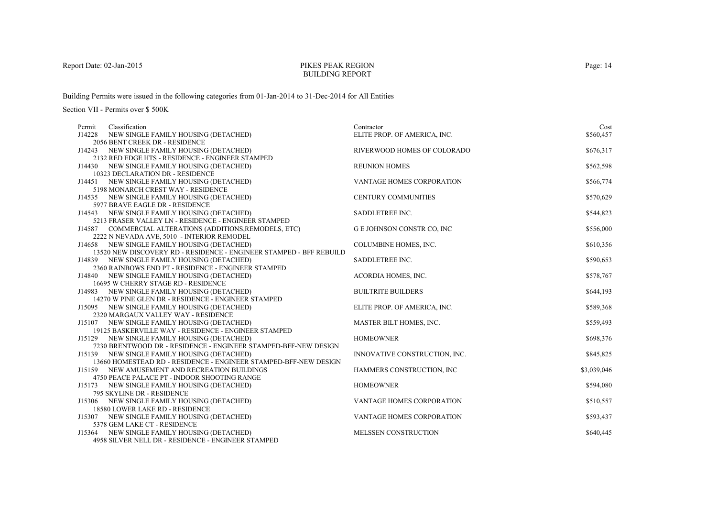### PIKES PEAK REGIONBUILDING REPORT

Building Permits were issued in the following categories from 01-Jan-2014 to 31-Dec-2014 for All Entities

| Classification<br>Permit                                                                           | Contractor                       | Cost        |
|----------------------------------------------------------------------------------------------------|----------------------------------|-------------|
| J14228<br>NEW SINGLE FAMILY HOUSING (DETACHED)                                                     | ELITE PROP. OF AMERICA, INC.     | \$560,457   |
| 2056 BENT CREEK DR - RESIDENCE                                                                     |                                  |             |
| J14243 NEW SINGLE FAMILY HOUSING (DETACHED)                                                        | RIVERWOOD HOMES OF COLORADO      | \$676,317   |
| 2132 RED EDGE HTS - RESIDENCE - ENGINEER STAMPED                                                   |                                  |             |
| J14430 NEW SINGLE FAMILY HOUSING (DETACHED)                                                        | <b>REUNION HOMES</b>             | \$562,598   |
| 10323 DECLARATION DR - RESIDENCE                                                                   |                                  |             |
| J14451 NEW SINGLE FAMILY HOUSING (DETACHED)                                                        | VANTAGE HOMES CORPORATION        | \$566,774   |
| 5198 MONARCH CREST WAY - RESIDENCE                                                                 |                                  |             |
| J14535 NEW SINGLE FAMILY HOUSING (DETACHED)                                                        | <b>CENTURY COMMUNITIES</b>       | \$570,629   |
| 5977 BRAVE EAGLE DR - RESIDENCE                                                                    |                                  |             |
| J14543 NEW SINGLE FAMILY HOUSING (DETACHED)                                                        | SADDLETREE INC.                  | \$544,823   |
| 5213 FRASER VALLEY LN - RESIDENCE - ENGINEER STAMPED                                               |                                  |             |
| J14587 COMMERCIAL ALTERATIONS (ADDITIONS, REMODELS, ETC)                                           | <b>GE JOHNSON CONSTR CO, INC</b> | \$556,000   |
| 2222 N NEVADA AVE, 5010 - INTERIOR REMODEL                                                         |                                  |             |
| J14658 NEW SINGLE FAMILY HOUSING (DETACHED)                                                        | COLUMBINE HOMES, INC.            | \$610,356   |
| 13520 NEW DISCOVERY RD - RESIDENCE - ENGINEER STAMPED - BFF REBUILD                                |                                  |             |
| J14839 NEW SINGLE FAMILY HOUSING (DETACHED)                                                        | SADDLETREE INC.                  | \$590,653   |
| 2360 RAINBOWS END PT - RESIDENCE - ENGINEER STAMPED                                                |                                  |             |
| J14840 NEW SINGLE FAMILY HOUSING (DETACHED)                                                        | ACORDIA HOMES, INC.              | \$578,767   |
| 16695 W CHERRY STAGE RD - RESIDENCE                                                                |                                  |             |
| J14983 NEW SINGLE FAMILY HOUSING (DETACHED)<br>14270 W PINE GLEN DR - RESIDENCE - ENGINEER STAMPED | <b>BUILTRITE BUILDERS</b>        | \$644,193   |
|                                                                                                    |                                  | \$589,368   |
| J15095 NEW SINGLE FAMILY HOUSING (DETACHED)<br>2320 MARGAUX VALLEY WAY - RESIDENCE                 | ELITE PROP. OF AMERICA, INC.     |             |
| J15107 NEW SINGLE FAMILY HOUSING (DETACHED)                                                        | MASTER BILT HOMES, INC.          | \$559,493   |
| 19125 BASKERVILLE WAY - RESIDENCE - ENGINEER STAMPED                                               |                                  |             |
| J15129 NEW SINGLE FAMILY HOUSING (DETACHED)                                                        | <b>HOMEOWNER</b>                 | \$698,376   |
| 7230 BRENTWOOD DR - RESIDENCE - ENGINEER STAMPED-BFF-NEW DESIGN                                    |                                  |             |
| J15139 NEW SINGLE FAMILY HOUSING (DETACHED)                                                        | INNOVATIVE CONSTRUCTION, INC.    | \$845,825   |
| 13660 HOMESTEAD RD - RESIDENCE - ENGINEER STAMPED-BFF-NEW DESIGN                                   |                                  |             |
| J15159 NEW AMUSEMENT AND RECREATION BUILDINGS                                                      | HAMMERS CONSTRUCTION, INC        | \$3,039,046 |
| 4750 PEACE PALACE PT - INDOOR SHOOTING RANGE                                                       |                                  |             |
| J15173 NEW SINGLE FAMILY HOUSING (DETACHED)                                                        | <b>HOMEOWNER</b>                 | \$594,080   |
| 795 SKYLINE DR - RESIDENCE                                                                         |                                  |             |
| J15306 NEW SINGLE FAMILY HOUSING (DETACHED)                                                        | VANTAGE HOMES CORPORATION        | \$510,557   |
| 18580 LOWER LAKE RD - RESIDENCE                                                                    |                                  |             |
| J15307 NEW SINGLE FAMILY HOUSING (DETACHED)                                                        | VANTAGE HOMES CORPORATION        | \$593,437   |
| 5378 GEM LAKE CT - RESIDENCE                                                                       |                                  |             |
| NEW SINGLE FAMILY HOUSING (DETACHED)<br>J15364                                                     | MELSSEN CONSTRUCTION             | \$640,445   |
| 4958 SILVER NELL DR - RESIDENCE - ENGINEER STAMPED                                                 |                                  |             |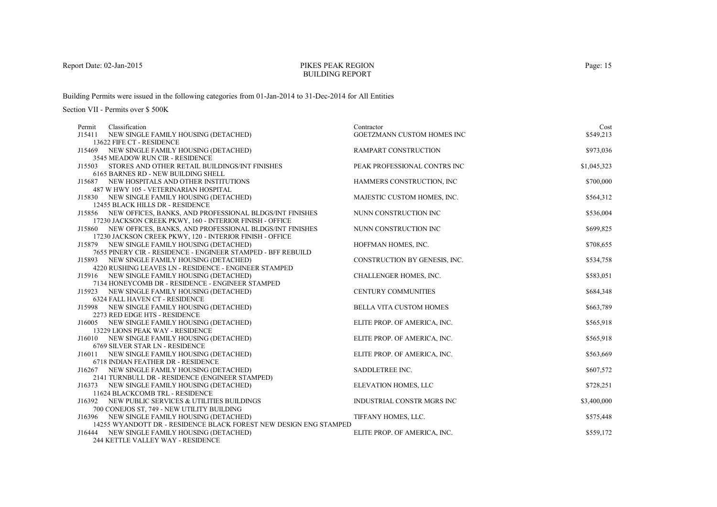# PIKES PEAK REGIONBUILDING REPORT

Building Permits were issued in the following categories from 01-Jan-2014 to 31-Dec-2014 for All Entities

| Classification<br>Permit                                                     | Contractor                    | Cost        |
|------------------------------------------------------------------------------|-------------------------------|-------------|
| NEW SINGLE FAMILY HOUSING (DETACHED)<br>J15411                               | GOETZMANN CUSTOM HOMES INC    | \$549,213   |
| 13622 FIFE CT - RESIDENCE                                                    |                               |             |
| J15469 NEW SINGLE FAMILY HOUSING (DETACHED)                                  | RAMPART CONSTRUCTION          | \$973,036   |
| 3545 MEADOW RUN CIR - RESIDENCE                                              |                               |             |
| J15503<br>STORES AND OTHER RETAIL BUILDINGS/INT FINISHES                     | PEAK PROFESSIONAL CONTRS INC  | \$1,045,323 |
| 6165 BARNES RD - NEW BUILDING SHELL                                          |                               |             |
| J15687 NEW HOSPITALS AND OTHER INSTITUTIONS                                  | HAMMERS CONSTRUCTION, INC     | \$700,000   |
| 487 W HWY 105 - VETERINARIAN HOSPITAL                                        |                               |             |
| J15830 NEW SINGLE FAMILY HOUSING (DETACHED)                                  | MAJESTIC CUSTOM HOMES, INC.   | \$564,312   |
| 12455 BLACK HILLS DR - RESIDENCE                                             |                               |             |
| J15856 NEW OFFICES, BANKS, AND PROFESSIONAL BLDGS/INT FINISHES               | NUNN CONSTRUCTION INC         | \$536,004   |
| 17230 JACKSON CREEK PKWY, 160 - INTERIOR FINISH - OFFICE                     |                               |             |
| J15860 NEW OFFICES, BANKS, AND PROFESSIONAL BLDGS/INT FINISHES               | NUNN CONSTRUCTION INC         | \$699,825   |
| 17230 JACKSON CREEK PKWY, 120 - INTERIOR FINISH - OFFICE                     |                               |             |
| J15879 NEW SINGLE FAMILY HOUSING (DETACHED)                                  | HOFFMAN HOMES, INC.           | \$708,655   |
| 7655 PINERY CIR - RESIDENCE - ENGINEER STAMPED - BFF REBUILD                 |                               |             |
| J15893 NEW SINGLE FAMILY HOUSING (DETACHED)                                  | CONSTRUCTION BY GENESIS, INC. | \$534,758   |
| 4220 RUSHING LEAVES LN - RESIDENCE - ENGINEER STAMPED                        |                               |             |
| J15916 NEW SINGLE FAMILY HOUSING (DETACHED)                                  | CHALLENGER HOMES, INC.        | \$583,051   |
| 7134 HONEYCOMB DR - RESIDENCE - ENGINEER STAMPED                             |                               |             |
| NEW SINGLE FAMILY HOUSING (DETACHED)<br>J15923                               | <b>CENTURY COMMUNITIES</b>    | \$684,348   |
| 6324 FALL HAVEN CT - RESIDENCE                                               |                               |             |
| J15998 NEW SINGLE FAMILY HOUSING (DETACHED)                                  | BELLA VITA CUSTOM HOMES       | \$663,789   |
| 2273 RED EDGE HTS - RESIDENCE<br>J16005 NEW SINGLE FAMILY HOUSING (DETACHED) | ELITE PROP. OF AMERICA, INC.  | \$565,918   |
| 13229 LIONS PEAK WAY - RESIDENCE                                             |                               |             |
| J16010 NEW SINGLE FAMILY HOUSING (DETACHED)                                  | ELITE PROP. OF AMERICA, INC.  | \$565,918   |
| 6769 SILVER STAR LN - RESIDENCE                                              |                               |             |
| J16011 NEW SINGLE FAMILY HOUSING (DETACHED)                                  | ELITE PROP. OF AMERICA, INC.  | \$563,669   |
| 6718 INDIAN FEATHER DR - RESIDENCE                                           |                               |             |
| J16267 NEW SINGLE FAMILY HOUSING (DETACHED)                                  | SADDLETREE INC.               | \$607,572   |
| 2141 TURNBULL DR - RESIDENCE (ENGINEER STAMPED)                              |                               |             |
| J16373<br>NEW SINGLE FAMILY HOUSING (DETACHED)                               | ELEVATION HOMES, LLC          | \$728,251   |
| 11624 BLACKCOMB TRL - RESIDENCE                                              |                               |             |
| J16392 NEW PUBLIC SERVICES & UTILITIES BUILDINGS                             | INDUSTRIAL CONSTR MGRS INC    | \$3,400,000 |
| 700 CONEJOS ST, 749 - NEW UTILITY BUILDING                                   |                               |             |
| J16396 NEW SINGLE FAMILY HOUSING (DETACHED)                                  | TIFFANY HOMES, LLC.           | \$575,448   |
| 14255 WYANDOTT DR - RESIDENCE BLACK FOREST NEW DESIGN ENG STAMPED            |                               |             |
| J16444<br>NEW SINGLE FAMILY HOUSING (DETACHED)                               | ELITE PROP. OF AMERICA, INC.  | \$559,172   |
| 244 KETTLE VALLEY WAY - RESIDENCE                                            |                               |             |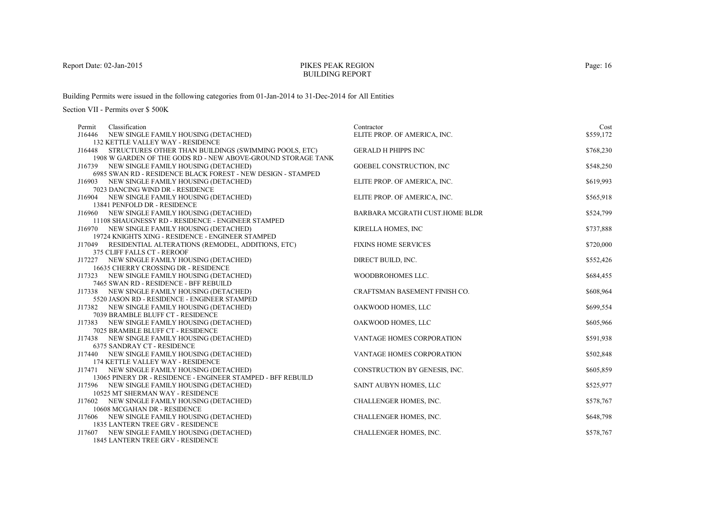# PIKES PEAK REGIONBUILDING REPORT

Building Permits were issued in the following categories from 01-Jan-2014 to 31-Dec-2014 for All Entities

| Permit | Classification                                                                        | Contractor                     | Cost      |
|--------|---------------------------------------------------------------------------------------|--------------------------------|-----------|
| J16446 | NEW SINGLE FAMILY HOUSING (DETACHED)                                                  | ELITE PROP. OF AMERICA, INC.   | \$559,172 |
|        | <b>132 KETTLE VALLEY WAY - RESIDENCE</b>                                              |                                |           |
| J16448 | STRUCTURES OTHER THAN BUILDINGS (SWIMMING POOLS, ETC)                                 | <b>GERALD H PHIPPS INC</b>     | \$768,230 |
|        | 1908 W GARDEN OF THE GODS RD - NEW ABOVE-GROUND STORAGE TANK                          |                                |           |
|        | J16739 NEW SINGLE FAMILY HOUSING (DETACHED)                                           | GOEBEL CONSTRUCTION, INC       | \$548,250 |
|        | 6985 SWAN RD - RESIDENCE BLACK FOREST - NEW DESIGN - STAMPED                          |                                |           |
|        | J16903 NEW SINGLE FAMILY HOUSING (DETACHED)                                           | ELITE PROP. OF AMERICA, INC.   | \$619,993 |
|        | 7023 DANCING WIND DR - RESIDENCE                                                      |                                |           |
|        | J16904 NEW SINGLE FAMILY HOUSING (DETACHED)                                           | ELITE PROP. OF AMERICA, INC.   | \$565,918 |
|        | 13841 PENFOLD DR - RESIDENCE                                                          |                                |           |
|        | J16960 NEW SINGLE FAMILY HOUSING (DETACHED)                                           | BARBARA MCGRATH CUST.HOME BLDR | \$524,799 |
|        | 11108 SHAUGNESSY RD - RESIDENCE - ENGINEER STAMPED                                    |                                |           |
|        | J16970 NEW SINGLE FAMILY HOUSING (DETACHED)                                           | KIRELLA HOMES, INC             | \$737,888 |
|        | 19724 KNIGHTS XING - RESIDENCE - ENGINEER STAMPED                                     |                                |           |
| J17049 | RESIDENTIAL ALTERATIONS (REMODEL, ADDITIONS, ETC)                                     | <b>FIXINS HOME SERVICES</b>    | \$720,000 |
|        | 375 CLIFF FALLS CT - REROOF                                                           |                                |           |
|        | J17227 NEW SINGLE FAMILY HOUSING (DETACHED)                                           | DIRECT BUILD, INC.             | \$552,426 |
|        | 16635 CHERRY CROSSING DR - RESIDENCE                                                  | WOODBROHOMES LLC.              |           |
|        | J17323 NEW SINGLE FAMILY HOUSING (DETACHED)<br>7465 SWAN RD - RESIDENCE - BFF REBUILD |                                | \$684,455 |
|        | J17338 NEW SINGLE FAMILY HOUSING (DETACHED)                                           | CRAFTSMAN BASEMENT FINISH CO.  | \$608,964 |
|        | 5520 JASON RD - RESIDENCE - ENGINEER STAMPED                                          |                                |           |
|        | J17382 NEW SINGLE FAMILY HOUSING (DETACHED)                                           | OAKWOOD HOMES, LLC             | \$699,554 |
|        | 7039 BRAMBLE BLUFF CT - RESIDENCE                                                     |                                |           |
|        | J17383 NEW SINGLE FAMILY HOUSING (DETACHED)                                           | OAKWOOD HOMES, LLC             | \$605,966 |
|        | 7025 BRAMBLE BLUFF CT - RESIDENCE                                                     |                                |           |
|        | J17438 NEW SINGLE FAMILY HOUSING (DETACHED)                                           | VANTAGE HOMES CORPORATION      | \$591,938 |
|        | 6375 SANDRAY CT - RESIDENCE                                                           |                                |           |
|        | J17440 NEW SINGLE FAMILY HOUSING (DETACHED)                                           | VANTAGE HOMES CORPORATION      | \$502,848 |
|        | 174 KETTLE VALLEY WAY - RESIDENCE                                                     |                                |           |
|        | J17471 NEW SINGLE FAMILY HOUSING (DETACHED)                                           | CONSTRUCTION BY GENESIS, INC.  | \$605,859 |
|        | 13065 PINERY DR - RESIDENCE - ENGINEER STAMPED - BFF REBUILD                          |                                |           |
|        | J17596 NEW SINGLE FAMILY HOUSING (DETACHED)                                           | SAINT AUBYN HOMES, LLC         | \$525,977 |
|        | 10525 MT SHERMAN WAY - RESIDENCE                                                      |                                |           |
|        | J17602 NEW SINGLE FAMILY HOUSING (DETACHED)                                           | CHALLENGER HOMES, INC.         | \$578,767 |
|        | 10608 MCGAHAN DR - RESIDENCE                                                          |                                |           |
|        | J17606 NEW SINGLE FAMILY HOUSING (DETACHED)                                           | CHALLENGER HOMES, INC.         | \$648,798 |
|        | 1835 LANTERN TREE GRV - RESIDENCE                                                     |                                |           |
|        | J17607 NEW SINGLE FAMILY HOUSING (DETACHED)                                           | CHALLENGER HOMES, INC.         | \$578,767 |
|        | 1845 LANTERN TREE GRV - RESIDENCE                                                     |                                |           |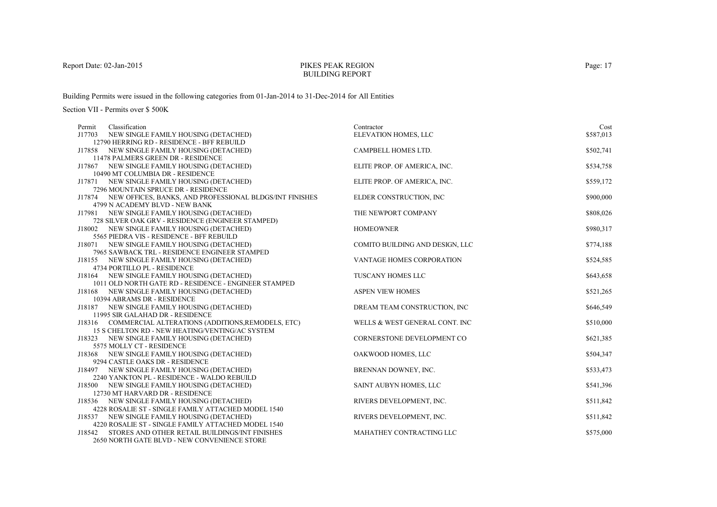### PIKES PEAK REGIONBUILDING REPORT

Building Permits were issued in the following categories from 01-Jan-2014 to 31-Dec-2014 for All Entities

| Permit | Classification                                                                                              | Contractor                      | Cost      |
|--------|-------------------------------------------------------------------------------------------------------------|---------------------------------|-----------|
|        | J17703 NEW SINGLE FAMILY HOUSING (DETACHED)                                                                 | ELEVATION HOMES, LLC            | \$587,013 |
|        | 12790 HERRING RD - RESIDENCE - BFF REBUILD                                                                  |                                 |           |
|        | J17858 NEW SINGLE FAMILY HOUSING (DETACHED)                                                                 | CAMPBELL HOMES LTD.             | \$502,741 |
|        | 11478 PALMERS GREEN DR - RESIDENCE                                                                          |                                 |           |
|        | J17867 NEW SINGLE FAMILY HOUSING (DETACHED)                                                                 | ELITE PROP. OF AMERICA, INC.    | \$534,758 |
|        | 10490 MT COLUMBIA DR - RESIDENCE                                                                            |                                 |           |
|        | J17871 NEW SINGLE FAMILY HOUSING (DETACHED)                                                                 | ELITE PROP. OF AMERICA, INC.    | \$559,172 |
|        | 7296 MOUNTAIN SPRUCE DR - RESIDENCE                                                                         |                                 |           |
|        | J17874 NEW OFFICES, BANKS, AND PROFESSIONAL BLDGS/INT FINISHES                                              | ELDER CONSTRUCTION, INC.        | \$900,000 |
|        | 4799 N ACADEMY BLVD - NEW BANK                                                                              |                                 |           |
|        | J17981 NEW SINGLE FAMILY HOUSING (DETACHED)                                                                 | THE NEWPORT COMPANY             | \$808,026 |
|        | 728 SILVER OAK GRV - RESIDENCE (ENGINEER STAMPED)                                                           |                                 |           |
|        | J18002 NEW SINGLE FAMILY HOUSING (DETACHED)                                                                 | <b>HOMEOWNER</b>                | \$980,317 |
|        | 5565 PIEDRA VIS - RESIDENCE - BFF REBUILD                                                                   |                                 |           |
|        | J18071 NEW SINGLE FAMILY HOUSING (DETACHED)                                                                 | COMITO BUILDING AND DESIGN, LLC | \$774,188 |
|        | 7965 SAWBACK TRL - RESIDENCE ENGINEER STAMPED                                                               |                                 |           |
|        | J18155 NEW SINGLE FAMILY HOUSING (DETACHED)                                                                 | VANTAGE HOMES CORPORATION       | \$524,585 |
|        | 4734 PORTILLO PL - RESIDENCE                                                                                |                                 |           |
|        | J18164 NEW SINGLE FAMILY HOUSING (DETACHED)                                                                 | TUSCANY HOMES LLC               | \$643,658 |
|        | 1011 OLD NORTH GATE RD - RESIDENCE - ENGINEER STAMPED                                                       |                                 |           |
|        | J18168 NEW SINGLE FAMILY HOUSING (DETACHED)                                                                 | <b>ASPEN VIEW HOMES</b>         | \$521,265 |
|        | 10394 ABRAMS DR - RESIDENCE                                                                                 |                                 |           |
|        | J18187 NEW SINGLE FAMILY HOUSING (DETACHED)                                                                 | DREAM TEAM CONSTRUCTION, INC    | \$646,549 |
|        | 11995 SIR GALAHAD DR - RESIDENCE                                                                            |                                 |           |
|        | J18316 COMMERCIAL ALTERATIONS (ADDITIONS, REMODELS, ETC)<br>15 S CHELTON RD - NEW HEATING/VENTING/AC SYSTEM | WELLS & WEST GENERAL CONT. INC  | \$510,000 |
|        | J18323 NEW SINGLE FAMILY HOUSING (DETACHED)                                                                 | CORNERSTONE DEVELOPMENT CO      | \$621,385 |
|        | 5575 MOLLY CT - RESIDENCE                                                                                   |                                 |           |
|        | J18368 NEW SINGLE FAMILY HOUSING (DETACHED)                                                                 | OAKWOOD HOMES, LLC              | \$504,347 |
|        | 9294 CASTLE OAKS DR - RESIDENCE                                                                             |                                 |           |
|        | J18497 NEW SINGLE FAMILY HOUSING (DETACHED)                                                                 | BRENNAN DOWNEY, INC.            | \$533,473 |
|        | 2240 YANKTON PL - RESIDENCE - WALDO REBUILD                                                                 |                                 |           |
|        | J18500 NEW SINGLE FAMILY HOUSING (DETACHED)                                                                 | SAINT AUBYN HOMES, LLC          | \$541,396 |
|        | 12730 MT HARVARD DR - RESIDENCE                                                                             |                                 |           |
|        | J18536 NEW SINGLE FAMILY HOUSING (DETACHED)                                                                 | RIVERS DEVELOPMENT, INC.        | \$511,842 |
|        | 4228 ROSALIE ST - SINGLE FAMILY ATTACHED MODEL 1540                                                         |                                 |           |
|        | J18537 NEW SINGLE FAMILY HOUSING (DETACHED)                                                                 | RIVERS DEVELOPMENT, INC.        | \$511,842 |
|        | 4220 ROSALIE ST - SINGLE FAMILY ATTACHED MODEL 1540                                                         |                                 |           |
| J18542 | STORES AND OTHER RETAIL BUILDINGS/INT FINISHES                                                              | MAHATHEY CONTRACTING LLC        | \$575,000 |
|        | 2650 NORTH GATE BLVD - NEW CONVENIENCE STORE                                                                |                                 |           |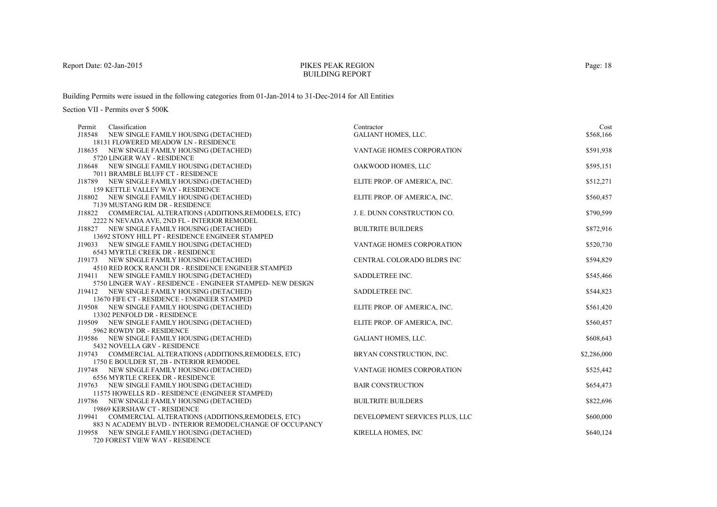# PIKES PEAK REGIONBUILDING REPORT

Building Permits were issued in the following categories from 01-Jan-2014 to 31-Dec-2014 for All Entities

| Classification<br>Permit                                                                    | Contractor                     | Cost        |
|---------------------------------------------------------------------------------------------|--------------------------------|-------------|
| NEW SINGLE FAMILY HOUSING (DETACHED)<br>J18548                                              | <b>GALIANT HOMES, LLC.</b>     | \$568,166   |
| 18131 FLOWERED MEADOW LN - RESIDENCE                                                        |                                |             |
| J18635 NEW SINGLE FAMILY HOUSING (DETACHED)                                                 | VANTAGE HOMES CORPORATION      | \$591,938   |
| 5720 LINGER WAY - RESIDENCE                                                                 |                                |             |
| J18648 NEW SINGLE FAMILY HOUSING (DETACHED)                                                 | OAKWOOD HOMES, LLC             | \$595,151   |
| 7011 BRAMBLE BLUFF CT - RESIDENCE                                                           |                                |             |
| J18789 NEW SINGLE FAMILY HOUSING (DETACHED)                                                 | ELITE PROP. OF AMERICA, INC.   | \$512,271   |
| <b>159 KETTLE VALLEY WAY - RESIDENCE</b>                                                    |                                |             |
| J18802 NEW SINGLE FAMILY HOUSING (DETACHED)                                                 | ELITE PROP. OF AMERICA, INC.   | \$560,457   |
| 7139 MUSTANG RIM DR - RESIDENCE                                                             |                                |             |
| J18822 COMMERCIAL ALTERATIONS (ADDITIONS, REMODELS, ETC)                                    | J. E. DUNN CONSTRUCTION CO.    | \$790,599   |
| 2222 N NEVADA AVE, 2ND FL - INTERIOR REMODEL<br>J18827 NEW SINGLE FAMILY HOUSING (DETACHED) | <b>BUILTRITE BUILDERS</b>      | \$872,916   |
| 13692 STONY HILL PT - RESIDENCE ENGINEER STAMPED                                            |                                |             |
| J19033 NEW SINGLE FAMILY HOUSING (DETACHED)                                                 | VANTAGE HOMES CORPORATION      | \$520,730   |
| 6543 MYRTLE CREEK DR - RESIDENCE                                                            |                                |             |
| J19173 NEW SINGLE FAMILY HOUSING (DETACHED)                                                 | CENTRAL COLORADO BLDRS INC     | \$594,829   |
| 4510 RED ROCK RANCH DR - RESIDENCE ENGINEER STAMPED                                         |                                |             |
| J19411 NEW SINGLE FAMILY HOUSING (DETACHED)                                                 | SADDLETREE INC.                | \$545,466   |
| 5750 LINGER WAY - RESIDENCE - ENGINEER STAMPED- NEW DESIGN                                  |                                |             |
| J19412 NEW SINGLE FAMILY HOUSING (DETACHED)                                                 | SADDLETREE INC.                | \$544,823   |
| 13670 FIFE CT - RESIDENCE - ENGINEER STAMPED                                                |                                |             |
| J19508 NEW SINGLE FAMILY HOUSING (DETACHED)                                                 | ELITE PROP. OF AMERICA, INC.   | \$561,420   |
| 13302 PENFOLD DR - RESIDENCE                                                                |                                |             |
| J19509 NEW SINGLE FAMILY HOUSING (DETACHED)                                                 | ELITE PROP. OF AMERICA, INC.   | \$560,457   |
| 5962 ROWDY DR - RESIDENCE                                                                   |                                |             |
| J19586 NEW SINGLE FAMILY HOUSING (DETACHED)                                                 | <b>GALIANT HOMES, LLC.</b>     | \$608,643   |
| 5432 NOVELLA GRV - RESIDENCE                                                                |                                |             |
| J19743 COMMERCIAL ALTERATIONS (ADDITIONS, REMODELS, ETC)                                    | BRYAN CONSTRUCTION, INC.       | \$2,286,000 |
| 1750 E BOULDER ST, 2B - INTERIOR REMODEL                                                    |                                |             |
| J19748 NEW SINGLE FAMILY HOUSING (DETACHED)                                                 | VANTAGE HOMES CORPORATION      | \$525,442   |
| 6556 MYRTLE CREEK DR - RESIDENCE                                                            |                                |             |
| NEW SINGLE FAMILY HOUSING (DETACHED)<br>J19763                                              | <b>BAIR CONSTRUCTION</b>       | \$654,473   |
| 11575 HOWELLS RD - RESIDENCE (ENGINEER STAMPED)                                             |                                |             |
| J19786 NEW SINGLE FAMILY HOUSING (DETACHED)                                                 | <b>BUILTRITE BUILDERS</b>      | \$822,696   |
| 19869 KERSHAW CT - RESIDENCE                                                                |                                |             |
| COMMERCIAL ALTERATIONS (ADDITIONS, REMODELS, ETC)<br>J19941                                 | DEVELOPMENT SERVICES PLUS, LLC | \$600,000   |
| 883 N ACADEMY BLVD - INTERIOR REMODEL/CHANGE OF OCCUPANCY                                   |                                |             |
| NEW SINGLE FAMILY HOUSING (DETACHED)<br>J19958                                              | KIRELLA HOMES, INC             | \$640,124   |
| 720 FOREST VIEW WAY - RESIDENCE                                                             |                                |             |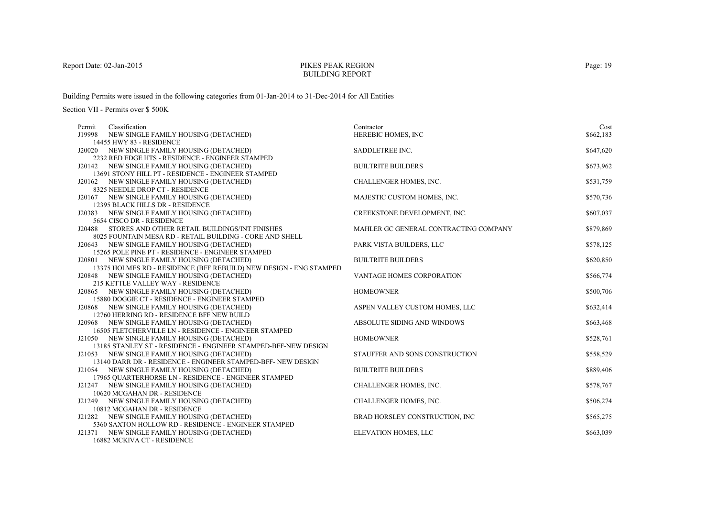#### PIKES PEAK REGIONBUILDING REPORT

Building Permits were issued in the following categories from 01-Jan-2014 to 31-Dec-2014 for All Entities

| Permit | Classification                                                                                                | Contractor                            | Cost      |
|--------|---------------------------------------------------------------------------------------------------------------|---------------------------------------|-----------|
|        | J19998 NEW SINGLE FAMILY HOUSING (DETACHED)                                                                   | HEREBIC HOMES, INC                    | \$662,183 |
|        | 14455 HWY 83 - RESIDENCE                                                                                      |                                       |           |
|        | J20020 NEW SINGLE FAMILY HOUSING (DETACHED)                                                                   | SADDLETREE INC.                       | \$647,620 |
|        | 2232 RED EDGE HTS - RESIDENCE - ENGINEER STAMPED                                                              |                                       |           |
|        | J20142 NEW SINGLE FAMILY HOUSING (DETACHED)                                                                   | <b>BUILTRITE BUILDERS</b>             | \$673,962 |
|        | 13691 STONY HILL PT - RESIDENCE - ENGINEER STAMPED                                                            |                                       |           |
|        | J20162 NEW SINGLE FAMILY HOUSING (DETACHED)                                                                   | CHALLENGER HOMES, INC.                | \$531,759 |
|        | 8325 NEEDLE DROP CT - RESIDENCE                                                                               |                                       |           |
|        | J20167 NEW SINGLE FAMILY HOUSING (DETACHED)                                                                   | MAJESTIC CUSTOM HOMES, INC.           | \$570,736 |
|        | 12395 BLACK HILLS DR - RESIDENCE                                                                              |                                       |           |
|        | J20383 NEW SINGLE FAMILY HOUSING (DETACHED)                                                                   | CREEKSTONE DEVELOPMENT, INC.          | \$607,037 |
|        | 5654 CISCO DR - RESIDENCE                                                                                     |                                       |           |
|        | J20488 STORES AND OTHER RETAIL BUILDINGS/INT FINISHES                                                         | MAHLER GC GENERAL CONTRACTING COMPANY | \$879,869 |
|        | 8025 FOUNTAIN MESA RD - RETAIL BUILDING - CORE AND SHELL                                                      |                                       |           |
|        | J20643 NEW SINGLE FAMILY HOUSING (DETACHED)                                                                   | PARK VISTA BUILDERS, LLC              | \$578,125 |
|        | 15265 POLE PINE PT - RESIDENCE - ENGINEER STAMPED                                                             |                                       |           |
|        | J20801 NEW SINGLE FAMILY HOUSING (DETACHED)                                                                   | <b>BUILTRITE BUILDERS</b>             | \$620,850 |
|        | 13375 HOLMES RD - RESIDENCE (BFF REBUILD) NEW DESIGN - ENG STAMPED                                            |                                       |           |
|        | J20848 NEW SINGLE FAMILY HOUSING (DETACHED)                                                                   | <b>VANTAGE HOMES CORPORATION</b>      | \$566,774 |
|        | 215 KETTLE VALLEY WAY - RESIDENCE                                                                             |                                       |           |
|        | J20865 NEW SINGLE FAMILY HOUSING (DETACHED)                                                                   | <b>HOMEOWNER</b>                      | \$500,706 |
|        | 15880 DOGGIE CT - RESIDENCE - ENGINEER STAMPED                                                                |                                       |           |
|        | J20868 NEW SINGLE FAMILY HOUSING (DETACHED)                                                                   | ASPEN VALLEY CUSTOM HOMES, LLC        | \$632,414 |
|        | 12760 HERRING RD - RESIDENCE BFF NEW BUILD                                                                    |                                       |           |
|        | J20968 NEW SINGLE FAMILY HOUSING (DETACHED)<br>16505 FLETCHERVILLE LN - RESIDENCE - ENGINEER STAMPED          | ABSOLUTE SIDING AND WINDOWS           | \$663,468 |
|        |                                                                                                               | <b>HOMEOWNER</b>                      |           |
|        | J21050 NEW SINGLE FAMILY HOUSING (DETACHED)<br>13185 STANLEY ST - RESIDENCE - ENGINEER STAMPED-BFF-NEW DESIGN |                                       | \$528,761 |
|        | J21053 NEW SINGLE FAMILY HOUSING (DETACHED)                                                                   | STAUFFER AND SONS CONSTRUCTION        | \$558,529 |
|        | 13140 DARR DR - RESIDENCE - ENGINEER STAMPED-BFF- NEW DESIGN                                                  |                                       |           |
|        | J21054 NEW SINGLE FAMILY HOUSING (DETACHED)                                                                   | <b>BUILTRITE BUILDERS</b>             | \$889,406 |
|        | 17965 OUARTERHORSE LN - RESIDENCE - ENGINEER STAMPED                                                          |                                       |           |
|        | J21247 NEW SINGLE FAMILY HOUSING (DETACHED)                                                                   | CHALLENGER HOMES, INC.                | \$578,767 |
|        | 10620 MCGAHAN DR - RESIDENCE                                                                                  |                                       |           |
|        | J21249 NEW SINGLE FAMILY HOUSING (DETACHED)                                                                   | CHALLENGER HOMES, INC.                | \$506,274 |
|        | 10812 MCGAHAN DR - RESIDENCE                                                                                  |                                       |           |
|        | J21282 NEW SINGLE FAMILY HOUSING (DETACHED)                                                                   | BRAD HORSLEY CONSTRUCTION, INC.       | \$565,275 |
|        | 5360 SAXTON HOLLOW RD - RESIDENCE - ENGINEER STAMPED                                                          |                                       |           |
|        | J21371 NEW SINGLE FAMILY HOUSING (DETACHED)                                                                   | ELEVATION HOMES, LLC                  | \$663,039 |
|        |                                                                                                               |                                       |           |
|        |                                                                                                               |                                       |           |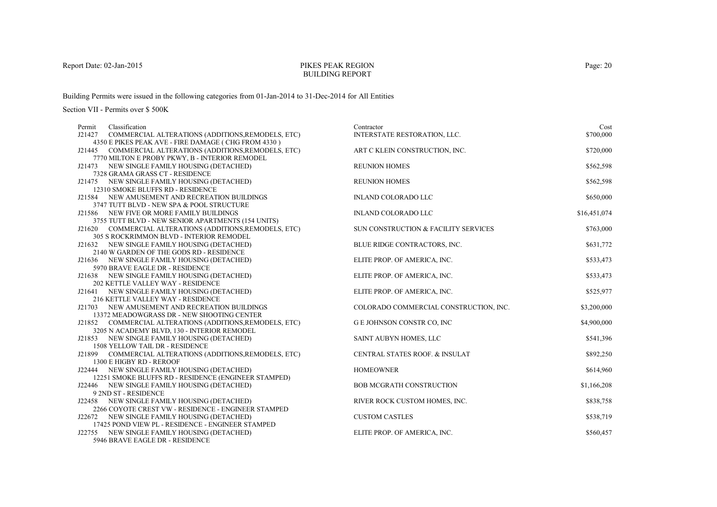# PIKES PEAK REGIONBUILDING REPORT

Building Permits were issued in the following categories from 01-Jan-2014 to 31-Dec-2014 for All Entities

| Permit | Classification                                                                              | Contractor                             | Cost         |
|--------|---------------------------------------------------------------------------------------------|----------------------------------------|--------------|
|        | J21427 COMMERCIAL ALTERATIONS (ADDITIONS, REMODELS, ETC)                                    | INTERSTATE RESTORATION, LLC.           | \$700,000    |
|        | 4350 E PIKES PEAK AVE - FIRE DAMAGE (CHG FROM 4330)                                         |                                        |              |
|        | J21445 COMMERCIAL ALTERATIONS (ADDITIONS, REMODELS, ETC)                                    | ART C KLEIN CONSTRUCTION, INC.         | \$720,000    |
|        | 7770 MILTON E PROBY PKWY, B - INTERIOR REMODEL                                              |                                        |              |
|        | J21473 NEW SINGLE FAMILY HOUSING (DETACHED)                                                 | <b>REUNION HOMES</b>                   | \$562,598    |
|        | 7328 GRAMA GRASS CT - RESIDENCE                                                             |                                        |              |
|        | J21475 NEW SINGLE FAMILY HOUSING (DETACHED)                                                 | <b>REUNION HOMES</b>                   | \$562,598    |
|        | 12310 SMOKE BLUFFS RD - RESIDENCE                                                           |                                        |              |
|        | J21584 NEW AMUSEMENT AND RECREATION BUILDINGS                                               | <b>INLAND COLORADO LLC</b>             | \$650,000    |
|        | 3747 TUTT BLVD - NEW SPA & POOL STRUCTURE                                                   |                                        |              |
|        | J21586 NEW FIVE OR MORE FAMILY BUILDINGS                                                    | <b>INLAND COLORADO LLC</b>             | \$16,451,074 |
|        | 3755 TUTT BLVD - NEW SENIOR APARTMENTS (154 UNITS)                                          |                                        |              |
|        | J21620 COMMERCIAL ALTERATIONS (ADDITIONS, REMODELS, ETC)                                    | SUN CONSTRUCTION & FACILITY SERVICES   | \$763,000    |
|        | <b>305 S ROCKRIMMON BLVD - INTERIOR REMODEL</b>                                             |                                        |              |
|        | J21632 NEW SINGLE FAMILY HOUSING (DETACHED)                                                 | BLUE RIDGE CONTRACTORS, INC.           | \$631,772    |
|        | 2140 W GARDEN OF THE GODS RD - RESIDENCE                                                    |                                        |              |
|        | J21636 NEW SINGLE FAMILY HOUSING (DETACHED)                                                 | ELITE PROP. OF AMERICA, INC.           | \$533,473    |
|        | 5970 BRAVE EAGLE DR - RESIDENCE                                                             |                                        |              |
|        | J21638 NEW SINGLE FAMILY HOUSING (DETACHED)                                                 | ELITE PROP. OF AMERICA, INC.           | \$533,473    |
|        | 202 KETTLE VALLEY WAY - RESIDENCE                                                           |                                        |              |
|        | J21641 NEW SINGLE FAMILY HOUSING (DETACHED)                                                 | ELITE PROP. OF AMERICA, INC.           | \$525,977    |
|        | 216 KETTLE VALLEY WAY - RESIDENCE                                                           |                                        |              |
|        | J21703 NEW AMUSEMENT AND RECREATION BUILDINGS                                               | COLORADO COMMERCIAL CONSTRUCTION, INC. | \$3,200,000  |
|        | 13372 MEADOWGRASS DR - NEW SHOOTING CENTER                                                  |                                        |              |
|        | J21852 COMMERCIAL ALTERATIONS (ADDITIONS, REMODELS, ETC)                                    | G E JOHNSON CONSTR CO, INC             | \$4,900,000  |
|        | 3205 N ACADEMY BLVD, 130 - INTERIOR REMODEL                                                 |                                        |              |
|        | J21853 NEW SINGLE FAMILY HOUSING (DETACHED)                                                 | SAINT AUBYN HOMES, LLC                 | \$541,396    |
|        | 1508 YELLOW TAIL DR - RESIDENCE<br>J21899 COMMERCIAL ALTERATIONS (ADDITIONS, REMODELS, ETC) | CENTRAL STATES ROOF. & INSULAT         | \$892,250    |
|        | 1300 E HIGBY RD - REROOF                                                                    |                                        |              |
|        | J22444 NEW SINGLE FAMILY HOUSING (DETACHED)                                                 | <b>HOMEOWNER</b>                       | \$614,960    |
|        | 12251 SMOKE BLUFFS RD - RESIDENCE (ENGINEER STAMPED)                                        |                                        |              |
|        | J22446 NEW SINGLE FAMILY HOUSING (DETACHED)                                                 | <b>BOB MCGRATH CONSTRUCTION</b>        | \$1,166,208  |
|        | 9 2ND ST - RESIDENCE                                                                        |                                        |              |
|        | J22458 NEW SINGLE FAMILY HOUSING (DETACHED)                                                 | RIVER ROCK CUSTOM HOMES, INC.          | \$838,758    |
|        | 2266 COYOTE CREST VW - RESIDENCE - ENGINEER STAMPED                                         |                                        |              |
|        | J22672 NEW SINGLE FAMILY HOUSING (DETACHED)                                                 | <b>CUSTOM CASTLES</b>                  | \$538,719    |
|        | 17425 POND VIEW PL - RESIDENCE - ENGINEER STAMPED                                           |                                        |              |
|        | J22755 NEW SINGLE FAMILY HOUSING (DETACHED)                                                 | ELITE PROP. OF AMERICA, INC.           | \$560,457    |
|        | 5946 BRAVE EAGLE DR - RESIDENCE                                                             |                                        |              |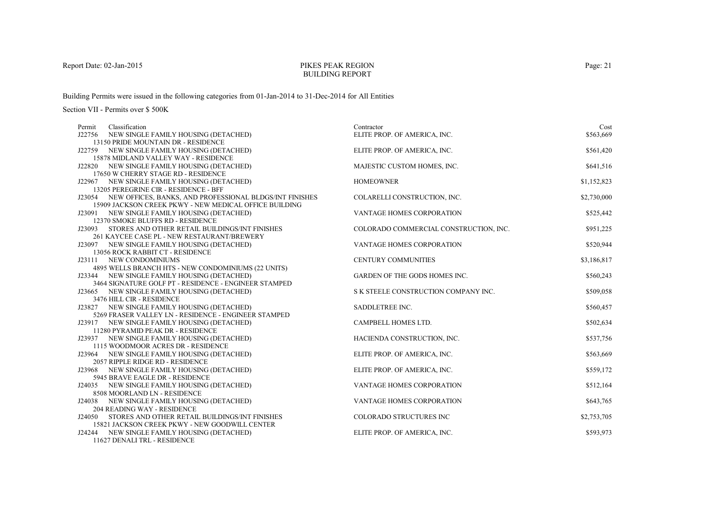# PIKES PEAK REGIONBUILDING REPORT

Building Permits were issued in the following categories from 01-Jan-2014 to 31-Dec-2014 for All Entities

| Permit | Classification                                                                                     | Contractor                             | Cost        |
|--------|----------------------------------------------------------------------------------------------------|----------------------------------------|-------------|
| J22756 | NEW SINGLE FAMILY HOUSING (DETACHED)                                                               | ELITE PROP. OF AMERICA, INC.           | \$563,669   |
|        | 13150 PRIDE MOUNTAIN DR - RESIDENCE                                                                |                                        |             |
|        | J22759 NEW SINGLE FAMILY HOUSING (DETACHED)                                                        | ELITE PROP. OF AMERICA, INC.           | \$561,420   |
|        | 15878 MIDLAND VALLEY WAY - RESIDENCE                                                               |                                        |             |
|        | J22820 NEW SINGLE FAMILY HOUSING (DETACHED)                                                        | MAJESTIC CUSTOM HOMES, INC.            | \$641,516   |
|        | 17650 W CHERRY STAGE RD - RESIDENCE                                                                |                                        |             |
|        | J22967 NEW SINGLE FAMILY HOUSING (DETACHED)                                                        | <b>HOMEOWNER</b>                       | \$1,152,823 |
|        | 13205 PEREGRINE CIR - RESIDENCE - BFF                                                              |                                        |             |
|        | J23054 NEW OFFICES, BANKS, AND PROFESSIONAL BLDGS/INT FINISHES                                     | COLARELLI CONSTRUCTION, INC.           | \$2,730,000 |
|        | 15909 JACKSON CREEK PKWY - NEW MEDICAL OFFICE BUILDING                                             |                                        |             |
|        | J23091 NEW SINGLE FAMILY HOUSING (DETACHED)                                                        | VANTAGE HOMES CORPORATION              | \$525,442   |
|        | 12370 SMOKE BLUFFS RD - RESIDENCE                                                                  |                                        |             |
|        | J23093 STORES AND OTHER RETAIL BUILDINGS/INT FINISHES                                              | COLORADO COMMERCIAL CONSTRUCTION, INC. | \$951,225   |
|        | 261 KAYCEE CASE PL - NEW RESTAURANT/BREWERY                                                        |                                        |             |
|        | J23097 NEW SINGLE FAMILY HOUSING (DETACHED)                                                        | <b>VANTAGE HOMES CORPORATION</b>       | \$520,944   |
|        | 13056 ROCK RABBIT CT - RESIDENCE                                                                   |                                        |             |
|        | J23111 NEW CONDOMINIUMS                                                                            | <b>CENTURY COMMUNITIES</b>             | \$3,186,817 |
|        | 4895 WELLS BRANCH HTS - NEW CONDOMINIUMS (22 UNITS)<br>J23344 NEW SINGLE FAMILY HOUSING (DETACHED) | GARDEN OF THE GODS HOMES INC.          |             |
|        | 3464 SIGNATURE GOLF PT - RESIDENCE - ENGINEER STAMPED                                              |                                        | \$560,243   |
|        | J23665 NEW SINGLE FAMILY HOUSING (DETACHED)                                                        | S K STEELE CONSTRUCTION COMPANY INC.   | \$509,058   |
|        | 3476 HILL CIR - RESIDENCE                                                                          |                                        |             |
|        | J23827 NEW SINGLE FAMILY HOUSING (DETACHED)                                                        | SADDLETREE INC.                        | \$560,457   |
|        | 5269 FRASER VALLEY LN - RESIDENCE - ENGINEER STAMPED                                               |                                        |             |
|        | J23917 NEW SINGLE FAMILY HOUSING (DETACHED)                                                        | CAMPBELL HOMES LTD.                    | \$502,634   |
|        | 11280 PYRAMID PEAK DR - RESIDENCE                                                                  |                                        |             |
|        | J23937 NEW SINGLE FAMILY HOUSING (DETACHED)                                                        | HACIENDA CONSTRUCTION, INC.            | \$537,756   |
|        | 1115 WOODMOOR ACRES DR - RESIDENCE                                                                 |                                        |             |
|        | J23964 NEW SINGLE FAMILY HOUSING (DETACHED)                                                        | ELITE PROP. OF AMERICA, INC.           | \$563,669   |
|        | 2057 RIPPLE RIDGE RD - RESIDENCE                                                                   |                                        |             |
|        | J23968 NEW SINGLE FAMILY HOUSING (DETACHED)                                                        | ELITE PROP. OF AMERICA, INC.           | \$559,172   |
|        | 5945 BRAVE EAGLE DR - RESIDENCE                                                                    |                                        |             |
|        | J24035 NEW SINGLE FAMILY HOUSING (DETACHED)                                                        | VANTAGE HOMES CORPORATION              | \$512,164   |
|        | 8508 MOORLAND LN - RESIDENCE                                                                       |                                        |             |
| J24038 | NEW SINGLE FAMILY HOUSING (DETACHED)                                                               | VANTAGE HOMES CORPORATION              | \$643,765   |
|        | 204 READING WAY - RESIDENCE                                                                        |                                        |             |
|        | J24050 STORES AND OTHER RETAIL BUILDINGS/INT FINISHES                                              | COLORADO STRUCTURES INC                | \$2,753,705 |
|        | 15821 JACKSON CREEK PKWY - NEW GOODWILL CENTER                                                     |                                        |             |
|        | J24244 NEW SINGLE FAMILY HOUSING (DETACHED)                                                        | ELITE PROP. OF AMERICA, INC.           | \$593,973   |
|        | 11627 DENALI TRL - RESIDENCE                                                                       |                                        |             |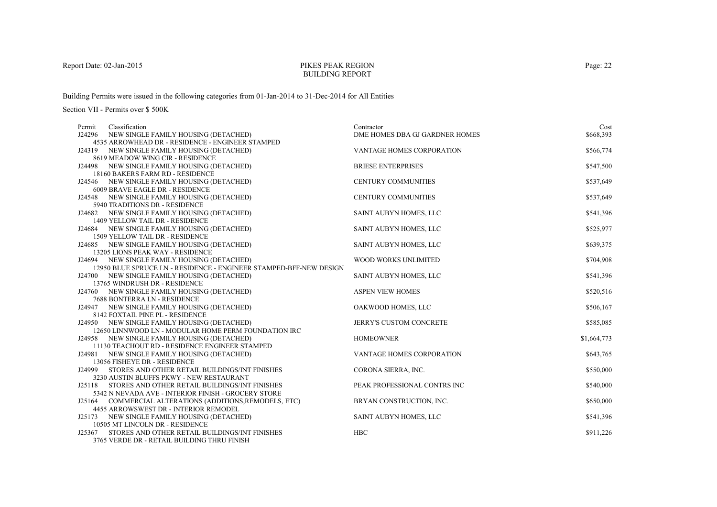# PIKES PEAK REGIONBUILDING REPORT

Building Permits were issued in the following categories from 01-Jan-2014 to 31-Dec-2014 for All Entities

| Permit | Classification                                                                  | Contractor                     | Cost        |
|--------|---------------------------------------------------------------------------------|--------------------------------|-------------|
| J24296 | NEW SINGLE FAMILY HOUSING (DETACHED)                                            | DME HOMES DBA GJ GARDNER HOMES | \$668,393   |
|        | 4535 ARROWHEAD DR - RESIDENCE - ENGINEER STAMPED                                |                                |             |
|        | J24319 NEW SINGLE FAMILY HOUSING (DETACHED)                                     | VANTAGE HOMES CORPORATION      | \$566,774   |
|        | 8619 MEADOW WING CIR - RESIDENCE                                                |                                |             |
|        | J24498 NEW SINGLE FAMILY HOUSING (DETACHED)                                     | <b>BRIESE ENTERPRISES</b>      | \$547,500   |
|        | 18160 BAKERS FARM RD - RESIDENCE                                                |                                |             |
|        | J24546 NEW SINGLE FAMILY HOUSING (DETACHED)                                     | <b>CENTURY COMMUNITIES</b>     | \$537,649   |
|        | 6009 BRAVE EAGLE DR - RESIDENCE                                                 |                                |             |
|        | J24548 NEW SINGLE FAMILY HOUSING (DETACHED)                                     | <b>CENTURY COMMUNITIES</b>     | \$537,649   |
|        | 5940 TRADITIONS DR - RESIDENCE                                                  |                                |             |
|        | J24682 NEW SINGLE FAMILY HOUSING (DETACHED)                                     | SAINT AUBYN HOMES, LLC         | \$541,396   |
|        | 1409 YELLOW TAIL DR - RESIDENCE                                                 |                                |             |
|        | J24684 NEW SINGLE FAMILY HOUSING (DETACHED)                                     | SAINT AUBYN HOMES, LLC         | \$525,977   |
|        | 1509 YELLOW TAIL DR - RESIDENCE                                                 |                                |             |
|        | J24685 NEW SINGLE FAMILY HOUSING (DETACHED)<br>13205 LIONS PEAK WAY - RESIDENCE | SAINT AUBYN HOMES, LLC         | \$639,375   |
|        | J24694 NEW SINGLE FAMILY HOUSING (DETACHED)                                     | WOOD WORKS UNLIMITED           | \$704,908   |
|        | 12950 BLUE SPRUCE LN - RESIDENCE - ENGINEER STAMPED-BFF-NEW DESIGN              |                                |             |
|        | J24700 NEW SINGLE FAMILY HOUSING (DETACHED)                                     | SAINT AUBYN HOMES, LLC         | \$541,396   |
|        | 13765 WINDRUSH DR - RESIDENCE                                                   |                                |             |
|        | J24760 NEW SINGLE FAMILY HOUSING (DETACHED)                                     | <b>ASPEN VIEW HOMES</b>        | \$520,516   |
|        | 7688 BONTERRA LN - RESIDENCE                                                    |                                |             |
|        | J24947 NEW SINGLE FAMILY HOUSING (DETACHED)                                     | OAKWOOD HOMES, LLC             | \$506,167   |
|        | 8142 FOXTAIL PINE PL - RESIDENCE                                                |                                |             |
|        | J24950 NEW SINGLE FAMILY HOUSING (DETACHED)                                     | JERRY'S CUSTOM CONCRETE        | \$585,085   |
|        | 12650 LINNWOOD LN - MODULAR HOME PERM FOUNDATION IRC                            |                                |             |
|        | J24958 NEW SINGLE FAMILY HOUSING (DETACHED)                                     | <b>HOMEOWNER</b>               | \$1,664,773 |
|        | 11130 TEACHOUT RD - RESIDENCE ENGINEER STAMPED                                  |                                |             |
|        | J24981 NEW SINGLE FAMILY HOUSING (DETACHED)                                     | VANTAGE HOMES CORPORATION      | \$643,765   |
|        | 13056 FISHEYE DR - RESIDENCE                                                    |                                |             |
| J24999 | STORES AND OTHER RETAIL BUILDINGS/INT FINISHES                                  | CORONA SIERRA, INC.            | \$550,000   |
|        | 3230 AUSTIN BLUFFS PKWY - NEW RESTAURANT                                        |                                |             |
| J25118 | STORES AND OTHER RETAIL BUILDINGS/INT FINISHES                                  | PEAK PROFESSIONAL CONTRS INC   | \$540,000   |
|        | 5342 N NEVADA AVE - INTERIOR FINISH - GROCERY STORE                             |                                |             |
|        | J25164 COMMERCIAL ALTERATIONS (ADDITIONS, REMODELS, ETC)                        | BRYAN CONSTRUCTION, INC.       | \$650,000   |
|        | 4455 ARROWSWEST DR - INTERIOR REMODEL                                           |                                |             |
|        | J25173 NEW SINGLE FAMILY HOUSING (DETACHED)                                     | SAINT AUBYN HOMES, LLC         | \$541,396   |
|        | 10505 MT LINCOLN DR - RESIDENCE                                                 |                                |             |
| J25367 | STORES AND OTHER RETAIL BUILDINGS/INT FINISHES                                  | <b>HBC</b>                     | \$911,226   |
|        | 3765 VERDE DR - RETAIL BUILDING THRU FINISH                                     |                                |             |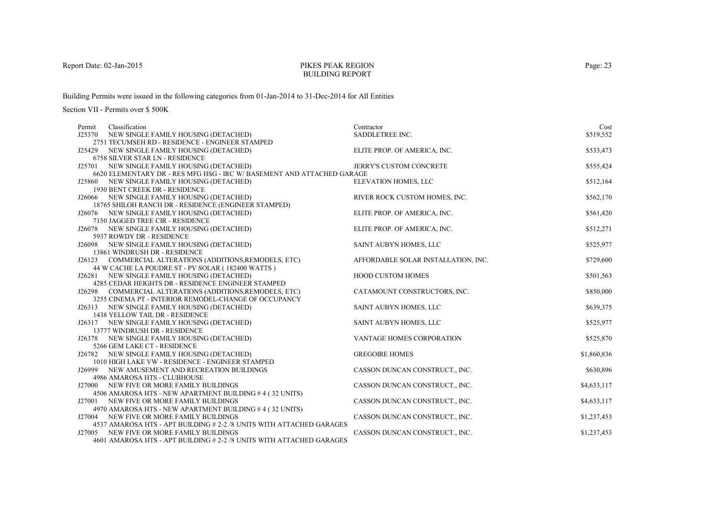#### PIKES PEAK REGIONBUILDING REPORT

Building Permits were issued in the following categories from 01-Jan-2014 to 31-Dec-2014 for All Entities

| Permit | Classification                                                                                                   | Contractor                          | Cost        |
|--------|------------------------------------------------------------------------------------------------------------------|-------------------------------------|-------------|
|        | J25370 NEW SINGLE FAMILY HOUSING (DETACHED)                                                                      | SADDLETREE INC.                     | \$519,552   |
|        | 2751 TECUMSEH RD - RESIDENCE - ENGINEER STAMPED                                                                  |                                     |             |
|        | J25429 NEW SINGLE FAMILY HOUSING (DETACHED)                                                                      | ELITE PROP. OF AMERICA, INC.        | \$533,473   |
|        | <b>6758 SILVER STAR LN - RESIDENCE</b>                                                                           |                                     |             |
|        | J25701 NEW SINGLE FAMILY HOUSING (DETACHED)                                                                      | JERRY'S CUSTOM CONCRETE             | \$555,424   |
|        | 6620 ELEMENTARY DR - RES MFG HSG - IRC W/ BASEMENT AND ATTACHED GARAGE                                           |                                     |             |
|        | J25860 NEW SINGLE FAMILY HOUSING (DETACHED)                                                                      | ELEVATION HOMES, LLC                | \$512,164   |
|        | 1930 BENT CREEK DR - RESIDENCE                                                                                   |                                     |             |
|        | J26066 NEW SINGLE FAMILY HOUSING (DETACHED)                                                                      | RIVER ROCK CUSTOM HOMES, INC.       | \$562,170   |
|        | 18765 SHILOH RANCH DR - RESIDENCE (ENGINEER STAMPED)                                                             |                                     |             |
|        | J26076 NEW SINGLE FAMILY HOUSING (DETACHED)                                                                      | ELITE PROP. OF AMERICA, INC.        | \$561,420   |
|        | 7150 JAGGED TREE CIR - RESIDENCE                                                                                 |                                     |             |
|        | J26078 NEW SINGLE FAMILY HOUSING (DETACHED)                                                                      | ELITE PROP. OF AMERICA, INC.        | \$512,271   |
|        | 5937 ROWDY DR - RESIDENCE                                                                                        |                                     |             |
|        | J26098 NEW SINGLE FAMILY HOUSING (DETACHED)                                                                      | SAINT AUBYN HOMES, LLC              | \$525,977   |
|        | 13861 WINDRUSH DR - RESIDENCE                                                                                    |                                     |             |
|        | J26123 COMMERCIAL ALTERATIONS (ADDITIONS, REMODELS, ETC)                                                         | AFFORDABLE SOLAR INSTALLATION, INC. | \$729,600   |
|        | 44 W CACHE LA POUDRE ST - PV SOLAR (182400 WATTS)                                                                |                                     |             |
|        | J26281 NEW SINGLE FAMILY HOUSING (DETACHED)                                                                      | HOOD CUSTOM HOMES                   | \$501,563   |
|        | 4285 CEDAR HEIGHTS DR - RESIDENCE ENGINEER STAMPED                                                               |                                     |             |
|        | J26298 COMMERCIAL ALTERATIONS (ADDITIONS, REMODELS, ETC)                                                         | CATAMOUNT CONSTRUCTORS, INC.        | \$850,000   |
|        | 3255 CINEMA PT - INTERIOR REMODEL-CHANGE OF OCCUPANCY                                                            |                                     |             |
|        | J26313 NEW SINGLE FAMILY HOUSING (DETACHED)                                                                      | SAINT AUBYN HOMES, LLC              | \$639,375   |
|        | 1438 YELLOW TAIL DR - RESIDENCE                                                                                  |                                     |             |
|        | J26317 NEW SINGLE FAMILY HOUSING (DETACHED)                                                                      | SAINT AUBYN HOMES, LLC              | \$525,977   |
|        | 13777 WINDRUSH DR - RESIDENCE                                                                                    |                                     |             |
|        | J26378 NEW SINGLE FAMILY HOUSING (DETACHED)                                                                      | VANTAGE HOMES CORPORATION           | \$525,870   |
|        | 5266 GEM LAKE CT - RESIDENCE                                                                                     |                                     |             |
|        | J26782 NEW SINGLE FAMILY HOUSING (DETACHED)                                                                      | <b>GREGOIRE HOMES</b>               | \$1,860,836 |
|        | 1010 HIGH LAKE VW - RESIDENCE - ENGINEER STAMPED                                                                 |                                     |             |
|        | J26999 NEW AMUSEMENT AND RECREATION BUILDINGS                                                                    | CASSON DUNCAN CONSTRUCT., INC.      | \$630,896   |
|        | 4986 AMAROSA HTS - CLUBHOUSE                                                                                     |                                     |             |
|        | J27000 NEW FIVE OR MORE FAMILY BUILDINGS                                                                         | CASSON DUNCAN CONSTRUCT., INC.      | \$4,633,117 |
|        | 4506 AMAROSA HTS - NEW APARTMENT BUILDING #4 (32 UNITS)                                                          |                                     |             |
|        | J27001 NEW FIVE OR MORE FAMILY BUILDINGS                                                                         | CASSON DUNCAN CONSTRUCT., INC.      | \$4,633,117 |
|        | 4970 AMAROSA HTS - NEW APARTMENT BUILDING #4 (32 UNITS)                                                          |                                     |             |
|        | J27004 NEW FIVE OR MORE FAMILY BUILDINGS<br>4537 AMAROSA HTS - APT BUILDING # 2-2 /8 UNITS WITH ATTACHED GARAGES | CASSON DUNCAN CONSTRUCT., INC.      | \$1,237,453 |
|        | J27005 NEW FIVE OR MORE FAMILY BUILDINGS                                                                         | CASSON DUNCAN CONSTRUCT., INC.      | \$1,237,453 |
|        | 4601 AMAROSA HTS - APT BUILDING # 2-2 /8 UNITS WITH ATTACHED GARAGES                                             |                                     |             |
|        |                                                                                                                  |                                     |             |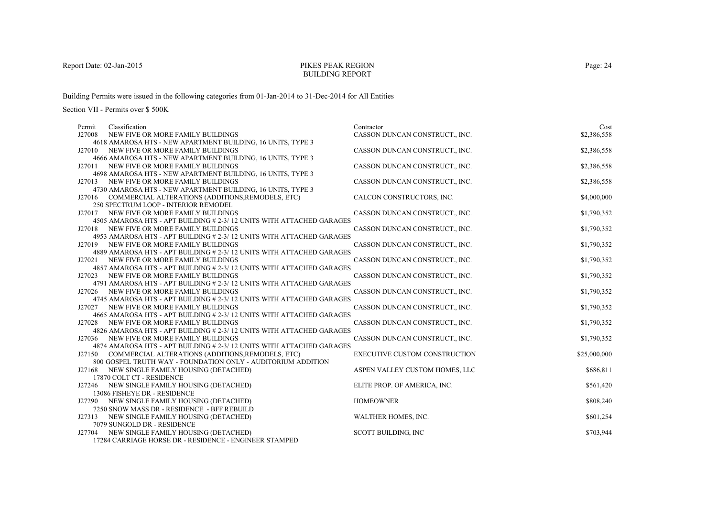#### PIKES PEAK REGIONBUILDING REPORT

Building Permits were issued in the following categories from 01-Jan-2014 to 31-Dec-2014 for All Entities

| Classification<br>Permit                                              | Contractor                           | Cost         |
|-----------------------------------------------------------------------|--------------------------------------|--------------|
| J27008<br>NEW FIVE OR MORE FAMILY BUILDINGS                           | CASSON DUNCAN CONSTRUCT., INC.       | \$2,386,558  |
| 4618 AMAROSA HTS - NEW APARTMENT BUILDING, 16 UNITS, TYPE 3           |                                      |              |
| J27010 NEW FIVE OR MORE FAMILY BUILDINGS                              | CASSON DUNCAN CONSTRUCT., INC.       | \$2,386,558  |
| 4666 AMAROSA HTS - NEW APARTMENT BUILDING, 16 UNITS, TYPE 3           |                                      |              |
| J27011<br>NEW FIVE OR MORE FAMILY BUILDINGS                           | CASSON DUNCAN CONSTRUCT., INC.       | \$2,386,558  |
| 4698 AMAROSA HTS - NEW APARTMENT BUILDING, 16 UNITS, TYPE 3           |                                      |              |
| J27013 NEW FIVE OR MORE FAMILY BUILDINGS                              | CASSON DUNCAN CONSTRUCT., INC.       | \$2,386,558  |
| 4730 AMAROSA HTS - NEW APARTMENT BUILDING, 16 UNITS, TYPE 3           |                                      |              |
| COMMERCIAL ALTERATIONS (ADDITIONS, REMODELS, ETC)<br>J27016           | CALCON CONSTRUCTORS, INC.            | \$4,000,000  |
| 250 SPECTRUM LOOP - INTERIOR REMODEL                                  |                                      |              |
| NEW FIVE OR MORE FAMILY BUILDINGS<br>J27017                           | CASSON DUNCAN CONSTRUCT., INC.       | \$1,790,352  |
| 4505 AMAROSA HTS - APT BUILDING # 2-3/12 UNITS WITH ATTACHED GARAGES  |                                      |              |
| J27018 NEW FIVE OR MORE FAMILY BUILDINGS                              | CASSON DUNCAN CONSTRUCT., INC.       | \$1,790,352  |
| 4953 AMAROSA HTS - APT BUILDING # 2-3/12 UNITS WITH ATTACHED GARAGES  |                                      |              |
| J27019 NEW FIVE OR MORE FAMILY BUILDINGS                              | CASSON DUNCAN CONSTRUCT., INC.       | \$1,790,352  |
| 4889 AMAROSA HTS - APT BUILDING # 2-3/12 UNITS WITH ATTACHED GARAGES  |                                      |              |
| J27021<br>NEW FIVE OR MORE FAMILY BUILDINGS                           | CASSON DUNCAN CONSTRUCT., INC.       | \$1,790,352  |
| 4857 AMAROSA HTS - APT BUILDING # 2-3/ 12 UNITS WITH ATTACHED GARAGES |                                      |              |
| J27023 NEW FIVE OR MORE FAMILY BUILDINGS                              | CASSON DUNCAN CONSTRUCT., INC.       | \$1,790,352  |
| 4791 AMAROSA HTS - APT BUILDING # 2-3/12 UNITS WITH ATTACHED GARAGES  |                                      |              |
| J27026<br>NEW FIVE OR MORE FAMILY BUILDINGS                           | CASSON DUNCAN CONSTRUCT., INC.       | \$1,790,352  |
| 4745 AMAROSA HTS - APT BUILDING # 2-3/12 UNITS WITH ATTACHED GARAGES  |                                      |              |
| NEW FIVE OR MORE FAMILY BUILDINGS<br>J27027                           | CASSON DUNCAN CONSTRUCT., INC.       | \$1,790,352  |
| 4665 AMAROSA HTS - APT BUILDING # 2-3/12 UNITS WITH ATTACHED GARAGES  |                                      |              |
| NEW FIVE OR MORE FAMILY BUILDINGS<br>J27028                           | CASSON DUNCAN CONSTRUCT., INC.       | \$1,790,352  |
| 4826 AMAROSA HTS - APT BUILDING # 2-3/12 UNITS WITH ATTACHED GARAGES  |                                      |              |
| J27036 NEW FIVE OR MORE FAMILY BUILDINGS                              | CASSON DUNCAN CONSTRUCT., INC.       | \$1,790,352  |
| 4874 AMAROSA HTS - APT BUILDING # 2-3/12 UNITS WITH ATTACHED GARAGES  |                                      |              |
| J27150 COMMERCIAL ALTERATIONS (ADDITIONS, REMODELS, ETC)              | <b>EXECUTIVE CUSTOM CONSTRUCTION</b> | \$25,000,000 |
| 800 GOSPEL TRUTH WAY - FOUNDATION ONLY - AUDITORIUM ADDITION          |                                      |              |
| J27168 NEW SINGLE FAMILY HOUSING (DETACHED)                           | ASPEN VALLEY CUSTOM HOMES, LLC       | \$686,811    |
| 17870 COLT CT - RESIDENCE                                             |                                      |              |
| J27246 NEW SINGLE FAMILY HOUSING (DETACHED)                           | ELITE PROP. OF AMERICA, INC.         | \$561,420    |
| 13086 FISHEYE DR - RESIDENCE                                          |                                      |              |
| J27290 NEW SINGLE FAMILY HOUSING (DETACHED)                           | <b>HOMEOWNER</b>                     | \$808,240    |
| 7250 SNOW MASS DR - RESIDENCE - BFF REBUILD                           |                                      |              |
| J27313 NEW SINGLE FAMILY HOUSING (DETACHED)                           | WALTHER HOMES, INC.                  | \$601,254    |
| 7079 SUNGOLD DR - RESIDENCE                                           |                                      |              |
| J27704 NEW SINGLE FAMILY HOUSING (DETACHED)                           | <b>SCOTT BUILDING, INC</b>           | \$703,944    |
| 17284 CARRIAGE HORSE DR - RESIDENCE - ENGINEER STAMPED                |                                      |              |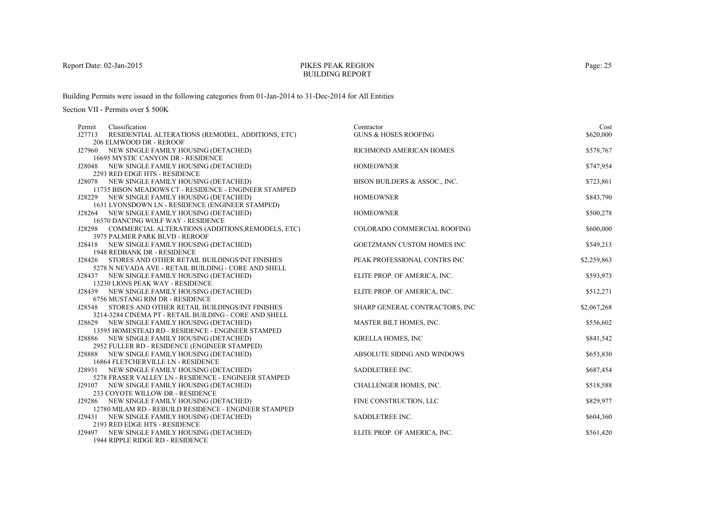# PIKES PEAK REGIONBUILDING REPORT

Building Permits were issued in the following categories from 01-Jan-2014 to 31-Dec-2014 for All Entities

| Permit | Classification                                                                                                | Contractor                      | Cost        |
|--------|---------------------------------------------------------------------------------------------------------------|---------------------------------|-------------|
| J27713 | RESIDENTIAL ALTERATIONS (REMODEL, ADDITIONS, ETC)                                                             | <b>GUNS &amp; HOSES ROOFING</b> | \$620,000   |
|        | 206 ELMWOOD DR - REROOF                                                                                       |                                 |             |
|        | J27960 NEW SINGLE FAMILY HOUSING (DETACHED)                                                                   | RICHMOND AMERICAN HOMES         | \$578,767   |
|        | 16695 MYSTIC CANYON DR - RESIDENCE                                                                            |                                 |             |
|        | J28048 NEW SINGLE FAMILY HOUSING (DETACHED)                                                                   | <b>HOMEOWNER</b>                | \$747,954   |
|        | 2293 RED EDGE HTS - RESIDENCE                                                                                 |                                 |             |
|        | J28078 NEW SINGLE FAMILY HOUSING (DETACHED)                                                                   | BISON BUILDERS & ASSOC., INC.   | \$723,861   |
|        | 11735 BISON MEADOWS CT - RESIDENCE - ENGINEER STAMPED                                                         |                                 |             |
|        | J28229 NEW SINGLE FAMILY HOUSING (DETACHED)                                                                   | <b>HOMEOWNER</b>                | \$843,790   |
|        | 1631 LYONSDOWN LN - RESIDENCE (ENGINEER STAMPED)                                                              |                                 |             |
|        | J28264 NEW SINGLE FAMILY HOUSING (DETACHED)                                                                   | <b>HOMEOWNER</b>                | \$500,278   |
|        | 16570 DANCING WOLF WAY - RESIDENCE                                                                            |                                 |             |
|        | J28298 COMMERCIAL ALTERATIONS (ADDITIONS, REMODELS, ETC)                                                      | COLORADO COMMERCIAL ROOFING     | \$600,000   |
|        | 3975 PALMER PARK BLVD - REROOF                                                                                |                                 |             |
|        | J28418 NEW SINGLE FAMILY HOUSING (DETACHED)                                                                   | GOETZMANN CUSTOM HOMES INC      | \$549,213   |
|        | 1948 REDBANK DR - RESIDENCE                                                                                   |                                 |             |
|        | J28426 STORES AND OTHER RETAIL BUILDINGS/INT FINISHES<br>5278 N NEVADA AVE - RETAIL BUILDING - CORE AND SHELL | PEAK PROFESSIONAL CONTRS INC    | \$2,259,863 |
|        | J28437 NEW SINGLE FAMILY HOUSING (DETACHED)                                                                   | ELITE PROP. OF AMERICA, INC.    | \$593,973   |
|        | 13230 LIONS PEAK WAY - RESIDENCE                                                                              |                                 |             |
|        | J28439 NEW SINGLE FAMILY HOUSING (DETACHED)                                                                   | ELITE PROP. OF AMERICA, INC.    | \$512,271   |
|        | 6756 MUSTANG RIM DR - RESIDENCE                                                                               |                                 |             |
| J28548 | STORES AND OTHER RETAIL BUILDINGS/INT FINISHES                                                                | SHARP GENERAL CONTRACTORS, INC  | \$2,067,268 |
|        | 3214-3284 CINEMA PT - RETAIL BUILDING - CORE AND SHELL                                                        |                                 |             |
|        | J28629 NEW SINGLE FAMILY HOUSING (DETACHED)                                                                   | MASTER BILT HOMES, INC.         | \$556,602   |
|        | 13595 HOMESTEAD RD - RESIDENCE - ENGINEER STAMPED                                                             |                                 |             |
|        | J28886 NEW SINGLE FAMILY HOUSING (DETACHED)                                                                   | KIRELLA HOMES, INC              | \$841,542   |
|        | 2952 FULLER RD - RESIDENCE (ENGINEER STAMPED)                                                                 |                                 |             |
|        | J28888 NEW SINGLE FAMILY HOUSING (DETACHED)                                                                   | ABSOLUTE SIDING AND WINDOWS     | \$653,830   |
|        | 16864 FLETCHERVILLE LN - RESIDENCE                                                                            |                                 |             |
|        | J28931 NEW SINGLE FAMILY HOUSING (DETACHED)                                                                   | SADDLETREE INC.                 | \$687,454   |
|        | 5278 FRASER VALLEY LN - RESIDENCE - ENGINEER STAMPED                                                          |                                 |             |
|        | J29107 NEW SINGLE FAMILY HOUSING (DETACHED)                                                                   | CHALLENGER HOMES, INC.          | \$518,588   |
|        | 233 COYOTE WILLOW DR - RESIDENCE                                                                              |                                 |             |
|        | J29286 NEW SINGLE FAMILY HOUSING (DETACHED)                                                                   | FINE CONSTRUCTION, LLC          | \$829,977   |
|        | 12780 MILAM RD - REBUILD RESIDENCE - ENGINEER STAMPED                                                         |                                 |             |
|        | J29431 NEW SINGLE FAMILY HOUSING (DETACHED)                                                                   | SADDLETREE INC.                 | \$604,360   |
|        | 2193 RED EDGE HTS - RESIDENCE                                                                                 |                                 |             |
|        | J29497 NEW SINGLE FAMILY HOUSING (DETACHED)                                                                   | ELITE PROP. OF AMERICA, INC.    | \$561,420   |
|        | 1944 RIPPLE RIDGE RD - RESIDENCE                                                                              |                                 |             |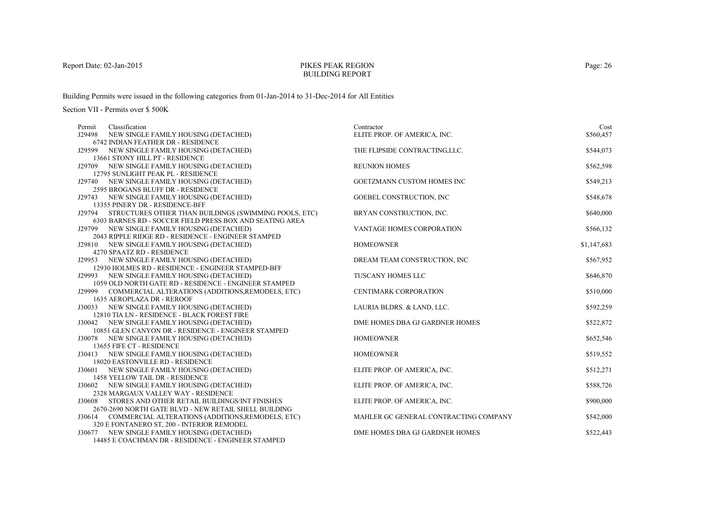# PIKES PEAK REGIONBUILDING REPORT

Building Permits were issued in the following categories from 01-Jan-2014 to 31-Dec-2014 for All Entities

| Permit | Classification                                                                              | Contractor                            | Cost        |
|--------|---------------------------------------------------------------------------------------------|---------------------------------------|-------------|
|        | J29498 NEW SINGLE FAMILY HOUSING (DETACHED)                                                 | ELITE PROP. OF AMERICA, INC.          | \$560,457   |
|        | 6742 INDIAN FEATHER DR - RESIDENCE                                                          |                                       |             |
|        | J29599 NEW SINGLE FAMILY HOUSING (DETACHED)                                                 | THE FLIPSIDE CONTRACTING, LLC.        | \$544,073   |
|        | 13661 STONY HILL PT - RESIDENCE                                                             |                                       |             |
|        | J29709 NEW SINGLE FAMILY HOUSING (DETACHED)                                                 | <b>REUNION HOMES</b>                  | \$562,598   |
|        | 12795 SUNLIGHT PEAK PL - RESIDENCE                                                          |                                       |             |
|        | J29740 NEW SINGLE FAMILY HOUSING (DETACHED)                                                 | GOETZMANN CUSTOM HOMES INC            | \$549,213   |
|        | 2595 BROGANS BLUFF DR - RESIDENCE                                                           |                                       |             |
|        | J29743 NEW SINGLE FAMILY HOUSING (DETACHED)                                                 | <b>GOEBEL CONSTRUCTION, INC</b>       | \$548,678   |
|        | 13355 PINERY DR - RESIDENCE-BFF                                                             |                                       |             |
|        | J29794 STRUCTURES OTHER THAN BUILDINGS (SWIMMING POOLS, ETC)                                | BRYAN CONSTRUCTION, INC.              | \$640,000   |
|        | 6303 BARNES RD - SOCCER FIELD PRESS BOX AND SEATING AREA                                    |                                       |             |
|        | J29799 NEW SINGLE FAMILY HOUSING (DETACHED)                                                 | VANTAGE HOMES CORPORATION             | \$566,132   |
|        | 2043 RIPPLE RIDGE RD - RESIDENCE - ENGINEER STAMPED                                         |                                       |             |
|        | J29810 NEW SINGLE FAMILY HOUSING (DETACHED)                                                 | <b>HOMEOWNER</b>                      | \$1,147,683 |
|        | 4270 SPAATZ RD - RESIDENCE                                                                  |                                       |             |
|        | J29953 NEW SINGLE FAMILY HOUSING (DETACHED)                                                 | DREAM TEAM CONSTRUCTION, INC          | \$567,952   |
|        | 12930 HOLMES RD - RESIDENCE - ENGINEER STAMPED-BFF                                          |                                       |             |
|        | J29993 NEW SINGLE FAMILY HOUSING (DETACHED)                                                 | TUSCANY HOMES LLC                     | \$646,870   |
|        | 1059 OLD NORTH GATE RD - RESIDENCE - ENGINEER STAMPED                                       |                                       |             |
|        | J29999 COMMERCIAL ALTERATIONS (ADDITIONS, REMODELS, ETC)                                    | <b>CENTIMARK CORPORATION</b>          | \$510,000   |
|        | 1635 AEROPLAZA DR - REROOF                                                                  |                                       |             |
|        | J30033 NEW SINGLE FAMILY HOUSING (DETACHED)<br>12810 TIA LN - RESIDENCE - BLACK FOREST FIRE | LAURIA BLDRS. & LAND, LLC.            | \$592,259   |
|        | J30042 NEW SINGLE FAMILY HOUSING (DETACHED)                                                 | DME HOMES DBA GJ GARDNER HOMES        | \$522,872   |
|        | 10851 GLEN CANYON DR - RESIDENCE - ENGINEER STAMPED                                         |                                       |             |
|        | J30078 NEW SINGLE FAMILY HOUSING (DETACHED)                                                 | <b>HOMEOWNER</b>                      | \$652,546   |
|        | 13655 FIFE CT - RESIDENCE                                                                   |                                       |             |
|        | J30413 NEW SINGLE FAMILY HOUSING (DETACHED)                                                 | <b>HOMEOWNER</b>                      | \$519,552   |
|        | 18020 EASTONVILLE RD - RESIDENCE                                                            |                                       |             |
|        | J30601 NEW SINGLE FAMILY HOUSING (DETACHED)                                                 | ELITE PROP. OF AMERICA, INC.          | \$512,271   |
|        | 1458 YELLOW TAIL DR - RESIDENCE                                                             |                                       |             |
|        | J30602 NEW SINGLE FAMILY HOUSING (DETACHED)                                                 | ELITE PROP. OF AMERICA, INC.          | \$588,726   |
|        | 2328 MARGAUX VALLEY WAY - RESIDENCE                                                         |                                       |             |
|        | J30608 STORES AND OTHER RETAIL BUILDINGS/INT FINISHES                                       | ELITE PROP. OF AMERICA, INC.          | \$900,000   |
|        | 2670-2690 NORTH GATE BLVD - NEW RETAIL SHELL BUILDING                                       |                                       |             |
|        | J30614 COMMERCIAL ALTERATIONS (ADDITIONS, REMODELS, ETC)                                    | MAHLER GC GENERAL CONTRACTING COMPANY | \$542,000   |
|        | 320 E FONTANERO ST, 200 - INTERIOR REMODEL                                                  |                                       |             |
|        | J30677 NEW SINGLE FAMILY HOUSING (DETACHED)                                                 | DME HOMES DBA GJ GARDNER HOMES        | \$522,443   |
|        | 14485 E COACHMAN DR - RESIDENCE - ENGINEER STAMPED                                          |                                       |             |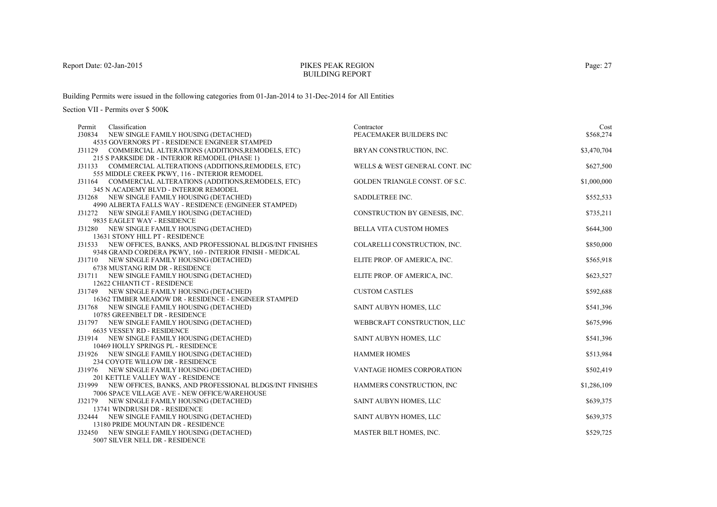# PIKES PEAK REGIONBUILDING REPORT

Building Permits were issued in the following categories from 01-Jan-2014 to 31-Dec-2014 for All Entities

| Permit | Classification                                                                                       | Contractor                     | Cost        |
|--------|------------------------------------------------------------------------------------------------------|--------------------------------|-------------|
|        | J30834 NEW SINGLE FAMILY HOUSING (DETACHED)                                                          | PEACEMAKER BUILDERS INC        | \$568,274   |
|        | 4535 GOVERNORS PT - RESIDENCE ENGINEER STAMPED                                                       |                                |             |
|        | J31129 COMMERCIAL ALTERATIONS (ADDITIONS, REMODELS, ETC)                                             | BRYAN CONSTRUCTION, INC.       | \$3,470,704 |
|        | 215 S PARKSIDE DR - INTERIOR REMODEL (PHASE 1)                                                       |                                |             |
|        | J31133 COMMERCIAL ALTERATIONS (ADDITIONS, REMODELS, ETC)                                             | WELLS & WEST GENERAL CONT. INC | \$627,500   |
|        | 555 MIDDLE CREEK PKWY, 116 - INTERIOR REMODEL                                                        |                                |             |
|        | J31164 COMMERCIAL ALTERATIONS (ADDITIONS, REMODELS, ETC)                                             | GOLDEN TRIANGLE CONST. OF S.C. | \$1,000,000 |
|        | 345 N ACADEMY BLVD - INTERIOR REMODEL                                                                |                                |             |
|        | J31268 NEW SINGLE FAMILY HOUSING (DETACHED)                                                          | SADDLETREE INC.                | \$552,533   |
|        | 4990 ALBERTA FALLS WAY - RESIDENCE (ENGINEER STAMPED)                                                |                                |             |
|        | J31272 NEW SINGLE FAMILY HOUSING (DETACHED)                                                          | CONSTRUCTION BY GENESIS, INC.  | \$735,211   |
|        | 9835 EAGLET WAY - RESIDENCE                                                                          |                                |             |
|        | J31280 NEW SINGLE FAMILY HOUSING (DETACHED)                                                          | BELLA VITA CUSTOM HOMES        | \$644,300   |
|        | 13631 STONY HILL PT - RESIDENCE                                                                      |                                |             |
|        | J31533 NEW OFFICES, BANKS, AND PROFESSIONAL BLDGS/INT FINISHES                                       | COLARELLI CONSTRUCTION, INC.   | \$850,000   |
|        | 9348 GRAND CORDERA PKWY, 160 - INTERIOR FINISH - MEDICAL                                             |                                |             |
|        | J31710 NEW SINGLE FAMILY HOUSING (DETACHED)                                                          | ELITE PROP. OF AMERICA, INC.   | \$565,918   |
|        | 6738 MUSTANG RIM DR - RESIDENCE                                                                      |                                |             |
|        | J31711 NEW SINGLE FAMILY HOUSING (DETACHED)                                                          | ELITE PROP. OF AMERICA, INC.   | \$623,527   |
|        | 12622 CHIANTI CT - RESIDENCE                                                                         |                                |             |
|        | J31749 NEW SINGLE FAMILY HOUSING (DETACHED)<br>16362 TIMBER MEADOW DR - RESIDENCE - ENGINEER STAMPED | <b>CUSTOM CASTLES</b>          | \$592,688   |
|        |                                                                                                      |                                |             |
|        | J31768 NEW SINGLE FAMILY HOUSING (DETACHED)                                                          | SAINT AUBYN HOMES, LLC         | \$541,396   |
|        | 10785 GREENBELT DR - RESIDENCE<br>J31797 NEW SINGLE FAMILY HOUSING (DETACHED)                        | WEBBCRAFT CONSTRUCTION, LLC    | \$675,996   |
|        | 6635 VESSEY RD - RESIDENCE                                                                           |                                |             |
|        | J31914 NEW SINGLE FAMILY HOUSING (DETACHED)                                                          | SAINT AUBYN HOMES, LLC         | \$541,396   |
|        | 10469 HOLLY SPRINGS PL - RESIDENCE                                                                   |                                |             |
|        | J31926 NEW SINGLE FAMILY HOUSING (DETACHED)                                                          | <b>HAMMER HOMES</b>            | \$513,984   |
|        | 234 COYOTE WILLOW DR - RESIDENCE                                                                     |                                |             |
|        | J31976 NEW SINGLE FAMILY HOUSING (DETACHED)                                                          | VANTAGE HOMES CORPORATION      | \$502,419   |
|        | 201 KETTLE VALLEY WAY - RESIDENCE                                                                    |                                |             |
|        | J31999 NEW OFFICES, BANKS, AND PROFESSIONAL BLDGS/INT FINISHES                                       | HAMMERS CONSTRUCTION, INC.     | \$1,286,109 |
|        | 7006 SPACE VILLAGE AVE - NEW OFFICE/WAREHOUSE                                                        |                                |             |
|        | J32179 NEW SINGLE FAMILY HOUSING (DETACHED)                                                          | SAINT AUBYN HOMES, LLC         | \$639,375   |
|        | 13741 WINDRUSH DR - RESIDENCE                                                                        |                                |             |
|        | J32444 NEW SINGLE FAMILY HOUSING (DETACHED)                                                          | SAINT AUBYN HOMES, LLC         | \$639,375   |
|        | 13180 PRIDE MOUNTAIN DR - RESIDENCE                                                                  |                                |             |
|        | J32450 NEW SINGLE FAMILY HOUSING (DETACHED)                                                          | MASTER BILT HOMES, INC.        | \$529,725   |
|        | 5007 SILVER NELL DR - RESIDENCE                                                                      |                                |             |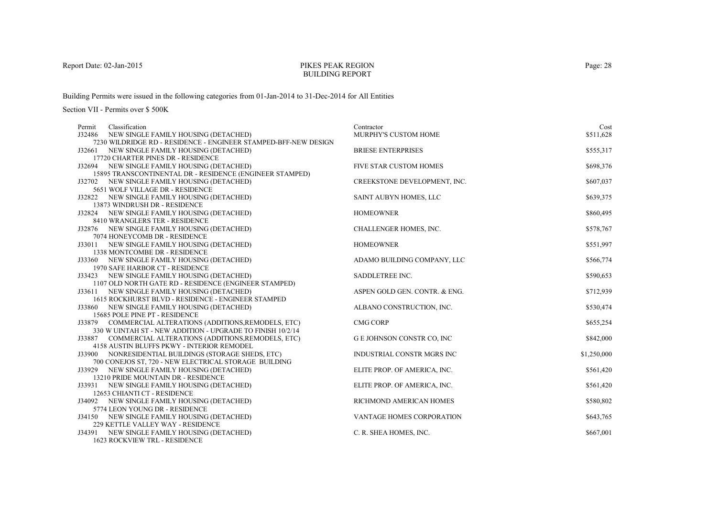# PIKES PEAK REGIONBUILDING REPORT

Building Permits were issued in the following categories from 01-Jan-2014 to 31-Dec-2014 for All Entities

| Permit | Classification                                                                                                | Contractor                       | Cost        |
|--------|---------------------------------------------------------------------------------------------------------------|----------------------------------|-------------|
| J32486 | NEW SINGLE FAMILY HOUSING (DETACHED)                                                                          | MURPHY'S CUSTOM HOME             | \$511,628   |
|        | 7230 WILDRIDGE RD - RESIDENCE - ENGINEER STAMPED-BFF-NEW DESIGN                                               |                                  |             |
|        | J32661 NEW SINGLE FAMILY HOUSING (DETACHED)                                                                   | <b>BRIESE ENTERPRISES</b>        | \$555,317   |
|        | 17720 CHARTER PINES DR - RESIDENCE                                                                            |                                  |             |
|        | J32694 NEW SINGLE FAMILY HOUSING (DETACHED)                                                                   | FIVE STAR CUSTOM HOMES           | \$698,376   |
|        | 15895 TRANSCONTINENTAL DR - RESIDENCE (ENGINEER STAMPED)                                                      |                                  |             |
|        | J32702 NEW SINGLE FAMILY HOUSING (DETACHED)                                                                   | CREEKSTONE DEVELOPMENT, INC.     | \$607,037   |
|        | 5651 WOLF VILLAGE DR - RESIDENCE                                                                              |                                  |             |
|        | J32822 NEW SINGLE FAMILY HOUSING (DETACHED)                                                                   | SAINT AUBYN HOMES, LLC           | \$639,375   |
|        | 13873 WINDRUSH DR - RESIDENCE<br>J32824 NEW SINGLE FAMILY HOUSING (DETACHED)                                  | <b>HOMEOWNER</b>                 | \$860,495   |
|        | 8410 WRANGLERS TER - RESIDENCE                                                                                |                                  |             |
|        | J32876 NEW SINGLE FAMILY HOUSING (DETACHED)                                                                   | CHALLENGER HOMES, INC.           | \$578,767   |
|        | 7074 HONEYCOMB DR - RESIDENCE                                                                                 |                                  |             |
|        | J33011 NEW SINGLE FAMILY HOUSING (DETACHED)                                                                   | <b>HOMEOWNER</b>                 | \$551,997   |
|        | 1338 MONTCOMBE DR - RESIDENCE                                                                                 |                                  |             |
|        | J33360 NEW SINGLE FAMILY HOUSING (DETACHED)                                                                   | ADAMO BUILDING COMPANY, LLC      | \$566,774   |
|        | 1970 SAFE HARBOR CT - RESIDENCE                                                                               |                                  |             |
|        | J33423 NEW SINGLE FAMILY HOUSING (DETACHED)                                                                   | SADDLETREE INC.                  | \$590,653   |
|        | 1107 OLD NORTH GATE RD - RESIDENCE (ENGINEER STAMPED)                                                         |                                  |             |
|        | J33611 NEW SINGLE FAMILY HOUSING (DETACHED)                                                                   | ASPEN GOLD GEN. CONTR. & ENG.    | \$712,939   |
|        | 1615 ROCKHURST BLVD - RESIDENCE - ENGINEER STAMPED                                                            |                                  |             |
|        | J33860 NEW SINGLE FAMILY HOUSING (DETACHED)                                                                   | ALBANO CONSTRUCTION, INC.        | \$530,474   |
|        | 15685 POLE PINE PT - RESIDENCE                                                                                |                                  |             |
|        | J33879 COMMERCIAL ALTERATIONS (ADDITIONS, REMODELS, ETC)                                                      | <b>CMG CORP</b>                  | \$655,254   |
|        | 330 W UINTAH ST - NEW ADDITION - UPGRADE TO FINISH 10/2/14                                                    |                                  |             |
|        | J33887 COMMERCIAL ALTERATIONS (ADDITIONS, REMODELS, ETC)                                                      | <b>GE JOHNSON CONSTR CO, INC</b> | \$842,000   |
|        | 4158 AUSTIN BLUFFS PKWY - INTERIOR REMODEL                                                                    | INDUSTRIAL CONSTR MGRS INC       | \$1,250,000 |
|        | J33900 NONRESIDENTIAL BUILDINGS (STORAGE SHEDS, ETC)<br>700 CONEJOS ST, 720 - NEW ELECTRICAL STORAGE BUILDING |                                  |             |
|        | J33929 NEW SINGLE FAMILY HOUSING (DETACHED)                                                                   | ELITE PROP. OF AMERICA, INC.     | \$561,420   |
|        | 13210 PRIDE MOUNTAIN DR - RESIDENCE                                                                           |                                  |             |
|        | J33931 NEW SINGLE FAMILY HOUSING (DETACHED)                                                                   | ELITE PROP. OF AMERICA, INC.     | \$561,420   |
|        | 12653 CHIANTI CT - RESIDENCE                                                                                  |                                  |             |
|        | J34092 NEW SINGLE FAMILY HOUSING (DETACHED)                                                                   | RICHMOND AMERICAN HOMES          | \$580,802   |
|        | 5774 LEON YOUNG DR - RESIDENCE                                                                                |                                  |             |
|        | J34150 NEW SINGLE FAMILY HOUSING (DETACHED)                                                                   | VANTAGE HOMES CORPORATION        | \$643,765   |
|        | 229 KETTLE VALLEY WAY - RESIDENCE                                                                             |                                  |             |
|        | J34391 NEW SINGLE FAMILY HOUSING (DETACHED)                                                                   | C. R. SHEA HOMES, INC.           | \$667,001   |
|        | 1623 ROCKVIEW TRL - RESIDENCE                                                                                 |                                  |             |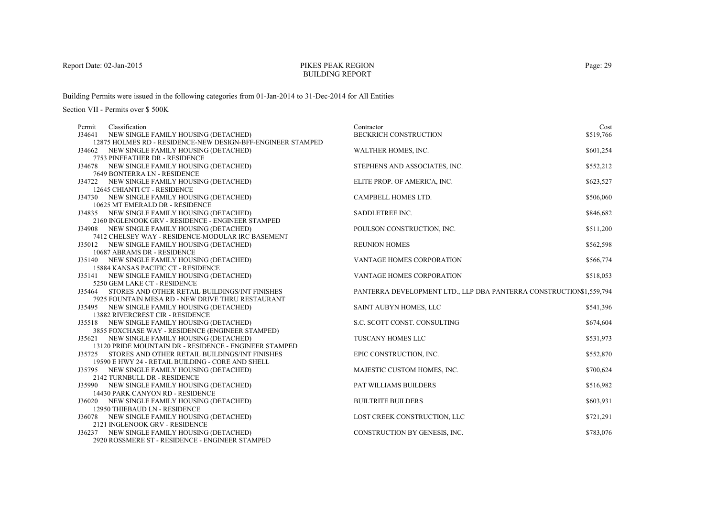# PIKES PEAK REGIONBUILDING REPORT

Building Permits were issued in the following categories from 01-Jan-2014 to 31-Dec-2014 for All Entities

| NEW SINGLE FAMILY HOUSING (DETACHED)<br><b>BECKRICH CONSTRUCTION</b><br>\$519,766<br>J34641<br>12875 HOLMES RD - RESIDENCE-NEW DESIGN-BFF-ENGINEER STAMPED<br>WALTHER HOMES, INC.<br>\$601,254<br>J34662 NEW SINGLE FAMILY HOUSING (DETACHED)<br>7753 PINFEATHER DR - RESIDENCE<br>\$552,212<br>J34678 NEW SINGLE FAMILY HOUSING (DETACHED)<br>STEPHENS AND ASSOCIATES, INC.<br>7649 BONTERRA LN - RESIDENCE<br>J34722 NEW SINGLE FAMILY HOUSING (DETACHED)<br>ELITE PROP. OF AMERICA, INC.<br>\$623,527<br>12645 CHIANTI CT - RESIDENCE<br>CAMPBELL HOMES LTD.<br>\$506,060<br>J34730 NEW SINGLE FAMILY HOUSING (DETACHED)<br>10625 MT EMERALD DR - RESIDENCE<br>\$846,682<br>SADDLETREE INC.<br>J34835 NEW SINGLE FAMILY HOUSING (DETACHED)<br>2160 INGLENOOK GRV - RESIDENCE - ENGINEER STAMPED<br>\$511,200<br>J34908 NEW SINGLE FAMILY HOUSING (DETACHED)<br>POULSON CONSTRUCTION, INC.<br>7412 CHELSEY WAY - RESIDENCE-MODULAR IRC BASEMENT<br>\$562,598<br>J35012 NEW SINGLE FAMILY HOUSING (DETACHED)<br><b>REUNION HOMES</b><br>10687 ABRAMS DR - RESIDENCE<br>\$566,774<br>J35140 NEW SINGLE FAMILY HOUSING (DETACHED)<br>VANTAGE HOMES CORPORATION<br>15884 KANSAS PACIFIC CT - RESIDENCE<br>\$518,053<br>J35141 NEW SINGLE FAMILY HOUSING (DETACHED)<br>VANTAGE HOMES CORPORATION<br>5250 GEM LAKE CT - RESIDENCE<br>PANTERRA DEVELOPMENT LTD., LLP DBA PANTERRA CONSTRUCTION\$1,559,794<br>STORES AND OTHER RETAIL BUILDINGS/INT FINISHES<br>J35464<br>7925 FOUNTAIN MESA RD - NEW DRIVE THRU RESTAURANT<br>\$541,396<br>SAINT AUBYN HOMES, LLC<br>J35495 NEW SINGLE FAMILY HOUSING (DETACHED)<br>13882 RIVERCREST CIR - RESIDENCE<br>\$674,604<br>J35518 NEW SINGLE FAMILY HOUSING (DETACHED)<br>S.C. SCOTT CONST. CONSULTING<br>3855 FOXCHASE WAY - RESIDENCE (ENGINEER STAMPED)<br>\$531,973<br>J35621 NEW SINGLE FAMILY HOUSING (DETACHED)<br>TUSCANY HOMES LLC<br>13120 PRIDE MOUNTAIN DR - RESIDENCE - ENGINEER STAMPED<br>EPIC CONSTRUCTION, INC.<br>\$552,870<br>J35725 STORES AND OTHER RETAIL BUILDINGS/INT FINISHES | Permit | Classification | Contractor | Cost |
|---------------------------------------------------------------------------------------------------------------------------------------------------------------------------------------------------------------------------------------------------------------------------------------------------------------------------------------------------------------------------------------------------------------------------------------------------------------------------------------------------------------------------------------------------------------------------------------------------------------------------------------------------------------------------------------------------------------------------------------------------------------------------------------------------------------------------------------------------------------------------------------------------------------------------------------------------------------------------------------------------------------------------------------------------------------------------------------------------------------------------------------------------------------------------------------------------------------------------------------------------------------------------------------------------------------------------------------------------------------------------------------------------------------------------------------------------------------------------------------------------------------------------------------------------------------------------------------------------------------------------------------------------------------------------------------------------------------------------------------------------------------------------------------------------------------------------------------------------------------------------------------------------------------------------------------------------------------------------------------------------------------------------------------------|--------|----------------|------------|------|
|                                                                                                                                                                                                                                                                                                                                                                                                                                                                                                                                                                                                                                                                                                                                                                                                                                                                                                                                                                                                                                                                                                                                                                                                                                                                                                                                                                                                                                                                                                                                                                                                                                                                                                                                                                                                                                                                                                                                                                                                                                             |        |                |            |      |
|                                                                                                                                                                                                                                                                                                                                                                                                                                                                                                                                                                                                                                                                                                                                                                                                                                                                                                                                                                                                                                                                                                                                                                                                                                                                                                                                                                                                                                                                                                                                                                                                                                                                                                                                                                                                                                                                                                                                                                                                                                             |        |                |            |      |
|                                                                                                                                                                                                                                                                                                                                                                                                                                                                                                                                                                                                                                                                                                                                                                                                                                                                                                                                                                                                                                                                                                                                                                                                                                                                                                                                                                                                                                                                                                                                                                                                                                                                                                                                                                                                                                                                                                                                                                                                                                             |        |                |            |      |
|                                                                                                                                                                                                                                                                                                                                                                                                                                                                                                                                                                                                                                                                                                                                                                                                                                                                                                                                                                                                                                                                                                                                                                                                                                                                                                                                                                                                                                                                                                                                                                                                                                                                                                                                                                                                                                                                                                                                                                                                                                             |        |                |            |      |
|                                                                                                                                                                                                                                                                                                                                                                                                                                                                                                                                                                                                                                                                                                                                                                                                                                                                                                                                                                                                                                                                                                                                                                                                                                                                                                                                                                                                                                                                                                                                                                                                                                                                                                                                                                                                                                                                                                                                                                                                                                             |        |                |            |      |
|                                                                                                                                                                                                                                                                                                                                                                                                                                                                                                                                                                                                                                                                                                                                                                                                                                                                                                                                                                                                                                                                                                                                                                                                                                                                                                                                                                                                                                                                                                                                                                                                                                                                                                                                                                                                                                                                                                                                                                                                                                             |        |                |            |      |
|                                                                                                                                                                                                                                                                                                                                                                                                                                                                                                                                                                                                                                                                                                                                                                                                                                                                                                                                                                                                                                                                                                                                                                                                                                                                                                                                                                                                                                                                                                                                                                                                                                                                                                                                                                                                                                                                                                                                                                                                                                             |        |                |            |      |
|                                                                                                                                                                                                                                                                                                                                                                                                                                                                                                                                                                                                                                                                                                                                                                                                                                                                                                                                                                                                                                                                                                                                                                                                                                                                                                                                                                                                                                                                                                                                                                                                                                                                                                                                                                                                                                                                                                                                                                                                                                             |        |                |            |      |
|                                                                                                                                                                                                                                                                                                                                                                                                                                                                                                                                                                                                                                                                                                                                                                                                                                                                                                                                                                                                                                                                                                                                                                                                                                                                                                                                                                                                                                                                                                                                                                                                                                                                                                                                                                                                                                                                                                                                                                                                                                             |        |                |            |      |
|                                                                                                                                                                                                                                                                                                                                                                                                                                                                                                                                                                                                                                                                                                                                                                                                                                                                                                                                                                                                                                                                                                                                                                                                                                                                                                                                                                                                                                                                                                                                                                                                                                                                                                                                                                                                                                                                                                                                                                                                                                             |        |                |            |      |
|                                                                                                                                                                                                                                                                                                                                                                                                                                                                                                                                                                                                                                                                                                                                                                                                                                                                                                                                                                                                                                                                                                                                                                                                                                                                                                                                                                                                                                                                                                                                                                                                                                                                                                                                                                                                                                                                                                                                                                                                                                             |        |                |            |      |
|                                                                                                                                                                                                                                                                                                                                                                                                                                                                                                                                                                                                                                                                                                                                                                                                                                                                                                                                                                                                                                                                                                                                                                                                                                                                                                                                                                                                                                                                                                                                                                                                                                                                                                                                                                                                                                                                                                                                                                                                                                             |        |                |            |      |
|                                                                                                                                                                                                                                                                                                                                                                                                                                                                                                                                                                                                                                                                                                                                                                                                                                                                                                                                                                                                                                                                                                                                                                                                                                                                                                                                                                                                                                                                                                                                                                                                                                                                                                                                                                                                                                                                                                                                                                                                                                             |        |                |            |      |
|                                                                                                                                                                                                                                                                                                                                                                                                                                                                                                                                                                                                                                                                                                                                                                                                                                                                                                                                                                                                                                                                                                                                                                                                                                                                                                                                                                                                                                                                                                                                                                                                                                                                                                                                                                                                                                                                                                                                                                                                                                             |        |                |            |      |
|                                                                                                                                                                                                                                                                                                                                                                                                                                                                                                                                                                                                                                                                                                                                                                                                                                                                                                                                                                                                                                                                                                                                                                                                                                                                                                                                                                                                                                                                                                                                                                                                                                                                                                                                                                                                                                                                                                                                                                                                                                             |        |                |            |      |
|                                                                                                                                                                                                                                                                                                                                                                                                                                                                                                                                                                                                                                                                                                                                                                                                                                                                                                                                                                                                                                                                                                                                                                                                                                                                                                                                                                                                                                                                                                                                                                                                                                                                                                                                                                                                                                                                                                                                                                                                                                             |        |                |            |      |
|                                                                                                                                                                                                                                                                                                                                                                                                                                                                                                                                                                                                                                                                                                                                                                                                                                                                                                                                                                                                                                                                                                                                                                                                                                                                                                                                                                                                                                                                                                                                                                                                                                                                                                                                                                                                                                                                                                                                                                                                                                             |        |                |            |      |
|                                                                                                                                                                                                                                                                                                                                                                                                                                                                                                                                                                                                                                                                                                                                                                                                                                                                                                                                                                                                                                                                                                                                                                                                                                                                                                                                                                                                                                                                                                                                                                                                                                                                                                                                                                                                                                                                                                                                                                                                                                             |        |                |            |      |
|                                                                                                                                                                                                                                                                                                                                                                                                                                                                                                                                                                                                                                                                                                                                                                                                                                                                                                                                                                                                                                                                                                                                                                                                                                                                                                                                                                                                                                                                                                                                                                                                                                                                                                                                                                                                                                                                                                                                                                                                                                             |        |                |            |      |
|                                                                                                                                                                                                                                                                                                                                                                                                                                                                                                                                                                                                                                                                                                                                                                                                                                                                                                                                                                                                                                                                                                                                                                                                                                                                                                                                                                                                                                                                                                                                                                                                                                                                                                                                                                                                                                                                                                                                                                                                                                             |        |                |            |      |
|                                                                                                                                                                                                                                                                                                                                                                                                                                                                                                                                                                                                                                                                                                                                                                                                                                                                                                                                                                                                                                                                                                                                                                                                                                                                                                                                                                                                                                                                                                                                                                                                                                                                                                                                                                                                                                                                                                                                                                                                                                             |        |                |            |      |
|                                                                                                                                                                                                                                                                                                                                                                                                                                                                                                                                                                                                                                                                                                                                                                                                                                                                                                                                                                                                                                                                                                                                                                                                                                                                                                                                                                                                                                                                                                                                                                                                                                                                                                                                                                                                                                                                                                                                                                                                                                             |        |                |            |      |
|                                                                                                                                                                                                                                                                                                                                                                                                                                                                                                                                                                                                                                                                                                                                                                                                                                                                                                                                                                                                                                                                                                                                                                                                                                                                                                                                                                                                                                                                                                                                                                                                                                                                                                                                                                                                                                                                                                                                                                                                                                             |        |                |            |      |
|                                                                                                                                                                                                                                                                                                                                                                                                                                                                                                                                                                                                                                                                                                                                                                                                                                                                                                                                                                                                                                                                                                                                                                                                                                                                                                                                                                                                                                                                                                                                                                                                                                                                                                                                                                                                                                                                                                                                                                                                                                             |        |                |            |      |
|                                                                                                                                                                                                                                                                                                                                                                                                                                                                                                                                                                                                                                                                                                                                                                                                                                                                                                                                                                                                                                                                                                                                                                                                                                                                                                                                                                                                                                                                                                                                                                                                                                                                                                                                                                                                                                                                                                                                                                                                                                             |        |                |            |      |
|                                                                                                                                                                                                                                                                                                                                                                                                                                                                                                                                                                                                                                                                                                                                                                                                                                                                                                                                                                                                                                                                                                                                                                                                                                                                                                                                                                                                                                                                                                                                                                                                                                                                                                                                                                                                                                                                                                                                                                                                                                             |        |                |            |      |
|                                                                                                                                                                                                                                                                                                                                                                                                                                                                                                                                                                                                                                                                                                                                                                                                                                                                                                                                                                                                                                                                                                                                                                                                                                                                                                                                                                                                                                                                                                                                                                                                                                                                                                                                                                                                                                                                                                                                                                                                                                             |        |                |            |      |
|                                                                                                                                                                                                                                                                                                                                                                                                                                                                                                                                                                                                                                                                                                                                                                                                                                                                                                                                                                                                                                                                                                                                                                                                                                                                                                                                                                                                                                                                                                                                                                                                                                                                                                                                                                                                                                                                                                                                                                                                                                             |        |                |            |      |
|                                                                                                                                                                                                                                                                                                                                                                                                                                                                                                                                                                                                                                                                                                                                                                                                                                                                                                                                                                                                                                                                                                                                                                                                                                                                                                                                                                                                                                                                                                                                                                                                                                                                                                                                                                                                                                                                                                                                                                                                                                             |        |                |            |      |
| 19590 E HWY 24 - RETAIL BUILDING - CORE AND SHELL<br>\$700,624<br>MAJESTIC CUSTOM HOMES, INC.                                                                                                                                                                                                                                                                                                                                                                                                                                                                                                                                                                                                                                                                                                                                                                                                                                                                                                                                                                                                                                                                                                                                                                                                                                                                                                                                                                                                                                                                                                                                                                                                                                                                                                                                                                                                                                                                                                                                               |        |                |            |      |
| J35795 NEW SINGLE FAMILY HOUSING (DETACHED)<br>2142 TURNBULL DR - RESIDENCE                                                                                                                                                                                                                                                                                                                                                                                                                                                                                                                                                                                                                                                                                                                                                                                                                                                                                                                                                                                                                                                                                                                                                                                                                                                                                                                                                                                                                                                                                                                                                                                                                                                                                                                                                                                                                                                                                                                                                                 |        |                |            |      |
| PAT WILLIAMS BUILDERS<br>\$516,982<br>J35990 NEW SINGLE FAMILY HOUSING (DETACHED)                                                                                                                                                                                                                                                                                                                                                                                                                                                                                                                                                                                                                                                                                                                                                                                                                                                                                                                                                                                                                                                                                                                                                                                                                                                                                                                                                                                                                                                                                                                                                                                                                                                                                                                                                                                                                                                                                                                                                           |        |                |            |      |
| 14430 PARK CANYON RD - RESIDENCE                                                                                                                                                                                                                                                                                                                                                                                                                                                                                                                                                                                                                                                                                                                                                                                                                                                                                                                                                                                                                                                                                                                                                                                                                                                                                                                                                                                                                                                                                                                                                                                                                                                                                                                                                                                                                                                                                                                                                                                                            |        |                |            |      |
| <b>BUILTRITE BUILDERS</b><br>\$603,931<br>J36020 NEW SINGLE FAMILY HOUSING (DETACHED)                                                                                                                                                                                                                                                                                                                                                                                                                                                                                                                                                                                                                                                                                                                                                                                                                                                                                                                                                                                                                                                                                                                                                                                                                                                                                                                                                                                                                                                                                                                                                                                                                                                                                                                                                                                                                                                                                                                                                       |        |                |            |      |
| 12950 THIEBAUD LN - RESIDENCE                                                                                                                                                                                                                                                                                                                                                                                                                                                                                                                                                                                                                                                                                                                                                                                                                                                                                                                                                                                                                                                                                                                                                                                                                                                                                                                                                                                                                                                                                                                                                                                                                                                                                                                                                                                                                                                                                                                                                                                                               |        |                |            |      |
| LOST CREEK CONSTRUCTION, LLC<br>\$721,291<br>J36078 NEW SINGLE FAMILY HOUSING (DETACHED)                                                                                                                                                                                                                                                                                                                                                                                                                                                                                                                                                                                                                                                                                                                                                                                                                                                                                                                                                                                                                                                                                                                                                                                                                                                                                                                                                                                                                                                                                                                                                                                                                                                                                                                                                                                                                                                                                                                                                    |        |                |            |      |
| 2121 INGLENOOK GRV - RESIDENCE                                                                                                                                                                                                                                                                                                                                                                                                                                                                                                                                                                                                                                                                                                                                                                                                                                                                                                                                                                                                                                                                                                                                                                                                                                                                                                                                                                                                                                                                                                                                                                                                                                                                                                                                                                                                                                                                                                                                                                                                              |        |                |            |      |
| CONSTRUCTION BY GENESIS, INC.<br>J36237 NEW SINGLE FAMILY HOUSING (DETACHED)<br>\$783,076                                                                                                                                                                                                                                                                                                                                                                                                                                                                                                                                                                                                                                                                                                                                                                                                                                                                                                                                                                                                                                                                                                                                                                                                                                                                                                                                                                                                                                                                                                                                                                                                                                                                                                                                                                                                                                                                                                                                                   |        |                |            |      |
| 2920 ROSSMERE ST - RESIDENCE - ENGINEER STAMPED                                                                                                                                                                                                                                                                                                                                                                                                                                                                                                                                                                                                                                                                                                                                                                                                                                                                                                                                                                                                                                                                                                                                                                                                                                                                                                                                                                                                                                                                                                                                                                                                                                                                                                                                                                                                                                                                                                                                                                                             |        |                |            |      |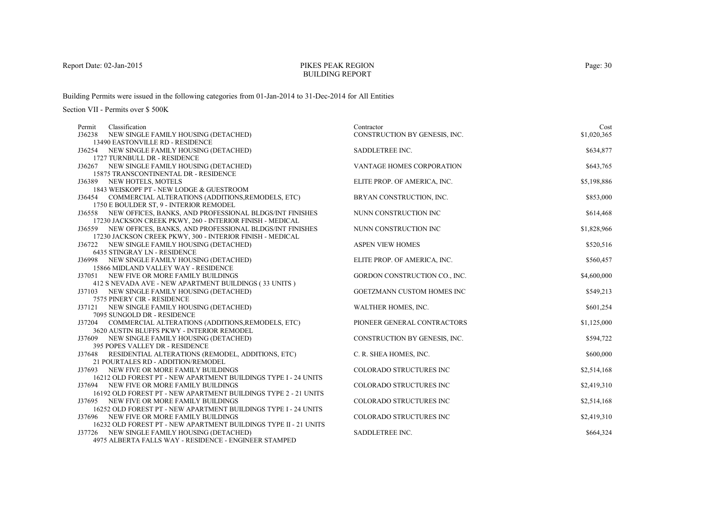# PIKES PEAK REGIONBUILDING REPORT

Building Permits were issued in the following categories from 01-Jan-2014 to 31-Dec-2014 for All Entities

| Permit | Classification                                                                                                              | Contractor                     | Cost        |
|--------|-----------------------------------------------------------------------------------------------------------------------------|--------------------------------|-------------|
|        | J36238 NEW SINGLE FAMILY HOUSING (DETACHED)                                                                                 | CONSTRUCTION BY GENESIS, INC.  | \$1,020,365 |
|        | 13490 EASTONVILLE RD - RESIDENCE                                                                                            |                                |             |
|        | J36254 NEW SINGLE FAMILY HOUSING (DETACHED)                                                                                 | SADDLETREE INC.                | \$634,877   |
|        | 1727 TURNBULL DR - RESIDENCE                                                                                                |                                |             |
|        | J36267 NEW SINGLE FAMILY HOUSING (DETACHED)                                                                                 | VANTAGE HOMES CORPORATION      | \$643,765   |
|        | 15875 TRANSCONTINENTAL DR - RESIDENCE                                                                                       |                                |             |
|        | J36389 NEW HOTELS, MOTELS                                                                                                   | ELITE PROP. OF AMERICA, INC.   | \$5,198,886 |
|        | 1843 WEISKOPF PT - NEW LODGE & GUESTROOM                                                                                    |                                |             |
|        | J36454 COMMERCIAL ALTERATIONS (ADDITIONS, REMODELS, ETC)                                                                    | BRYAN CONSTRUCTION, INC.       | \$853,000   |
|        | 1750 E BOULDER ST, 9 - INTERIOR REMODEL                                                                                     |                                |             |
|        | J36558 NEW OFFICES, BANKS, AND PROFESSIONAL BLDGS/INT FINISHES                                                              | NUNN CONSTRUCTION INC          | \$614,468   |
|        | 17230 JACKSON CREEK PKWY, 260 - INTERIOR FINISH - MEDICAL<br>J36559 NEW OFFICES, BANKS, AND PROFESSIONAL BLDGS/INT FINISHES | NUNN CONSTRUCTION INC          | \$1,828,966 |
|        | 17230 JACKSON CREEK PKWY, 300 - INTERIOR FINISH - MEDICAL                                                                   |                                |             |
|        | J36722 NEW SINGLE FAMILY HOUSING (DETACHED)                                                                                 | <b>ASPEN VIEW HOMES</b>        | \$520,516   |
|        | 6435 STINGRAY LN - RESIDENCE                                                                                                |                                |             |
|        | J36998 NEW SINGLE FAMILY HOUSING (DETACHED)                                                                                 | ELITE PROP. OF AMERICA, INC.   | \$560,457   |
|        | 15866 MIDLAND VALLEY WAY - RESIDENCE                                                                                        |                                |             |
|        | J37051 NEW FIVE OR MORE FAMILY BUILDINGS                                                                                    | GORDON CONSTRUCTION CO., INC.  | \$4,600,000 |
|        | 412 S NEVADA AVE - NEW APARTMENT BUILDINGS (33 UNITS)                                                                       |                                |             |
|        | J37103 NEW SINGLE FAMILY HOUSING (DETACHED)                                                                                 | GOETZMANN CUSTOM HOMES INC     | \$549,213   |
|        | 7575 PINERY CIR - RESIDENCE                                                                                                 |                                |             |
| J37121 | NEW SINGLE FAMILY HOUSING (DETACHED)                                                                                        | WALTHER HOMES, INC.            | \$601,254   |
|        | 7095 SUNGOLD DR - RESIDENCE                                                                                                 |                                |             |
|        | J37204 COMMERCIAL ALTERATIONS (ADDITIONS, REMODELS, ETC)                                                                    | PIONEER GENERAL CONTRACTORS    | \$1,125,000 |
|        | 3620 AUSTIN BLUFFS PKWY - INTERIOR REMODEL                                                                                  |                                |             |
|        | J37609 NEW SINGLE FAMILY HOUSING (DETACHED)                                                                                 | CONSTRUCTION BY GENESIS, INC.  | \$594,722   |
|        | 395 POPES VALLEY DR - RESIDENCE                                                                                             |                                |             |
| J37648 | RESIDENTIAL ALTERATIONS (REMODEL, ADDITIONS, ETC)                                                                           | C. R. SHEA HOMES, INC.         | \$600,000   |
|        | 21 POURTALES RD - ADDITION/REMODEL                                                                                          |                                |             |
|        | J37693 NEW FIVE OR MORE FAMILY BUILDINGS                                                                                    | COLORADO STRUCTURES INC        | \$2,514,168 |
|        | 16212 OLD FOREST PT - NEW APARTMENT BUILDINGS TYPE I - 24 UNITS                                                             |                                |             |
|        | J37694 NEW FIVE OR MORE FAMILY BUILDINGS                                                                                    | COLORADO STRUCTURES INC        | \$2,419,310 |
|        | 16192 OLD FOREST PT - NEW APARTMENT BUILDINGS TYPE 2 - 21 UNITS                                                             |                                |             |
| J37695 | NEW FIVE OR MORE FAMILY BUILDINGS                                                                                           | <b>COLORADO STRUCTURES INC</b> | \$2,514,168 |
|        | 16252 OLD FOREST PT - NEW APARTMENT BUILDINGS TYPE I - 24 UNITS                                                             |                                |             |
|        | J37696 NEW FIVE OR MORE FAMILY BUILDINGS                                                                                    | <b>COLORADO STRUCTURES INC</b> | \$2,419,310 |
|        | 16232 OLD FOREST PT - NEW APARTMENT BUILDINGS TYPE II - 21 UNITS                                                            |                                |             |
|        | J37726 NEW SINGLE FAMILY HOUSING (DETACHED)                                                                                 | SADDLETREE INC.                | \$664,324   |
|        | 4975 ALBERTA FALLS WAY - RESIDENCE - ENGINEER STAMPED                                                                       |                                |             |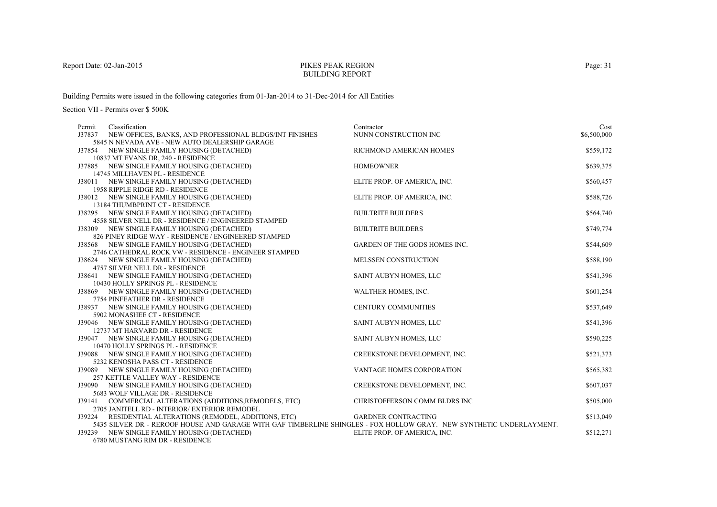# PIKES PEAK REGIONBUILDING REPORT

Building Permits were issued in the following categories from 01-Jan-2014 to 31-Dec-2014 for All Entities

| Permit           | Classification                                                                                                                                                                                                                                                                                                                                                     | Contractor                                                                                  | Cost                                |
|------------------|--------------------------------------------------------------------------------------------------------------------------------------------------------------------------------------------------------------------------------------------------------------------------------------------------------------------------------------------------------------------|---------------------------------------------------------------------------------------------|-------------------------------------|
| J37837           | NEW OFFICES, BANKS, AND PROFESSIONAL BLDGS/INT FINISHES                                                                                                                                                                                                                                                                                                            | NUNN CONSTRUCTION INC                                                                       | \$6,500,000                         |
|                  | 5845 N NEVADA AVE - NEW AUTO DEALERSHIP GARAGE                                                                                                                                                                                                                                                                                                                     |                                                                                             |                                     |
|                  | J37854 NEW SINGLE FAMILY HOUSING (DETACHED)                                                                                                                                                                                                                                                                                                                        | RICHMOND AMERICAN HOMES                                                                     | \$559,172                           |
|                  | 10837 MT EVANS DR, 240 - RESIDENCE                                                                                                                                                                                                                                                                                                                                 |                                                                                             |                                     |
|                  | J37885 NEW SINGLE FAMILY HOUSING (DETACHED)                                                                                                                                                                                                                                                                                                                        | <b>HOMEOWNER</b>                                                                            | \$639,375                           |
|                  | 14745 MILLHAVEN PL - RESIDENCE                                                                                                                                                                                                                                                                                                                                     |                                                                                             |                                     |
|                  | J38011 NEW SINGLE FAMILY HOUSING (DETACHED)                                                                                                                                                                                                                                                                                                                        | ELITE PROP. OF AMERICA, INC.                                                                | \$560,457                           |
|                  | 1958 RIPPLE RIDGE RD - RESIDENCE                                                                                                                                                                                                                                                                                                                                   |                                                                                             |                                     |
|                  | J38012 NEW SINGLE FAMILY HOUSING (DETACHED)                                                                                                                                                                                                                                                                                                                        | ELITE PROP. OF AMERICA, INC.                                                                | \$588,726                           |
|                  | 13184 THUMBPRINT CT - RESIDENCE                                                                                                                                                                                                                                                                                                                                    |                                                                                             |                                     |
|                  | J38295 NEW SINGLE FAMILY HOUSING (DETACHED)                                                                                                                                                                                                                                                                                                                        | <b>BUILTRITE BUILDERS</b>                                                                   | \$564,740                           |
|                  | 4558 SILVER NELL DR - RESIDENCE / ENGINEERED STAMPED                                                                                                                                                                                                                                                                                                               |                                                                                             |                                     |
|                  | J38309 NEW SINGLE FAMILY HOUSING (DETACHED)                                                                                                                                                                                                                                                                                                                        | <b>BUILTRITE BUILDERS</b>                                                                   | \$749,774                           |
|                  | 826 PINEY RIDGE WAY - RESIDENCE / ENGINEERED STAMPED                                                                                                                                                                                                                                                                                                               |                                                                                             |                                     |
|                  | J38568 NEW SINGLE FAMILY HOUSING (DETACHED)                                                                                                                                                                                                                                                                                                                        | <b>GARDEN OF THE GODS HOMES INC.</b>                                                        | \$544,609                           |
|                  | 2746 CATHEDRAL ROCK VW - RESIDENCE - ENGINEER STAMPED                                                                                                                                                                                                                                                                                                              |                                                                                             |                                     |
|                  | J38624 NEW SINGLE FAMILY HOUSING (DETACHED)                                                                                                                                                                                                                                                                                                                        | MELSSEN CONSTRUCTION                                                                        | \$588,190                           |
|                  | 4757 SILVER NELL DR - RESIDENCE                                                                                                                                                                                                                                                                                                                                    |                                                                                             |                                     |
|                  | J38641 NEW SINGLE FAMILY HOUSING (DETACHED)                                                                                                                                                                                                                                                                                                                        | SAINT AUBYN HOMES, LLC                                                                      | \$541,396                           |
|                  | 10430 HOLLY SPRINGS PL - RESIDENCE                                                                                                                                                                                                                                                                                                                                 |                                                                                             |                                     |
|                  | J38869 NEW SINGLE FAMILY HOUSING (DETACHED)                                                                                                                                                                                                                                                                                                                        | WALTHER HOMES, INC.                                                                         | \$601,254                           |
|                  | 7754 PINFEATHER DR - RESIDENCE                                                                                                                                                                                                                                                                                                                                     |                                                                                             |                                     |
|                  | J38937 NEW SINGLE FAMILY HOUSING (DETACHED)                                                                                                                                                                                                                                                                                                                        | <b>CENTURY COMMUNITIES</b>                                                                  | \$537,649                           |
|                  | 5902 MONASHEE CT - RESIDENCE                                                                                                                                                                                                                                                                                                                                       |                                                                                             |                                     |
|                  | J39046 NEW SINGLE FAMILY HOUSING (DETACHED)                                                                                                                                                                                                                                                                                                                        | SAINT AUBYN HOMES, LLC                                                                      | \$541,396                           |
|                  | 12737 MT HARVARD DR - RESIDENCE                                                                                                                                                                                                                                                                                                                                    |                                                                                             |                                     |
|                  | J39047 NEW SINGLE FAMILY HOUSING (DETACHED)                                                                                                                                                                                                                                                                                                                        | SAINT AUBYN HOMES, LLC                                                                      | \$590,225                           |
|                  | 10470 HOLLY SPRINGS PL - RESIDENCE                                                                                                                                                                                                                                                                                                                                 |                                                                                             |                                     |
|                  | J39088 NEW SINGLE FAMILY HOUSING (DETACHED)                                                                                                                                                                                                                                                                                                                        | CREEKSTONE DEVELOPMENT, INC.                                                                | \$521,373                           |
|                  | 5232 KENOSHA PASS CT - RESIDENCE                                                                                                                                                                                                                                                                                                                                   |                                                                                             |                                     |
|                  | J39089 NEW SINGLE FAMILY HOUSING (DETACHED)                                                                                                                                                                                                                                                                                                                        | VANTAGE HOMES CORPORATION                                                                   | \$565,382                           |
|                  | 257 KETTLE VALLEY WAY - RESIDENCE                                                                                                                                                                                                                                                                                                                                  |                                                                                             |                                     |
|                  | J39090 NEW SINGLE FAMILY HOUSING (DETACHED)                                                                                                                                                                                                                                                                                                                        | CREEKSTONE DEVELOPMENT, INC.                                                                | \$607,037                           |
|                  |                                                                                                                                                                                                                                                                                                                                                                    |                                                                                             |                                     |
|                  |                                                                                                                                                                                                                                                                                                                                                                    |                                                                                             |                                     |
|                  |                                                                                                                                                                                                                                                                                                                                                                    |                                                                                             |                                     |
|                  |                                                                                                                                                                                                                                                                                                                                                                    |                                                                                             |                                     |
|                  |                                                                                                                                                                                                                                                                                                                                                                    |                                                                                             |                                     |
|                  | <b>CHOOD ALBERTANIC BILL DD.</b> BEGINEMOE                                                                                                                                                                                                                                                                                                                         |                                                                                             |                                     |
| J39141<br>J39224 | 5683 WOLF VILLAGE DR - RESIDENCE<br>COMMERCIAL ALTERATIONS (ADDITIONS, REMODELS, ETC)<br>2705 JANITELL RD - INTERIOR/ EXTERIOR REMODEL<br>RESIDENTIAL ALTERATIONS (REMODEL, ADDITIONS, ETC)<br>5435 SILVER DR - REROOF HOUSE AND GARAGE WITH GAF TIMBERLINE SHINGLES - FOX HOLLOW GRAY. NEW SYNTHETIC UNDERLAYMENT.<br>J39239 NEW SINGLE FAMILY HOUSING (DETACHED) | CHRISTOFFERSON COMM BLDRS INC<br><b>GARDNER CONTRACTING</b><br>ELITE PROP. OF AMERICA, INC. | \$505,000<br>\$513,049<br>\$512,271 |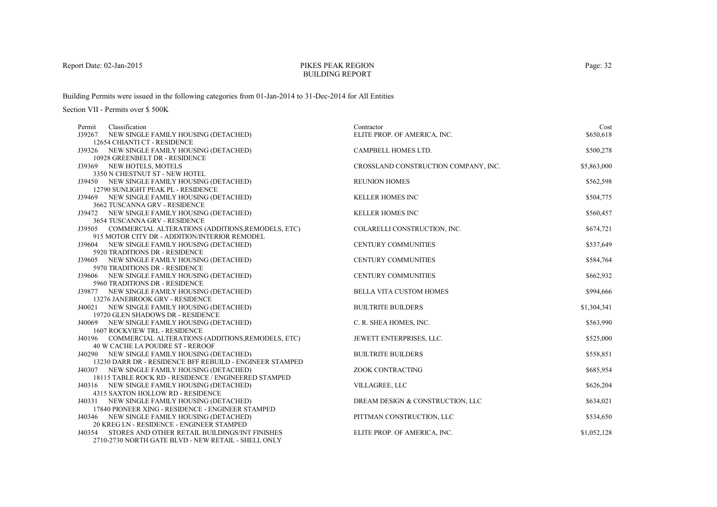# PIKES PEAK REGIONBUILDING REPORT

Building Permits were issued in the following categories from 01-Jan-2014 to 31-Dec-2014 for All Entities

| Permit | Classification                                                                      | Contractor                           | Cost        |
|--------|-------------------------------------------------------------------------------------|--------------------------------------|-------------|
|        | J39267 NEW SINGLE FAMILY HOUSING (DETACHED)                                         | ELITE PROP. OF AMERICA, INC.         | \$650,618   |
|        | 12654 CHIANTI CT - RESIDENCE                                                        |                                      |             |
|        | J39326 NEW SINGLE FAMILY HOUSING (DETACHED)                                         | CAMPBELL HOMES LTD.                  | \$500,278   |
|        | 10928 GREENBELT DR - RESIDENCE                                                      |                                      |             |
|        | J39369 NEW HOTELS, MOTELS                                                           | CROSSLAND CONSTRUCTION COMPANY, INC. | \$5,863,000 |
|        | 3350 N CHESTNUT ST - NEW HOTEL                                                      |                                      |             |
|        | J39450 NEW SINGLE FAMILY HOUSING (DETACHED)                                         | <b>REUNION HOMES</b>                 | \$562,598   |
|        | 12790 SUNLIGHT PEAK PL - RESIDENCE                                                  |                                      |             |
|        | J39469 NEW SINGLE FAMILY HOUSING (DETACHED)                                         | <b>KELLER HOMES INC</b>              | \$504,775   |
|        | 3662 TUSCANNA GRV - RESIDENCE                                                       |                                      |             |
|        | J39472 NEW SINGLE FAMILY HOUSING (DETACHED)                                         | <b>KELLER HOMES INC</b>              | \$560,457   |
|        | 3654 TUSCANNA GRV - RESIDENCE                                                       |                                      |             |
|        | J39505 COMMERCIAL ALTERATIONS (ADDITIONS, REMODELS, ETC)                            | COLARELLI CONSTRUCTION, INC.         | \$674,721   |
|        | 915 MOTOR CITY DR - ADDITION/INTERIOR REMODEL                                       |                                      |             |
|        | J39604 NEW SINGLE FAMILY HOUSING (DETACHED)                                         | <b>CENTURY COMMUNITIES</b>           | \$537,649   |
|        | 5920 TRADITIONS DR - RESIDENCE                                                      |                                      |             |
|        | J39605 NEW SINGLE FAMILY HOUSING (DETACHED)                                         | <b>CENTURY COMMUNITIES</b>           | \$584,764   |
|        | 5970 TRADITIONS DR - RESIDENCE                                                      |                                      |             |
|        | J39606 NEW SINGLE FAMILY HOUSING (DETACHED)                                         | <b>CENTURY COMMUNITIES</b>           | \$662,932   |
|        | 5960 TRADITIONS DR - RESIDENCE                                                      |                                      |             |
|        | J39877 NEW SINGLE FAMILY HOUSING (DETACHED)                                         | <b>BELLA VITA CUSTOM HOMES</b>       | \$994,666   |
|        | 13276 JANEBROOK GRV - RESIDENCE                                                     |                                      |             |
|        | J40021 NEW SINGLE FAMILY HOUSING (DETACHED)                                         | <b>BUILTRITE BUILDERS</b>            | \$1,304,341 |
|        | 19720 GLEN SHADOWS DR - RESIDENCE                                                   |                                      |             |
|        | J40069 NEW SINGLE FAMILY HOUSING (DETACHED)<br><b>1607 ROCKVIEW TRL - RESIDENCE</b> | C. R. SHEA HOMES, INC.               | \$563,990   |
|        | J40196 COMMERCIAL ALTERATIONS (ADDITIONS, REMODELS, ETC)                            | JEWETT ENTERPRISES, LLC.             | \$525,000   |
|        | 40 W CACHE LA POUDRE ST - REROOF                                                    |                                      |             |
|        | J40290 NEW SINGLE FAMILY HOUSING (DETACHED)                                         | <b>BUILTRITE BUILDERS</b>            | \$558,851   |
|        | 13230 DARR DR - RESIDENCE BFF REBUILD - ENGINEER STAMPED                            |                                      |             |
|        | J40307 NEW SINGLE FAMILY HOUSING (DETACHED)                                         | ZOOK CONTRACTING                     | \$685,954   |
|        | 18115 TABLE ROCK RD - RESIDENCE / ENGINEERED STAMPED                                |                                      |             |
|        | J40316 NEW SINGLE FAMILY HOUSING (DETACHED)                                         | VILLAGREE, LLC                       | \$626,204   |
|        | 4315 SAXTON HOLLOW RD - RESIDENCE                                                   |                                      |             |
|        | J40331 NEW SINGLE FAMILY HOUSING (DETACHED)                                         | DREAM DESIGN & CONSTRUCTION, LLC     | \$634,021   |
|        | 17840 PIONEER XING - RESIDENCE - ENGINEER STAMPED                                   |                                      |             |
|        | J40346 NEW SINGLE FAMILY HOUSING (DETACHED)                                         | PITTMAN CONSTRUCTION, LLC            | \$534,650   |
|        | 20 KREG LN - RESIDENCE - ENGINEER STAMPED                                           |                                      |             |
| J40354 | STORES AND OTHER RETAIL BUILDINGS/INT FINISHES                                      | ELITE PROP. OF AMERICA, INC.         | \$1,052,128 |
|        | 2710-2730 NORTH GATE BLVD - NEW RETAIL - SHELL ONLY                                 |                                      |             |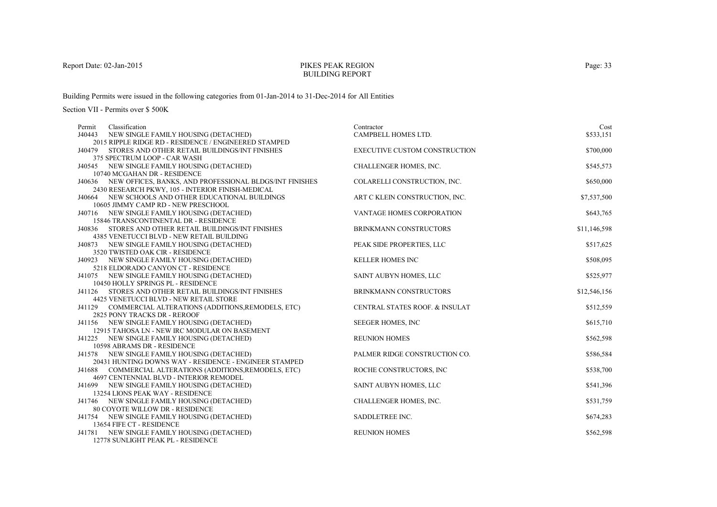# PIKES PEAK REGIONBUILDING REPORT

Building Permits were issued in the following categories from 01-Jan-2014 to 31-Dec-2014 for All Entities

| Classification                     | Contractor                                                                                                                                                                                                                                                                                                                                                                                                                                                                                                                                                                                                                                                                                                                                                                                                                                                                                                                                                                                                                                                                                                                                                                                                                                                                                                                                                                                                                                                                                                                                                                                                                                                                                                                                                                                                                                  | Cost                                                                                                                                                                                                                                                                                                                                                                                                                                                            |
|------------------------------------|---------------------------------------------------------------------------------------------------------------------------------------------------------------------------------------------------------------------------------------------------------------------------------------------------------------------------------------------------------------------------------------------------------------------------------------------------------------------------------------------------------------------------------------------------------------------------------------------------------------------------------------------------------------------------------------------------------------------------------------------------------------------------------------------------------------------------------------------------------------------------------------------------------------------------------------------------------------------------------------------------------------------------------------------------------------------------------------------------------------------------------------------------------------------------------------------------------------------------------------------------------------------------------------------------------------------------------------------------------------------------------------------------------------------------------------------------------------------------------------------------------------------------------------------------------------------------------------------------------------------------------------------------------------------------------------------------------------------------------------------------------------------------------------------------------------------------------------------|-----------------------------------------------------------------------------------------------------------------------------------------------------------------------------------------------------------------------------------------------------------------------------------------------------------------------------------------------------------------------------------------------------------------------------------------------------------------|
|                                    |                                                                                                                                                                                                                                                                                                                                                                                                                                                                                                                                                                                                                                                                                                                                                                                                                                                                                                                                                                                                                                                                                                                                                                                                                                                                                                                                                                                                                                                                                                                                                                                                                                                                                                                                                                                                                                             | \$533,151                                                                                                                                                                                                                                                                                                                                                                                                                                                       |
|                                    |                                                                                                                                                                                                                                                                                                                                                                                                                                                                                                                                                                                                                                                                                                                                                                                                                                                                                                                                                                                                                                                                                                                                                                                                                                                                                                                                                                                                                                                                                                                                                                                                                                                                                                                                                                                                                                             |                                                                                                                                                                                                                                                                                                                                                                                                                                                                 |
|                                    |                                                                                                                                                                                                                                                                                                                                                                                                                                                                                                                                                                                                                                                                                                                                                                                                                                                                                                                                                                                                                                                                                                                                                                                                                                                                                                                                                                                                                                                                                                                                                                                                                                                                                                                                                                                                                                             | \$700,000                                                                                                                                                                                                                                                                                                                                                                                                                                                       |
|                                    |                                                                                                                                                                                                                                                                                                                                                                                                                                                                                                                                                                                                                                                                                                                                                                                                                                                                                                                                                                                                                                                                                                                                                                                                                                                                                                                                                                                                                                                                                                                                                                                                                                                                                                                                                                                                                                             |                                                                                                                                                                                                                                                                                                                                                                                                                                                                 |
|                                    |                                                                                                                                                                                                                                                                                                                                                                                                                                                                                                                                                                                                                                                                                                                                                                                                                                                                                                                                                                                                                                                                                                                                                                                                                                                                                                                                                                                                                                                                                                                                                                                                                                                                                                                                                                                                                                             | \$545,573                                                                                                                                                                                                                                                                                                                                                                                                                                                       |
|                                    |                                                                                                                                                                                                                                                                                                                                                                                                                                                                                                                                                                                                                                                                                                                                                                                                                                                                                                                                                                                                                                                                                                                                                                                                                                                                                                                                                                                                                                                                                                                                                                                                                                                                                                                                                                                                                                             | \$650,000                                                                                                                                                                                                                                                                                                                                                                                                                                                       |
|                                    |                                                                                                                                                                                                                                                                                                                                                                                                                                                                                                                                                                                                                                                                                                                                                                                                                                                                                                                                                                                                                                                                                                                                                                                                                                                                                                                                                                                                                                                                                                                                                                                                                                                                                                                                                                                                                                             |                                                                                                                                                                                                                                                                                                                                                                                                                                                                 |
|                                    |                                                                                                                                                                                                                                                                                                                                                                                                                                                                                                                                                                                                                                                                                                                                                                                                                                                                                                                                                                                                                                                                                                                                                                                                                                                                                                                                                                                                                                                                                                                                                                                                                                                                                                                                                                                                                                             | \$7,537,500                                                                                                                                                                                                                                                                                                                                                                                                                                                     |
|                                    |                                                                                                                                                                                                                                                                                                                                                                                                                                                                                                                                                                                                                                                                                                                                                                                                                                                                                                                                                                                                                                                                                                                                                                                                                                                                                                                                                                                                                                                                                                                                                                                                                                                                                                                                                                                                                                             |                                                                                                                                                                                                                                                                                                                                                                                                                                                                 |
|                                    |                                                                                                                                                                                                                                                                                                                                                                                                                                                                                                                                                                                                                                                                                                                                                                                                                                                                                                                                                                                                                                                                                                                                                                                                                                                                                                                                                                                                                                                                                                                                                                                                                                                                                                                                                                                                                                             | \$643,765                                                                                                                                                                                                                                                                                                                                                                                                                                                       |
|                                    |                                                                                                                                                                                                                                                                                                                                                                                                                                                                                                                                                                                                                                                                                                                                                                                                                                                                                                                                                                                                                                                                                                                                                                                                                                                                                                                                                                                                                                                                                                                                                                                                                                                                                                                                                                                                                                             |                                                                                                                                                                                                                                                                                                                                                                                                                                                                 |
|                                    | <b>BRINKMANN CONSTRUCTORS</b>                                                                                                                                                                                                                                                                                                                                                                                                                                                                                                                                                                                                                                                                                                                                                                                                                                                                                                                                                                                                                                                                                                                                                                                                                                                                                                                                                                                                                                                                                                                                                                                                                                                                                                                                                                                                               | \$11,146,598                                                                                                                                                                                                                                                                                                                                                                                                                                                    |
|                                    |                                                                                                                                                                                                                                                                                                                                                                                                                                                                                                                                                                                                                                                                                                                                                                                                                                                                                                                                                                                                                                                                                                                                                                                                                                                                                                                                                                                                                                                                                                                                                                                                                                                                                                                                                                                                                                             |                                                                                                                                                                                                                                                                                                                                                                                                                                                                 |
|                                    | PEAK SIDE PROPERTIES, LLC                                                                                                                                                                                                                                                                                                                                                                                                                                                                                                                                                                                                                                                                                                                                                                                                                                                                                                                                                                                                                                                                                                                                                                                                                                                                                                                                                                                                                                                                                                                                                                                                                                                                                                                                                                                                                   | \$517,625                                                                                                                                                                                                                                                                                                                                                                                                                                                       |
|                                    |                                                                                                                                                                                                                                                                                                                                                                                                                                                                                                                                                                                                                                                                                                                                                                                                                                                                                                                                                                                                                                                                                                                                                                                                                                                                                                                                                                                                                                                                                                                                                                                                                                                                                                                                                                                                                                             |                                                                                                                                                                                                                                                                                                                                                                                                                                                                 |
|                                    |                                                                                                                                                                                                                                                                                                                                                                                                                                                                                                                                                                                                                                                                                                                                                                                                                                                                                                                                                                                                                                                                                                                                                                                                                                                                                                                                                                                                                                                                                                                                                                                                                                                                                                                                                                                                                                             | \$508,095                                                                                                                                                                                                                                                                                                                                                                                                                                                       |
|                                    |                                                                                                                                                                                                                                                                                                                                                                                                                                                                                                                                                                                                                                                                                                                                                                                                                                                                                                                                                                                                                                                                                                                                                                                                                                                                                                                                                                                                                                                                                                                                                                                                                                                                                                                                                                                                                                             |                                                                                                                                                                                                                                                                                                                                                                                                                                                                 |
|                                    |                                                                                                                                                                                                                                                                                                                                                                                                                                                                                                                                                                                                                                                                                                                                                                                                                                                                                                                                                                                                                                                                                                                                                                                                                                                                                                                                                                                                                                                                                                                                                                                                                                                                                                                                                                                                                                             | \$525,977                                                                                                                                                                                                                                                                                                                                                                                                                                                       |
|                                    |                                                                                                                                                                                                                                                                                                                                                                                                                                                                                                                                                                                                                                                                                                                                                                                                                                                                                                                                                                                                                                                                                                                                                                                                                                                                                                                                                                                                                                                                                                                                                                                                                                                                                                                                                                                                                                             |                                                                                                                                                                                                                                                                                                                                                                                                                                                                 |
|                                    |                                                                                                                                                                                                                                                                                                                                                                                                                                                                                                                                                                                                                                                                                                                                                                                                                                                                                                                                                                                                                                                                                                                                                                                                                                                                                                                                                                                                                                                                                                                                                                                                                                                                                                                                                                                                                                             | \$12,546,156                                                                                                                                                                                                                                                                                                                                                                                                                                                    |
|                                    |                                                                                                                                                                                                                                                                                                                                                                                                                                                                                                                                                                                                                                                                                                                                                                                                                                                                                                                                                                                                                                                                                                                                                                                                                                                                                                                                                                                                                                                                                                                                                                                                                                                                                                                                                                                                                                             | \$512,559                                                                                                                                                                                                                                                                                                                                                                                                                                                       |
|                                    |                                                                                                                                                                                                                                                                                                                                                                                                                                                                                                                                                                                                                                                                                                                                                                                                                                                                                                                                                                                                                                                                                                                                                                                                                                                                                                                                                                                                                                                                                                                                                                                                                                                                                                                                                                                                                                             |                                                                                                                                                                                                                                                                                                                                                                                                                                                                 |
|                                    |                                                                                                                                                                                                                                                                                                                                                                                                                                                                                                                                                                                                                                                                                                                                                                                                                                                                                                                                                                                                                                                                                                                                                                                                                                                                                                                                                                                                                                                                                                                                                                                                                                                                                                                                                                                                                                             | \$615,710                                                                                                                                                                                                                                                                                                                                                                                                                                                       |
|                                    |                                                                                                                                                                                                                                                                                                                                                                                                                                                                                                                                                                                                                                                                                                                                                                                                                                                                                                                                                                                                                                                                                                                                                                                                                                                                                                                                                                                                                                                                                                                                                                                                                                                                                                                                                                                                                                             |                                                                                                                                                                                                                                                                                                                                                                                                                                                                 |
|                                    |                                                                                                                                                                                                                                                                                                                                                                                                                                                                                                                                                                                                                                                                                                                                                                                                                                                                                                                                                                                                                                                                                                                                                                                                                                                                                                                                                                                                                                                                                                                                                                                                                                                                                                                                                                                                                                             | \$562,598                                                                                                                                                                                                                                                                                                                                                                                                                                                       |
|                                    |                                                                                                                                                                                                                                                                                                                                                                                                                                                                                                                                                                                                                                                                                                                                                                                                                                                                                                                                                                                                                                                                                                                                                                                                                                                                                                                                                                                                                                                                                                                                                                                                                                                                                                                                                                                                                                             |                                                                                                                                                                                                                                                                                                                                                                                                                                                                 |
|                                    | PALMER RIDGE CONSTRUCTION CO.                                                                                                                                                                                                                                                                                                                                                                                                                                                                                                                                                                                                                                                                                                                                                                                                                                                                                                                                                                                                                                                                                                                                                                                                                                                                                                                                                                                                                                                                                                                                                                                                                                                                                                                                                                                                               | \$586,584                                                                                                                                                                                                                                                                                                                                                                                                                                                       |
|                                    |                                                                                                                                                                                                                                                                                                                                                                                                                                                                                                                                                                                                                                                                                                                                                                                                                                                                                                                                                                                                                                                                                                                                                                                                                                                                                                                                                                                                                                                                                                                                                                                                                                                                                                                                                                                                                                             |                                                                                                                                                                                                                                                                                                                                                                                                                                                                 |
|                                    | ROCHE CONSTRUCTORS, INC                                                                                                                                                                                                                                                                                                                                                                                                                                                                                                                                                                                                                                                                                                                                                                                                                                                                                                                                                                                                                                                                                                                                                                                                                                                                                                                                                                                                                                                                                                                                                                                                                                                                                                                                                                                                                     | \$538,700                                                                                                                                                                                                                                                                                                                                                                                                                                                       |
|                                    |                                                                                                                                                                                                                                                                                                                                                                                                                                                                                                                                                                                                                                                                                                                                                                                                                                                                                                                                                                                                                                                                                                                                                                                                                                                                                                                                                                                                                                                                                                                                                                                                                                                                                                                                                                                                                                             |                                                                                                                                                                                                                                                                                                                                                                                                                                                                 |
|                                    |                                                                                                                                                                                                                                                                                                                                                                                                                                                                                                                                                                                                                                                                                                                                                                                                                                                                                                                                                                                                                                                                                                                                                                                                                                                                                                                                                                                                                                                                                                                                                                                                                                                                                                                                                                                                                                             | \$541,396                                                                                                                                                                                                                                                                                                                                                                                                                                                       |
|                                    |                                                                                                                                                                                                                                                                                                                                                                                                                                                                                                                                                                                                                                                                                                                                                                                                                                                                                                                                                                                                                                                                                                                                                                                                                                                                                                                                                                                                                                                                                                                                                                                                                                                                                                                                                                                                                                             |                                                                                                                                                                                                                                                                                                                                                                                                                                                                 |
|                                    |                                                                                                                                                                                                                                                                                                                                                                                                                                                                                                                                                                                                                                                                                                                                                                                                                                                                                                                                                                                                                                                                                                                                                                                                                                                                                                                                                                                                                                                                                                                                                                                                                                                                                                                                                                                                                                             | \$531,759                                                                                                                                                                                                                                                                                                                                                                                                                                                       |
|                                    |                                                                                                                                                                                                                                                                                                                                                                                                                                                                                                                                                                                                                                                                                                                                                                                                                                                                                                                                                                                                                                                                                                                                                                                                                                                                                                                                                                                                                                                                                                                                                                                                                                                                                                                                                                                                                                             |                                                                                                                                                                                                                                                                                                                                                                                                                                                                 |
|                                    |                                                                                                                                                                                                                                                                                                                                                                                                                                                                                                                                                                                                                                                                                                                                                                                                                                                                                                                                                                                                                                                                                                                                                                                                                                                                                                                                                                                                                                                                                                                                                                                                                                                                                                                                                                                                                                             | \$674,283                                                                                                                                                                                                                                                                                                                                                                                                                                                       |
|                                    |                                                                                                                                                                                                                                                                                                                                                                                                                                                                                                                                                                                                                                                                                                                                                                                                                                                                                                                                                                                                                                                                                                                                                                                                                                                                                                                                                                                                                                                                                                                                                                                                                                                                                                                                                                                                                                             | \$562,598                                                                                                                                                                                                                                                                                                                                                                                                                                                       |
| 12778 SUNLIGHT PEAK PL - RESIDENCE |                                                                                                                                                                                                                                                                                                                                                                                                                                                                                                                                                                                                                                                                                                                                                                                                                                                                                                                                                                                                                                                                                                                                                                                                                                                                                                                                                                                                                                                                                                                                                                                                                                                                                                                                                                                                                                             |                                                                                                                                                                                                                                                                                                                                                                                                                                                                 |
|                                    | NEW SINGLE FAMILY HOUSING (DETACHED)<br>2015 RIPPLE RIDGE RD - RESIDENCE / ENGINEERED STAMPED<br>J40479 STORES AND OTHER RETAIL BUILDINGS/INT FINISHES<br>375 SPECTRUM LOOP - CAR WASH<br>J40545 NEW SINGLE FAMILY HOUSING (DETACHED)<br>10740 MCGAHAN DR - RESIDENCE<br>J40636 NEW OFFICES, BANKS, AND PROFESSIONAL BLDGS/INT FINISHES<br>2430 RESEARCH PKWY, 105 - INTERIOR FINISH-MEDICAL<br>J40664 NEW SCHOOLS AND OTHER EDUCATIONAL BUILDINGS<br>10605 JIMMY CAMP RD - NEW PRESCHOOL<br>J40716 NEW SINGLE FAMILY HOUSING (DETACHED)<br>15846 TRANSCONTINENTAL DR - RESIDENCE<br>J40836 STORES AND OTHER RETAIL BUILDINGS/INT FINISHES<br>4385 VENETUCCI BLVD - NEW RETAIL BUILDING<br>J40873 NEW SINGLE FAMILY HOUSING (DETACHED)<br>3520 TWISTED OAK CIR - RESIDENCE<br>J40923 NEW SINGLE FAMILY HOUSING (DETACHED)<br>5218 ELDORADO CANYON CT - RESIDENCE<br>J41075 NEW SINGLE FAMILY HOUSING (DETACHED)<br>10450 HOLLY SPRINGS PL - RESIDENCE<br>STORES AND OTHER RETAIL BUILDINGS/INT FINISHES<br>4425 VENETUCCI BLVD - NEW RETAIL STORE<br>J41129 COMMERCIAL ALTERATIONS (ADDITIONS, REMODELS, ETC)<br>2825 PONY TRACKS DR - REROOF<br>J41156 NEW SINGLE FAMILY HOUSING (DETACHED)<br>12915 TAHOSA LN - NEW IRC MODULAR ON BASEMENT<br>J41225 NEW SINGLE FAMILY HOUSING (DETACHED)<br>10598 ABRAMS DR - RESIDENCE<br>J41578 NEW SINGLE FAMILY HOUSING (DETACHED)<br>20431 HUNTING DOWNS WAY - RESIDENCE - ENGINEER STAMPED<br>J41688 COMMERCIAL ALTERATIONS (ADDITIONS, REMODELS, ETC)<br>4697 CENTENNIAL BLVD - INTERIOR REMODEL<br>J41699 NEW SINGLE FAMILY HOUSING (DETACHED)<br>13254 LIONS PEAK WAY - RESIDENCE<br>J41746 NEW SINGLE FAMILY HOUSING (DETACHED)<br>80 COYOTE WILLOW DR - RESIDENCE<br>J41754 NEW SINGLE FAMILY HOUSING (DETACHED)<br>13654 FIFE CT - RESIDENCE<br>J41781 NEW SINGLE FAMILY HOUSING (DETACHED) | <b>CAMPBELL HOMES LTD.</b><br><b>EXECUTIVE CUSTOM CONSTRUCTION</b><br>CHALLENGER HOMES, INC.<br>COLARELLI CONSTRUCTION, INC.<br>ART C KLEIN CONSTRUCTION, INC.<br>VANTAGE HOMES CORPORATION<br><b>KELLER HOMES INC</b><br>SAINT AUBYN HOMES, LLC<br>BRINKMANN CONSTRUCTORS<br>CENTRAL STATES ROOF. & INSULAT<br><b>SEEGER HOMES, INC</b><br><b>REUNION HOMES</b><br>SAINT AUBYN HOMES, LLC<br>CHALLENGER HOMES, INC.<br>SADDLETREE INC.<br><b>REUNION HOMES</b> |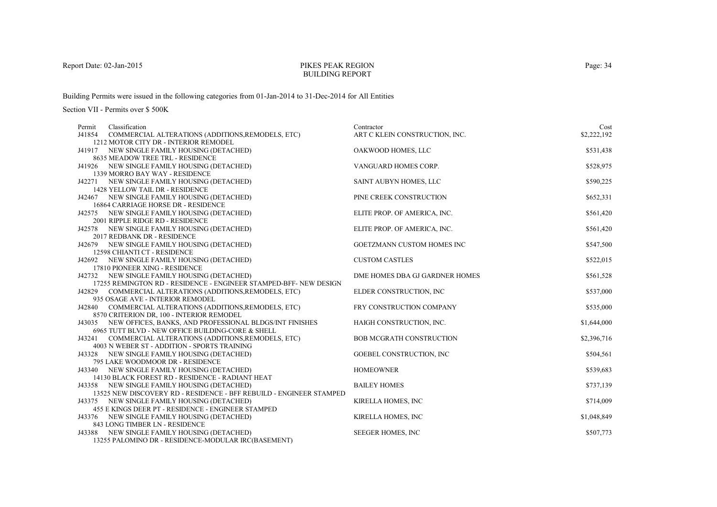# PIKES PEAK REGIONBUILDING REPORT

Building Permits were issued in the following categories from 01-Jan-2014 to 31-Dec-2014 for All Entities

| Classification<br>Permit                                                                                            | Contractor                        | Cost        |
|---------------------------------------------------------------------------------------------------------------------|-----------------------------------|-------------|
| J41854<br>COMMERCIAL ALTERATIONS (ADDITIONS, REMODELS, ETC)                                                         | ART C KLEIN CONSTRUCTION, INC.    | \$2,222,192 |
| 1212 MOTOR CITY DR - INTERIOR REMODEL                                                                               |                                   |             |
| J41917 NEW SINGLE FAMILY HOUSING (DETACHED)                                                                         | OAKWOOD HOMES, LLC                | \$531,438   |
| 8635 MEADOW TREE TRL - RESIDENCE                                                                                    |                                   |             |
| J41926 NEW SINGLE FAMILY HOUSING (DETACHED)                                                                         | VANGUARD HOMES CORP.              | \$528,975   |
| 1339 MORRO BAY WAY - RESIDENCE                                                                                      |                                   |             |
| J42271 NEW SINGLE FAMILY HOUSING (DETACHED)                                                                         | SAINT AUBYN HOMES, LLC            | \$590,225   |
| <b>1428 YELLOW TAIL DR - RESIDENCE</b>                                                                              |                                   |             |
| J42467 NEW SINGLE FAMILY HOUSING (DETACHED)                                                                         | PINE CREEK CONSTRUCTION           | \$652,331   |
| 16864 CARRIAGE HORSE DR - RESIDENCE                                                                                 |                                   |             |
| J42575 NEW SINGLE FAMILY HOUSING (DETACHED)                                                                         | ELITE PROP. OF AMERICA, INC.      | \$561,420   |
| 2001 RIPPLE RIDGE RD - RESIDENCE                                                                                    |                                   |             |
| J42578 NEW SINGLE FAMILY HOUSING (DETACHED)                                                                         | ELITE PROP. OF AMERICA, INC.      | \$561,420   |
| 2017 REDBANK DR - RESIDENCE                                                                                         |                                   |             |
| J42679 NEW SINGLE FAMILY HOUSING (DETACHED)                                                                         | <b>GOETZMANN CUSTOM HOMES INC</b> | \$547,500   |
| 12598 CHIANTI CT - RESIDENCE                                                                                        |                                   |             |
| J42692 NEW SINGLE FAMILY HOUSING (DETACHED)                                                                         | <b>CUSTOM CASTLES</b>             | \$522,015   |
| 17810 PIONEER XING - RESIDENCE                                                                                      |                                   |             |
| J42732 NEW SINGLE FAMILY HOUSING (DETACHED)                                                                         | DME HOMES DBA GJ GARDNER HOMES    | \$561,528   |
| 17255 REMINGTON RD - RESIDENCE - ENGINEER STAMPED-BFF-NEW DESIGN                                                    |                                   |             |
| COMMERCIAL ALTERATIONS (ADDITIONS, REMODELS, ETC)<br>J42829                                                         | ELDER CONSTRUCTION, INC           | \$537,000   |
| 935 OSAGE AVE - INTERIOR REMODEL                                                                                    |                                   |             |
| J42840 COMMERCIAL ALTERATIONS (ADDITIONS, REMODELS, ETC)                                                            | FRY CONSTRUCTION COMPANY          | \$535,000   |
| 8570 CRITERION DR, 100 - INTERIOR REMODEL                                                                           | HAIGH CONSTRUCTION, INC.          |             |
| J43035 NEW OFFICES, BANKS, AND PROFESSIONAL BLDGS/INT FINISHES<br>6965 TUTT BLVD - NEW OFFICE BUILDING-CORE & SHELL |                                   | \$1,644,000 |
| J43241 COMMERCIAL ALTERATIONS (ADDITIONS, REMODELS, ETC)                                                            | <b>BOB MCGRATH CONSTRUCTION</b>   | \$2,396,716 |
| 4003 N WEBER ST - ADDITION - SPORTS TRAINING                                                                        |                                   |             |
| J43328 NEW SINGLE FAMILY HOUSING (DETACHED)                                                                         | <b>GOEBEL CONSTRUCTION, INC</b>   | \$504,561   |
| 795 LAKE WOODMOOR DR - RESIDENCE                                                                                    |                                   |             |
| J43340 NEW SINGLE FAMILY HOUSING (DETACHED)                                                                         | <b>HOMEOWNER</b>                  | \$539,683   |
| 14130 BLACK FOREST RD - RESIDENCE - RADIANT HEAT                                                                    |                                   |             |
| J43358 NEW SINGLE FAMILY HOUSING (DETACHED)                                                                         | <b>BAILEY HOMES</b>               | \$737,139   |
| 13525 NEW DISCOVERY RD - RESIDENCE - BFF REBUILD - ENGINEER STAMPED                                                 |                                   |             |
| J43375 NEW SINGLE FAMILY HOUSING (DETACHED)                                                                         | KIRELLA HOMES, INC                | \$714,009   |
| 455 E KINGS DEER PT - RESIDENCE - ENGINEER STAMPED                                                                  |                                   |             |
| J43376 NEW SINGLE FAMILY HOUSING (DETACHED)                                                                         | KIRELLA HOMES, INC                | \$1,048,849 |
| 843 LONG TIMBER LN - RESIDENCE                                                                                      |                                   |             |
| J43388 NEW SINGLE FAMILY HOUSING (DETACHED)                                                                         | SEEGER HOMES, INC                 | \$507,773   |
| 13255 PALOMINO DR - RESIDENCE-MODULAR IRC(BASEMENT)                                                                 |                                   |             |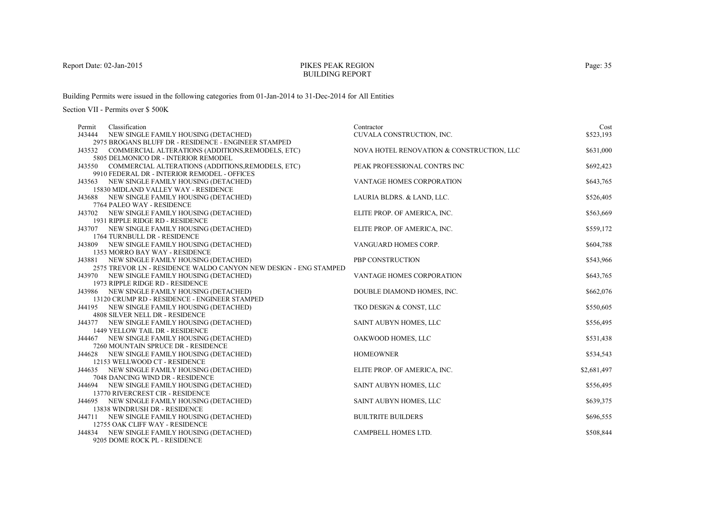# PIKES PEAK REGIONBUILDING REPORT

Building Permits were issued in the following categories from 01-Jan-2014 to 31-Dec-2014 for All Entities

| Permit | Classification                                                   | Contractor                                | Cost        |
|--------|------------------------------------------------------------------|-------------------------------------------|-------------|
| J43444 | NEW SINGLE FAMILY HOUSING (DETACHED)                             | CUVALA CONSTRUCTION, INC.                 | \$523,193   |
|        | 2975 BROGANS BLUFF DR - RESIDENCE - ENGINEER STAMPED             |                                           |             |
| J43532 | COMMERCIAL ALTERATIONS (ADDITIONS, REMODELS, ETC)                | NOVA HOTEL RENOVATION & CONSTRUCTION, LLC | \$631,000   |
|        | 5805 DELMONICO DR - INTERIOR REMODEL                             |                                           |             |
|        | J43550 COMMERCIAL ALTERATIONS (ADDITIONS, REMODELS, ETC)         | PEAK PROFESSIONAL CONTRS INC              | \$692,423   |
|        | 9910 FEDERAL DR - INTERIOR REMODEL - OFFICES                     |                                           |             |
|        | J43563 NEW SINGLE FAMILY HOUSING (DETACHED)                      | VANTAGE HOMES CORPORATION                 | \$643,765   |
|        | 15830 MIDLAND VALLEY WAY - RESIDENCE                             |                                           |             |
| J43688 | NEW SINGLE FAMILY HOUSING (DETACHED)                             | LAURIA BLDRS. & LAND, LLC.                | \$526,405   |
|        | 7764 PALEO WAY - RESIDENCE                                       |                                           |             |
|        | J43702 NEW SINGLE FAMILY HOUSING (DETACHED)                      | ELITE PROP. OF AMERICA, INC.              | \$563,669   |
|        | 1931 RIPPLE RIDGE RD - RESIDENCE                                 |                                           |             |
|        | J43707 NEW SINGLE FAMILY HOUSING (DETACHED)                      | ELITE PROP. OF AMERICA, INC.              | \$559,172   |
|        | 1764 TURNBULL DR - RESIDENCE                                     |                                           |             |
|        | J43809 NEW SINGLE FAMILY HOUSING (DETACHED)                      | VANGUARD HOMES CORP.                      | \$604,788   |
|        | 1353 MORRO BAY WAY - RESIDENCE                                   |                                           |             |
|        | J43881 NEW SINGLE FAMILY HOUSING (DETACHED)                      | PBP CONSTRUCTION                          | \$543,966   |
|        | 2575 TREVOR LN - RESIDENCE WALDO CANYON NEW DESIGN - ENG STAMPED |                                           |             |
|        | J43970 NEW SINGLE FAMILY HOUSING (DETACHED)                      | VANTAGE HOMES CORPORATION                 | \$643,765   |
|        | 1973 RIPPLE RIDGE RD - RESIDENCE                                 |                                           |             |
| J43986 | NEW SINGLE FAMILY HOUSING (DETACHED)                             | DOUBLE DIAMOND HOMES, INC.                | \$662,076   |
|        | 13120 CRUMP RD - RESIDENCE - ENGINEER STAMPED                    |                                           |             |
|        | J44195 NEW SINGLE FAMILY HOUSING (DETACHED)                      | TKO DESIGN & CONST, LLC                   | \$550,605   |
|        | 4808 SILVER NELL DR - RESIDENCE                                  |                                           |             |
|        | J44377 NEW SINGLE FAMILY HOUSING (DETACHED)                      | SAINT AUBYN HOMES, LLC                    | \$556,495   |
|        | 1449 YELLOW TAIL DR - RESIDENCE                                  |                                           |             |
|        | J44467 NEW SINGLE FAMILY HOUSING (DETACHED)                      | OAKWOOD HOMES, LLC                        | \$531,438   |
|        | 7260 MOUNTAIN SPRUCE DR - RESIDENCE                              |                                           |             |
|        | J44628 NEW SINGLE FAMILY HOUSING (DETACHED)                      | <b>HOMEOWNER</b>                          | \$534,543   |
|        | 12153 WELLWOOD CT - RESIDENCE                                    |                                           |             |
|        | J44635 NEW SINGLE FAMILY HOUSING (DETACHED)                      | ELITE PROP. OF AMERICA, INC.              | \$2,681,497 |
|        | 7048 DANCING WIND DR - RESIDENCE                                 |                                           |             |
| J44694 | NEW SINGLE FAMILY HOUSING (DETACHED)                             | SAINT AUBYN HOMES, LLC                    | \$556,495   |
|        | 13770 RIVERCREST CIR - RESIDENCE                                 |                                           |             |
|        | J44695 NEW SINGLE FAMILY HOUSING (DETACHED)                      | SAINT AUBYN HOMES, LLC                    | \$639,375   |
|        | 13838 WINDRUSH DR - RESIDENCE                                    |                                           |             |
|        | J44711 NEW SINGLE FAMILY HOUSING (DETACHED)                      | <b>BUILTRITE BUILDERS</b>                 | \$696,555   |
|        | 12755 OAK CLIFF WAY - RESIDENCE                                  | <b>CAMPBELL HOMES LTD.</b>                |             |
| J44834 | NEW SINGLE FAMILY HOUSING (DETACHED)                             |                                           | \$508,844   |
|        | 9205 DOME ROCK PL - RESIDENCE                                    |                                           |             |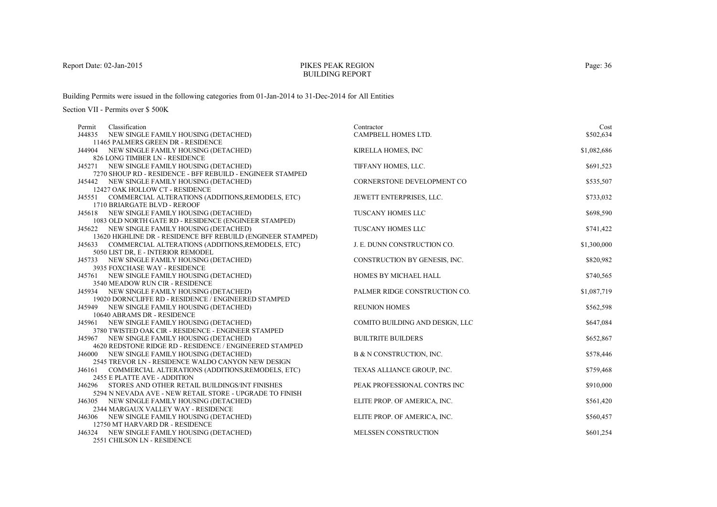# PIKES PEAK REGIONBUILDING REPORT

Building Permits were issued in the following categories from 01-Jan-2014 to 31-Dec-2014 for All Entities

| Classification<br>Permit       |                                                                                | Contractor                      | Cost        |
|--------------------------------|--------------------------------------------------------------------------------|---------------------------------|-------------|
|                                | J44835 NEW SINGLE FAMILY HOUSING (DETACHED)                                    | CAMPBELL HOMES LTD.             | \$502,634   |
|                                | 11465 PALMERS GREEN DR - RESIDENCE                                             |                                 |             |
|                                | J44904 NEW SINGLE FAMILY HOUSING (DETACHED)                                    | KIRELLA HOMES, INC              | \$1,082,686 |
| 826 LONG TIMBER LN - RESIDENCE |                                                                                |                                 |             |
|                                | J45271 NEW SINGLE FAMILY HOUSING (DETACHED)                                    | TIFFANY HOMES, LLC.             | \$691,523   |
|                                | 7270 SHOUP RD - RESIDENCE - BFF REBUILD - ENGINEER STAMPED                     |                                 |             |
|                                | J45442 NEW SINGLE FAMILY HOUSING (DETACHED)                                    | CORNERSTONE DEVELOPMENT CO      | \$535,507   |
|                                | 12427 OAK HOLLOW CT - RESIDENCE                                                |                                 |             |
|                                | J45551 COMMERCIAL ALTERATIONS (ADDITIONS, REMODELS, ETC)                       | JEWETT ENTERPRISES, LLC.        | \$733,032   |
| 1710 BRIARGATE BLVD - REROOF   |                                                                                |                                 |             |
|                                | J45618 NEW SINGLE FAMILY HOUSING (DETACHED)                                    | TUSCANY HOMES LLC               | \$698,590   |
|                                | 1083 OLD NORTH GATE RD - RESIDENCE (ENGINEER STAMPED)                          |                                 |             |
|                                | J45622 NEW SINGLE FAMILY HOUSING (DETACHED)                                    | TUSCANY HOMES LLC               | \$741,422   |
|                                | 13620 HIGHLINE DR - RESIDENCE BFF REBUILD (ENGINEER STAMPED)                   |                                 |             |
|                                | J45633 COMMERCIAL ALTERATIONS (ADDITIONS, REMODELS, ETC)                       | J. E. DUNN CONSTRUCTION CO.     | \$1,300,000 |
|                                | 5050 LIST DR, E - INTERIOR REMODEL                                             |                                 |             |
|                                | J45733 NEW SINGLE FAMILY HOUSING (DETACHED)                                    | CONSTRUCTION BY GENESIS, INC.   | \$820,982   |
| 3935 FOXCHASE WAY - RESIDENCE  |                                                                                |                                 | \$740,565   |
|                                | J45761 NEW SINGLE FAMILY HOUSING (DETACHED)<br>3540 MEADOW RUN CIR - RESIDENCE | HOMES BY MICHAEL HALL           |             |
|                                | J45934 NEW SINGLE FAMILY HOUSING (DETACHED)                                    | PALMER RIDGE CONSTRUCTION CO.   | \$1,087,719 |
|                                | 19020 DORNCLIFFE RD - RESIDENCE / ENGINEERED STAMPED                           |                                 |             |
|                                | J45949 NEW SINGLE FAMILY HOUSING (DETACHED)                                    | <b>REUNION HOMES</b>            | \$562,598   |
| 10640 ABRAMS DR - RESIDENCE    |                                                                                |                                 |             |
|                                | J45961 NEW SINGLE FAMILY HOUSING (DETACHED)                                    | COMITO BUILDING AND DESIGN, LLC | \$647,084   |
|                                | 3780 TWISTED OAK CIR - RESIDENCE - ENGINEER STAMPED                            |                                 |             |
|                                | J45967 NEW SINGLE FAMILY HOUSING (DETACHED)                                    | <b>BUILTRITE BUILDERS</b>       | \$652,867   |
|                                | 4620 REDSTONE RIDGE RD - RESIDENCE / ENGINEERED STAMPED                        |                                 |             |
|                                | J46000 NEW SINGLE FAMILY HOUSING (DETACHED)                                    | B & N CONSTRUCTION, INC.        | \$578,446   |
|                                | 2545 TREVOR LN - RESIDENCE WALDO CANYON NEW DESIGN                             |                                 |             |
|                                | J46161 COMMERCIAL ALTERATIONS (ADDITIONS, REMODELS, ETC)                       | TEXAS ALLIANCE GROUP, INC.      | \$759,468   |
| 2455 E PLATTE AVE - ADDITION   |                                                                                |                                 |             |
|                                | J46296 STORES AND OTHER RETAIL BUILDINGS/INT FINISHES                          | PEAK PROFESSIONAL CONTRS INC    | \$910,000   |
|                                | 5294 N NEVADA AVE - NEW RETAIL STORE - UPGRADE TO FINISH                       |                                 |             |
|                                | J46305 NEW SINGLE FAMILY HOUSING (DETACHED)                                    | ELITE PROP. OF AMERICA, INC.    | \$561,420   |
|                                | 2344 MARGAUX VALLEY WAY - RESIDENCE                                            |                                 |             |
|                                | J46306 NEW SINGLE FAMILY HOUSING (DETACHED)                                    | ELITE PROP. OF AMERICA, INC.    | \$560,457   |
|                                | 12750 MT HARVARD DR - RESIDENCE                                                |                                 |             |
|                                | J46324 NEW SINGLE FAMILY HOUSING (DETACHED)                                    | MELSSEN CONSTRUCTION            | \$601,254   |
| 2551 CHILSON LN - RESIDENCE    |                                                                                |                                 |             |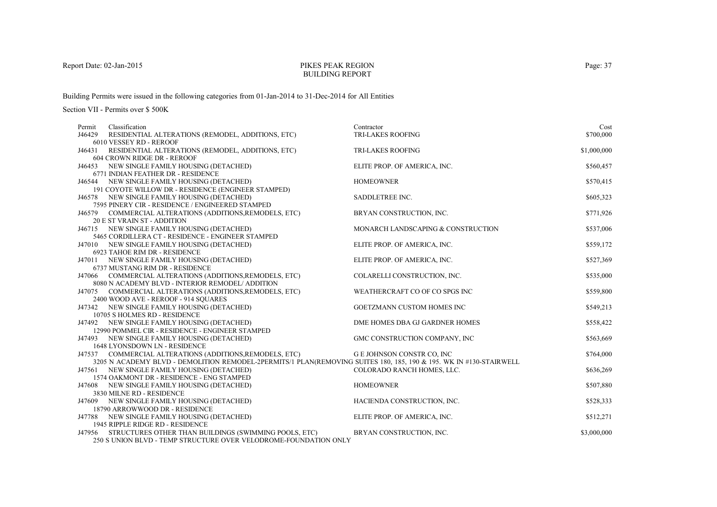#### PIKES PEAK REGIONBUILDING REPORT

Building Permits were issued in the following categories from 01-Jan-2014 to 31-Dec-2014 for All Entities

| Classification<br>Permit                                                                                           | Contractor                         | Cost        |
|--------------------------------------------------------------------------------------------------------------------|------------------------------------|-------------|
| J46429<br>RESIDENTIAL ALTERATIONS (REMODEL, ADDITIONS, ETC)                                                        | TRI-LAKES ROOFING                  | \$700,000   |
| 6010 VESSEY RD - REROOF<br>J46431 RESIDENTIAL ALTERATIONS (REMODEL, ADDITIONS, ETC)                                | <b>TRI-LAKES ROOFING</b>           | \$1,000,000 |
| 604 CROWN RIDGE DR - REROOF                                                                                        |                                    |             |
| J46453 NEW SINGLE FAMILY HOUSING (DETACHED)                                                                        | ELITE PROP. OF AMERICA, INC.       | \$560,457   |
| 6771 INDIAN FEATHER DR - RESIDENCE                                                                                 |                                    |             |
| J46544 NEW SINGLE FAMILY HOUSING (DETACHED)                                                                        | <b>HOMEOWNER</b>                   | \$570,415   |
| 191 COYOTE WILLOW DR - RESIDENCE (ENGINEER STAMPED)                                                                |                                    |             |
| J46578 NEW SINGLE FAMILY HOUSING (DETACHED)                                                                        | SADDLETREE INC.                    | \$605,323   |
| 7595 PINERY CIR - RESIDENCE / ENGINEERED STAMPED                                                                   |                                    |             |
| J46579 COMMERCIAL ALTERATIONS (ADDITIONS, REMODELS, ETC)                                                           | BRYAN CONSTRUCTION, INC.           | \$771,926   |
| <b>20 E ST VRAIN ST - ADDITION</b>                                                                                 |                                    |             |
| J46715 NEW SINGLE FAMILY HOUSING (DETACHED)<br>5465 CORDILLERA CT - RESIDENCE - ENGINEER STAMPED                   | MONARCH LANDSCAPING & CONSTRUCTION | \$537,006   |
| J47010 NEW SINGLE FAMILY HOUSING (DETACHED)                                                                        | ELITE PROP. OF AMERICA, INC.       | \$559,172   |
| 6923 TAHOE RIM DR - RESIDENCE                                                                                      |                                    |             |
| J47011 NEW SINGLE FAMILY HOUSING (DETACHED)                                                                        | ELITE PROP. OF AMERICA, INC.       | \$527,369   |
| 6737 MUSTANG RIM DR - RESIDENCE                                                                                    |                                    |             |
| J47066 COMMERCIAL ALTERATIONS (ADDITIONS, REMODELS, ETC)                                                           | COLARELLI CONSTRUCTION, INC.       | \$535,000   |
| 8080 N ACADEMY BLVD - INTERIOR REMODEL/ ADDITION                                                                   |                                    |             |
| J47075 COMMERCIAL ALTERATIONS (ADDITIONS, REMODELS, ETC)                                                           | WEATHERCRAFT CO OF CO SPGS INC     | \$559,800   |
| 2400 WOOD AVE - REROOF - 914 SQUARES                                                                               |                                    |             |
| J47342 NEW SINGLE FAMILY HOUSING (DETACHED)                                                                        | GOETZMANN CUSTOM HOMES INC         | \$549,213   |
| 10705 S HOLMES RD - RESIDENCE                                                                                      |                                    |             |
| J47492 NEW SINGLE FAMILY HOUSING (DETACHED)<br>12990 POMMEL CIR - RESIDENCE - ENGINEER STAMPED                     | DME HOMES DBA GJ GARDNER HOMES     | \$558,422   |
| J47493 NEW SINGLE FAMILY HOUSING (DETACHED)                                                                        | GMC CONSTRUCTION COMPANY, INC      | \$563,669   |
| 1648 LYONSDOWN LN - RESIDENCE                                                                                      |                                    |             |
| J47537 COMMERCIAL ALTERATIONS (ADDITIONS, REMODELS, ETC)                                                           | G E JOHNSON CONSTR CO, INC         | \$764,000   |
| 3205 N ACADEMY BLVD - DEMOLITION REMODEL-2PERMITS/1 PLAN(REMOVING SUITES 180, 185, 190 & 195. WK IN #130-STAIRWELL |                                    |             |
| J47561 NEW SINGLE FAMILY HOUSING (DETACHED)                                                                        | COLORADO RANCH HOMES, LLC.         | \$636,269   |
| 1574 OAKMONT DR - RESIDENCE - ENG STAMPED                                                                          |                                    |             |
| J47608 NEW SINGLE FAMILY HOUSING (DETACHED)                                                                        | <b>HOMEOWNER</b>                   | \$507,880   |
| 3830 MILNE RD - RESIDENCE                                                                                          |                                    |             |
| J47609 NEW SINGLE FAMILY HOUSING (DETACHED)<br>18790 ARROWWOOD DR - RESIDENCE                                      | HACIENDA CONSTRUCTION, INC.        | \$528,333   |
| J47788 NEW SINGLE FAMILY HOUSING (DETACHED)                                                                        | ELITE PROP. OF AMERICA, INC.       | \$512,271   |
| 1945 RIPPLE RIDGE RD - RESIDENCE                                                                                   |                                    |             |
| J47956 STRUCTURES OTHER THAN BUILDINGS (SWIMMING POOLS, ETC)                                                       | BRYAN CONSTRUCTION, INC.           | \$3,000,000 |
| 250 S UNION BLVD - TEMP STRUCTURE OVER VELODROME-FOUNDATION ONLY                                                   |                                    |             |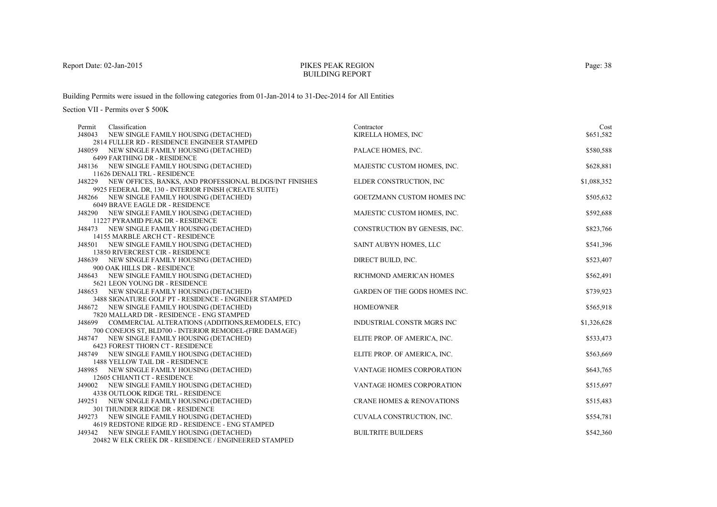# PIKES PEAK REGIONBUILDING REPORT

Building Permits were issued in the following categories from 01-Jan-2014 to 31-Dec-2014 for All Entities

| Classification<br>Permit                                                                                            | Contractor                           | Cost        |
|---------------------------------------------------------------------------------------------------------------------|--------------------------------------|-------------|
| J48043<br>NEW SINGLE FAMILY HOUSING (DETACHED)                                                                      | KIRELLA HOMES, INC                   | \$651,582   |
| 2814 FULLER RD - RESIDENCE ENGINEER STAMPED                                                                         |                                      |             |
| J48059 NEW SINGLE FAMILY HOUSING (DETACHED)                                                                         | PALACE HOMES, INC.                   | \$580,588   |
| 6499 FARTHING DR - RESIDENCE                                                                                        |                                      |             |
| J48136 NEW SINGLE FAMILY HOUSING (DETACHED)                                                                         | MAJESTIC CUSTOM HOMES, INC.          | \$628,881   |
| 11626 DENALI TRL - RESIDENCE                                                                                        |                                      |             |
| J48229 NEW OFFICES, BANKS, AND PROFESSIONAL BLDGS/INT FINISHES                                                      | ELDER CONSTRUCTION, INC              | \$1,088,352 |
| 9925 FEDERAL DR, 130 - INTERIOR FINISH (CREATE SUITE)                                                               |                                      |             |
| J48266 NEW SINGLE FAMILY HOUSING (DETACHED)                                                                         | GOETZMANN CUSTOM HOMES INC           | \$505,632   |
| 6049 BRAVE EAGLE DR - RESIDENCE                                                                                     |                                      |             |
| J48290 NEW SINGLE FAMILY HOUSING (DETACHED)                                                                         | MAJESTIC CUSTOM HOMES, INC.          | \$592,688   |
| 11227 PYRAMID PEAK DR - RESIDENCE                                                                                   |                                      |             |
| J48473 NEW SINGLE FAMILY HOUSING (DETACHED)                                                                         | CONSTRUCTION BY GENESIS, INC.        | \$823,766   |
| 14155 MARBLE ARCH CT - RESIDENCE                                                                                    |                                      |             |
| J48501 NEW SINGLE FAMILY HOUSING (DETACHED)                                                                         | SAINT AUBYN HOMES, LLC               | \$541,396   |
| 13850 RIVERCREST CIR - RESIDENCE                                                                                    |                                      |             |
| J48639 NEW SINGLE FAMILY HOUSING (DETACHED)                                                                         | DIRECT BUILD, INC.                   | \$523,407   |
| 900 OAK HILLS DR - RESIDENCE                                                                                        |                                      |             |
| J48643 NEW SINGLE FAMILY HOUSING (DETACHED)                                                                         | RICHMOND AMERICAN HOMES              | \$562,491   |
| 5621 LEON YOUNG DR - RESIDENCE                                                                                      |                                      |             |
| J48653 NEW SINGLE FAMILY HOUSING (DETACHED)                                                                         | <b>GARDEN OF THE GODS HOMES INC.</b> | \$739,923   |
| 3488 SIGNATURE GOLF PT - RESIDENCE - ENGINEER STAMPED                                                               |                                      |             |
| J48672 NEW SINGLE FAMILY HOUSING (DETACHED)                                                                         | <b>HOMEOWNER</b>                     | \$565,918   |
| 7820 MALLARD DR - RESIDENCE - ENG STAMPED                                                                           | INDUSTRIAL CONSTR MGRS INC           | \$1,326,628 |
| J48699 COMMERCIAL ALTERATIONS (ADDITIONS, REMODELS, ETC)<br>700 CONEJOS ST, BLD700 - INTERIOR REMODEL-(FIRE DAMAGE) |                                      |             |
| J48747 NEW SINGLE FAMILY HOUSING (DETACHED)                                                                         | ELITE PROP. OF AMERICA, INC.         | \$533,473   |
| 6423 FOREST THORN CT - RESIDENCE                                                                                    |                                      |             |
| J48749 NEW SINGLE FAMILY HOUSING (DETACHED)                                                                         | ELITE PROP. OF AMERICA, INC.         | \$563,669   |
| 1488 YELLOW TAIL DR - RESIDENCE                                                                                     |                                      |             |
| J48985 NEW SINGLE FAMILY HOUSING (DETACHED)                                                                         | VANTAGE HOMES CORPORATION            | \$643,765   |
| 12605 CHIANTI CT - RESIDENCE                                                                                        |                                      |             |
| J49002 NEW SINGLE FAMILY HOUSING (DETACHED)                                                                         | VANTAGE HOMES CORPORATION            | \$515,697   |
| 4338 OUTLOOK RIDGE TRL - RESIDENCE                                                                                  |                                      |             |
| NEW SINGLE FAMILY HOUSING (DETACHED)<br>J49251                                                                      | <b>CRANE HOMES &amp; RENOVATIONS</b> | \$515,483   |
| 301 THUNDER RIDGE DR - RESIDENCE                                                                                    |                                      |             |
| J49273 NEW SINGLE FAMILY HOUSING (DETACHED)                                                                         | CUVALA CONSTRUCTION, INC.            | \$554,781   |
| 4619 REDSTONE RIDGE RD - RESIDENCE - ENG STAMPED                                                                    |                                      |             |
| J49342 NEW SINGLE FAMILY HOUSING (DETACHED)                                                                         | <b>BUILTRITE BUILDERS</b>            | \$542,360   |
| 20482 W ELK CREEK DR - RESIDENCE / ENGINEERED STAMPED                                                               |                                      |             |